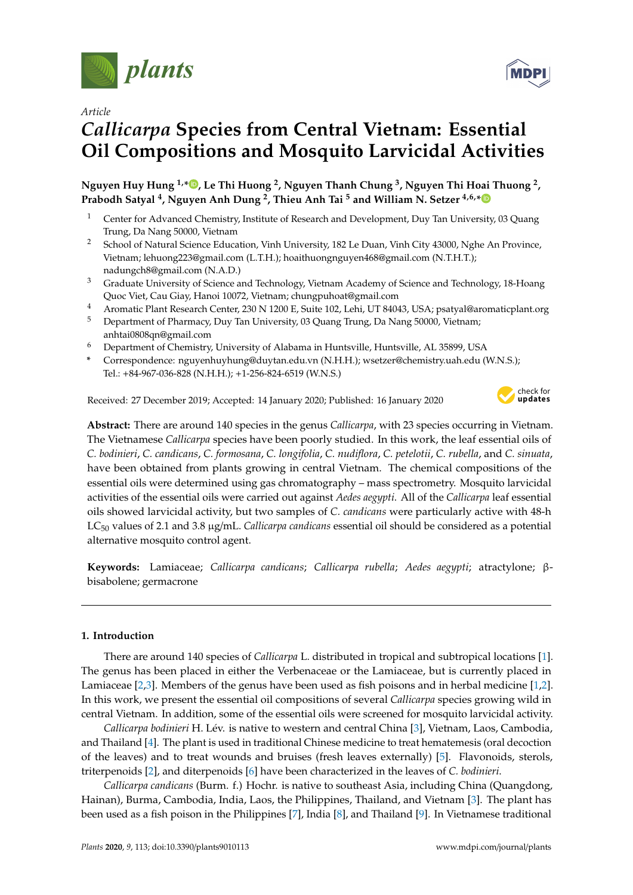

*Article*

# *Callicarpa* **Species from Central Vietnam: Essential Oil Compositions and Mosquito Larvicidal Activities**

 $N$ guyen Huy Hung  $^{1,\ast}$  $^{1,\ast}$  $^{1,\ast}$   $\bullet$  , Le Thi Huong  $^2$ , Nguyen Thanh Chung  $^3$ , Nguyen Thi Hoai Thuong  $^2$ , **Prabodh Satyal <sup>4</sup> , Nguyen Anh Dung <sup>2</sup> , Thieu Anh Tai <sup>5</sup> and William N. Setzer 4,6,[\\*](https://orcid.org/0000-0002-3639-0528)**

- <sup>1</sup> Center for Advanced Chemistry, Institute of Research and Development, Duy Tan University, 03 Quang Trung, Da Nang 50000, Vietnam
- <sup>2</sup> School of Natural Science Education, Vinh University, 182 Le Duan, Vinh City 43000, Nghe An Province, Vietnam; lehuong223@gmail.com (L.T.H.); hoaithuongnguyen468@gmail.com (N.T.H.T.); nadungch8@gmail.com (N.A.D.)
- <sup>3</sup> Graduate University of Science and Technology, Vietnam Academy of Science and Technology, 18-Hoang Quoc Viet, Cau Giay, Hanoi 10072, Vietnam; chungpuhoat@gmail.com
- <sup>4</sup> Aromatic Plant Research Center, 230 N 1200 E, Suite 102, Lehi, UT 84043, USA; psatyal@aromaticplant.org
- <sup>5</sup> Department of Pharmacy, Duy Tan University, 03 Quang Trung, Da Nang 50000, Vietnam; anhtai0808qn@gmail.com
- <sup>6</sup> Department of Chemistry, University of Alabama in Huntsville, Huntsville, AL 35899, USA
- **\*** Correspondence: nguyenhuyhung@duytan.edu.vn (N.H.H.); wsetzer@chemistry.uah.edu (W.N.S.); Tel.: +84-967-036-828 (N.H.H.); +1-256-824-6519 (W.N.S.)

Received: 27 December 2019; Accepted: 14 January 2020; Published: 16 January 2020



**MDPI** 

**Abstract:** There are around 140 species in the genus *Callicarpa*, with 23 species occurring in Vietnam. The Vietnamese *Callicarpa* species have been poorly studied. In this work, the leaf essential oils of *C. bodinieri*, *C. candicans*, *C. formosana*, *C. longifolia*, *C. nudiflora*, *C. petelotii*, *C. rubella*, and *C. sinuata*, have been obtained from plants growing in central Vietnam. The chemical compositions of the essential oils were determined using gas chromatography – mass spectrometry. Mosquito larvicidal activities of the essential oils were carried out against *Aedes aegypti*. All of the *Callicarpa* leaf essential oils showed larvicidal activity, but two samples of *C. candicans* were particularly active with 48-h LC<sup>50</sup> values of 2.1 and 3.8 µg/mL. *Callicarpa candicans* essential oil should be considered as a potential alternative mosquito control agent.

**Keywords:** Lamiaceae; *Callicarpa candicans*; *Callicarpa rubella*; *Aedes aegypti*; atractylone; βbisabolene; germacrone

## **1. Introduction**

There are around 140 species of *Callicarpa* L. distributed in tropical and subtropical locations [\[1\]](#page-28-0). The genus has been placed in either the Verbenaceae or the Lamiaceae, but is currently placed in Lamiaceae [\[2](#page-28-1)[,3\]](#page-28-2). Members of the genus have been used as fish poisons and in herbal medicine [\[1,](#page-28-0)[2\]](#page-28-1). In this work, we present the essential oil compositions of several *Callicarpa* species growing wild in central Vietnam. In addition, some of the essential oils were screened for mosquito larvicidal activity.

*Callicarpa bodinieri* H. Lév. is native to western and central China [\[3\]](#page-28-2), Vietnam, Laos, Cambodia, and Thailand [\[4\]](#page-28-3). The plant is used in traditional Chinese medicine to treat hematemesis (oral decoction of the leaves) and to treat wounds and bruises (fresh leaves externally) [\[5\]](#page-28-4). Flavonoids, sterols, triterpenoids [\[2\]](#page-28-1), and diterpenoids [\[6\]](#page-28-5) have been characterized in the leaves of *C. bodinieri*.

*Callicarpa candicans* (Burm. f.) Hochr. is native to southeast Asia, including China (Quangdong, Hainan), Burma, Cambodia, India, Laos, the Philippines, Thailand, and Vietnam [\[3\]](#page-28-2). The plant has been used as a fish poison in the Philippines [\[7\]](#page-28-6), India [\[8\]](#page-28-7), and Thailand [\[9\]](#page-28-8). In Vietnamese traditional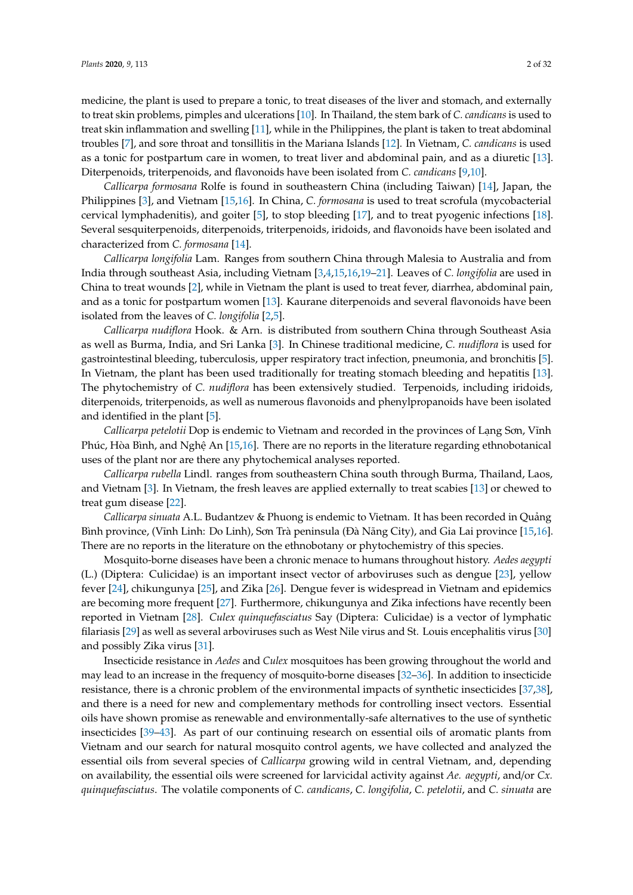medicine, the plant is used to prepare a tonic, to treat diseases of the liver and stomach, and externally to treat skin problems, pimples and ulcerations [\[10\]](#page-28-9). In Thailand, the stem bark of *C. candicans* is used to treat skin inflammation and swelling [\[11\]](#page-28-10), while in the Philippines, the plant is taken to treat abdominal troubles [\[7\]](#page-28-6), and sore throat and tonsillitis in the Mariana Islands [\[12\]](#page-29-0). In Vietnam, *C. candicans* is used as a tonic for postpartum care in women, to treat liver and abdominal pain, and as a diuretic [\[13\]](#page-29-1). Diterpenoids, triterpenoids, and flavonoids have been isolated from *C. candicans* [\[9](#page-28-8)[,10\]](#page-28-9).

*Callicarpa formosana* Rolfe is found in southeastern China (including Taiwan) [\[14\]](#page-29-2), Japan, the Philippines [\[3\]](#page-28-2), and Vietnam [\[15,](#page-29-3)[16\]](#page-29-4). In China, *C. formosana* is used to treat scrofula (mycobacterial cervical lymphadenitis), and goiter [\[5\]](#page-28-4), to stop bleeding [\[17\]](#page-29-5), and to treat pyogenic infections [\[18\]](#page-29-6). Several sesquiterpenoids, diterpenoids, triterpenoids, iridoids, and flavonoids have been isolated and characterized from *C. formosana* [\[14\]](#page-29-2).

*Callicarpa longifolia* Lam. Ranges from southern China through Malesia to Australia and from India through southeast Asia, including Vietnam [\[3,](#page-28-2)[4,](#page-28-3)[15,](#page-29-3)[16,](#page-29-4)[19](#page-29-7)[–21\]](#page-29-8). Leaves of *C. longifolia* are used in China to treat wounds [\[2\]](#page-28-1), while in Vietnam the plant is used to treat fever, diarrhea, abdominal pain, and as a tonic for postpartum women [\[13\]](#page-29-1). Kaurane diterpenoids and several flavonoids have been isolated from the leaves of *C. longifolia* [\[2](#page-28-1)[,5\]](#page-28-4).

*Callicarpa nudiflora* Hook. & Arn. is distributed from southern China through Southeast Asia as well as Burma, India, and Sri Lanka [\[3\]](#page-28-2). In Chinese traditional medicine, *C. nudiflora* is used for gastrointestinal bleeding, tuberculosis, upper respiratory tract infection, pneumonia, and bronchitis [\[5\]](#page-28-4). In Vietnam, the plant has been used traditionally for treating stomach bleeding and hepatitis [\[13\]](#page-29-1). The phytochemistry of *C. nudiflora* has been extensively studied. Terpenoids, including iridoids, diterpenoids, triterpenoids, as well as numerous flavonoids and phenylpropanoids have been isolated and identified in the plant [\[5\]](#page-28-4).

*Callicarpa petelotii* Dop is endemic to Vietnam and recorded in the provinces of Lạng Sơn, Vĩnh Phúc, Hòa Bình, and Nghệ An [\[15,](#page-29-3)[16\]](#page-29-4). There are no reports in the literature regarding ethnobotanical uses of the plant nor are there any phytochemical analyses reported.

*Callicarpa rubella* Lindl. ranges from southeastern China south through Burma, Thailand, Laos, and Vietnam [\[3\]](#page-28-2). In Vietnam, the fresh leaves are applied externally to treat scabies [\[13\]](#page-29-1) or chewed to treat gum disease [\[22\]](#page-29-9).

*Callicarpa sinuata* A.L. Budantzev & Phuong is endemic to Vietnam. It has been recorded in Quảng Bình province, (Vĩnh Linh: Do Linh), Sơn Trà peninsula (Đà Nãng City), and Gia Lai province [\[15](#page-29-3)[,16\]](#page-29-4). There are no reports in the literature on the ethnobotany or phytochemistry of this species.

Mosquito-borne diseases have been a chronic menace to humans throughout history. *Aedes aegypti* (L.) (Diptera: Culicidae) is an important insect vector of arboviruses such as dengue [\[23\]](#page-29-10), yellow fever [\[24\]](#page-29-11), chikungunya [\[25\]](#page-29-12), and Zika [\[26\]](#page-29-13). Dengue fever is widespread in Vietnam and epidemics are becoming more frequent [\[27\]](#page-29-14). Furthermore, chikungunya and Zika infections have recently been reported in Vietnam [\[28\]](#page-29-15). *Culex quinquefasciatus* Say (Diptera: Culicidae) is a vector of lymphatic filariasis [\[29\]](#page-29-16) as well as several arboviruses such as West Nile virus and St. Louis encephalitis virus [\[30\]](#page-29-17) and possibly Zika virus [\[31\]](#page-29-18).

Insecticide resistance in *Aedes* and *Culex* mosquitoes has been growing throughout the world and may lead to an increase in the frequency of mosquito-borne diseases [\[32](#page-29-19)[–36\]](#page-29-20). In addition to insecticide resistance, there is a chronic problem of the environmental impacts of synthetic insecticides [\[37,](#page-30-0)[38\]](#page-30-1), and there is a need for new and complementary methods for controlling insect vectors. Essential oils have shown promise as renewable and environmentally-safe alternatives to the use of synthetic insecticides [\[39](#page-30-2)[–43\]](#page-30-3). As part of our continuing research on essential oils of aromatic plants from Vietnam and our search for natural mosquito control agents, we have collected and analyzed the essential oils from several species of *Callicarpa* growing wild in central Vietnam, and, depending on availability, the essential oils were screened for larvicidal activity against *Ae. aegypti*, and/or *Cx. quinquefasciatus*. The volatile components of *C. candicans*, *C. longifolia*, *C. petelotii*, and *C. sinuata* are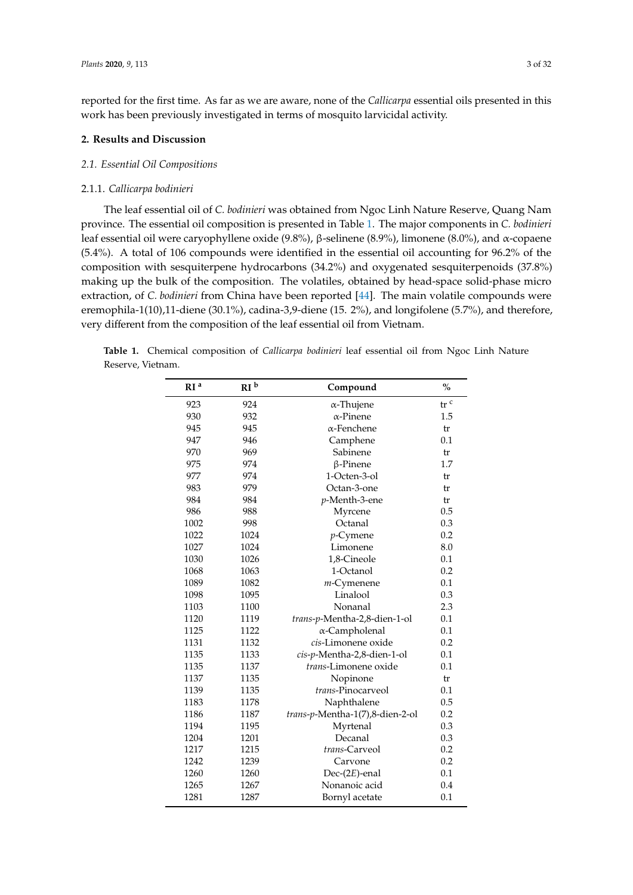reported for the first time. As far as we are aware, none of the *Callicarpa* essential oils presented in this work has been previously investigated in terms of mosquito larvicidal activity.

## **2. Results and Discussion**

## *2.1. Essential Oil Compositions*

## 2.1.1. *Callicarpa bodinieri*

The leaf essential oil of *C. bodinieri* was obtained from Ngoc Linh Nature Reserve, Quang Nam province. The essential oil composition is presented in Table [1.](#page-4-0) The major components in *C. bodinieri* leaf essential oil were caryophyllene oxide (9.8%), β-selinene (8.9%), limonene (8.0%), and α-copaene (5.4%). A total of 106 compounds were identified in the essential oil accounting for 96.2% of the composition with sesquiterpene hydrocarbons (34.2%) and oxygenated sesquiterpenoids (37.8%) making up the bulk of the composition. The volatiles, obtained by head-space solid-phase micro extraction, of *C. bodinieri* from China have been reported [\[44\]](#page-30-4). The main volatile compounds were eremophila-1(10),11-diene (30.1%), cadina-3,9-diene (15. 2%), and longifolene (5.7%), and therefore, very different from the composition of the leaf essential oil from Vietnam.

|                   | <b>Table 1.</b> Chemical composition of <i>Callicarpa bodinieri</i> leaf essential oil from Ngoc Linh Nature |  |  |  |  |  |
|-------------------|--------------------------------------------------------------------------------------------------------------|--|--|--|--|--|
| Reserve, Vietnam. |                                                                                                              |  |  |  |  |  |

| RI <sup>a</sup> | RI <sup>b</sup> | Compound                        | $\%$ |
|-----------------|-----------------|---------------------------------|------|
| 923             | 924             | α-Thujene                       | tr c |
| 930             | 932             | $\alpha$ -Pinene                | 1.5  |
| 945             | 945             | $\alpha$ -Fenchene              | tr   |
| 947             | 946             | Camphene                        | 0.1  |
| 970             | 969             | Sabinene                        | tr   |
| 975             | 974             | $\beta$ -Pinene                 | 1.7  |
| 977             | 974             | 1-Octen-3-ol                    | tr   |
| 983             | 979             | Octan-3-one                     | tr   |
| 984             | 984             | p-Menth-3-ene                   | tr   |
| 986             | 988             | Myrcene                         | 0.5  |
| 1002            | 998             | Octanal                         | 0.3  |
| 1022            | 1024            | $p$ -Cymene                     | 0.2  |
| 1027            | 1024            | Limonene                        | 8.0  |
| 1030            | 1026            | 1,8-Cineole                     | 0.1  |
| 1068            | 1063            | 1-Octanol                       | 0.2  |
| 1089            | 1082            | $m$ -Cymenene                   | 0.1  |
| 1098            | 1095            | Linalool                        | 0.3  |
| 1103            | 1100            | Nonanal                         | 2.3  |
| 1120            | 1119            | trans-p-Mentha-2,8-dien-1-ol    | 0.1  |
| 1125            | 1122            | α-Campholenal                   | 0.1  |
| 1131            | 1132            | cis-Limonene oxide              | 0.2  |
| 1135            | 1133            | cis-p-Mentha-2,8-dien-1-ol      | 0.1  |
| 1135            | 1137            | trans-Limonene oxide            | 0.1  |
| 1137            | 1135            | Nopinone                        | tr   |
| 1139            | 1135            | trans-Pinocarveol               | 0.1  |
| 1183            | 1178            | Naphthalene                     | 0.5  |
| 1186            | 1187            | trans-p-Mentha-1(7),8-dien-2-ol | 0.2  |
| 1194            | 1195            | Myrtenal                        | 0.3  |
| 1204            | 1201            | Decanal                         | 0.3  |
| 1217            | 1215            | trans-Carveol                   | 0.2  |
| 1242            | 1239            | 0.2<br>Carvone                  |      |
| 1260            | 1260            | $Dec-(2E)$ -enal<br>0.1         |      |
| 1265            | 1267            | 0.4<br>Nonanoic acid            |      |
| 1281            | 1287            | Bornyl acetate                  | 0.1  |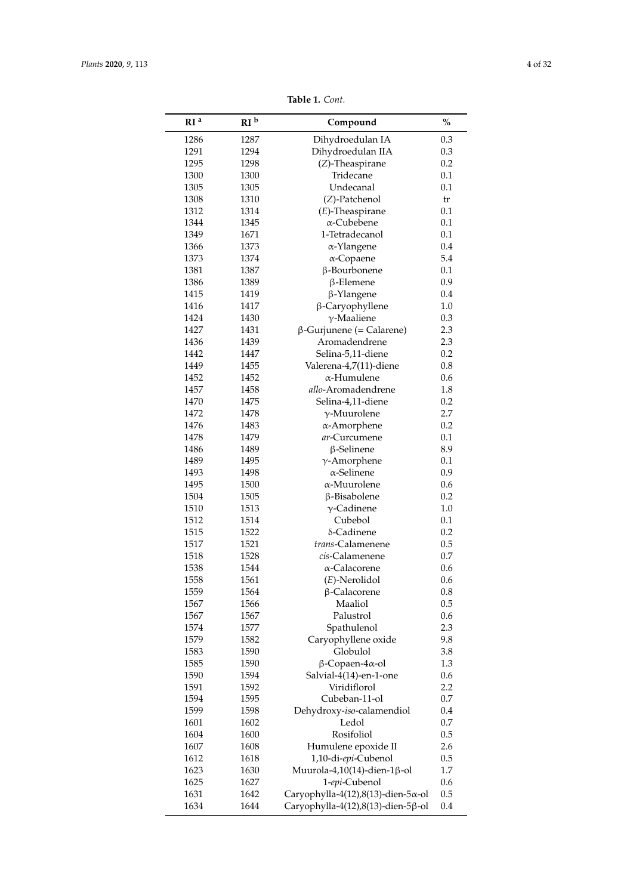| RI <sup>a</sup> | RI <sup>b</sup> | Compound                                    | $\%$ |
|-----------------|-----------------|---------------------------------------------|------|
| 1286            | 1287            | Dihydroedulan IA                            | 0.3  |
| 1291            | 1294            | Dihydroedulan IIA                           | 0.3  |
| 1295            | 1298            | (Z)-Theaspirane                             | 0.2  |
| 1300            | 1300            | Tridecane                                   | 0.1  |
| 1305            | 1305            | Undecanal                                   | 0.1  |
| 1308            | 1310            | (Z)-Patchenol                               | tr   |
| 1312            | 1314            | $(E)$ -Theaspirane                          | 0.1  |
| 1344            | 1345            | α-Cubebene                                  | 0.1  |
| 1349            | 1671            | 1-Tetradecanol                              | 0.1  |
| 1366            | 1373            | α-Ylangene                                  | 0.4  |
| 1373            | 1374            | $\alpha$ -Copaene                           | 5.4  |
| 1381            | 1387            | β-Bourbonene                                | 0.1  |
| 1386            | 1389            | $\beta$ -Elemene                            | 0.9  |
| 1415            | 1419            | β-Ylangene                                  | 0.4  |
| 1416            | 1417            | β-Caryophyllene                             | 1.0  |
| 1424            | 1430            | $\gamma$ -Maaliene                          | 0.3  |
| 1427            | 1431            | $β$ -Gurjunene (= Calarene)                 | 2.3  |
| 1436            | 1439            | Aromadendrene                               | 2.3  |
| 1442            | 1447            | Selina-5,11-diene                           | 0.2  |
| 1449            | 1455            | Valerena-4,7(11)-diene                      | 0.8  |
| 1452            | 1452            | $\alpha$ -Humulene                          | 0.6  |
| 1457            | 1458            | allo-Aromadendrene                          | 1.8  |
| 1470            | 1475            | Selina-4,11-diene                           | 0.2  |
| 1472            | 1478            | $\gamma$ -Muurolene                         | 2.7  |
| 1476            | 1483            | α-Amorphene                                 | 0.2  |
| 1478            | 1479            | ar-Curcumene                                | 0.1  |
| 1486            | 1489            | $\beta$ -Selinene                           | 8.9  |
| 1489            | 1495            | $\gamma$ -Amorphene                         | 0.1  |
| 1493            | 1498            | $\alpha$ -Selinene                          | 0.9  |
| 1495            | 1500            | $\alpha$ -Muurolene                         | 0.6  |
| 1504            | 1505            | β-Bisabolene                                | 0.2  |
| 1510            | 1513            | $\gamma$ -Cadinene                          | 1.0  |
| 1512            | 1514            | Cubebol                                     | 0.1  |
| 1515            | 1522            | δ-Cadinene                                  | 0.2  |
|                 |                 | trans-Calamenene                            |      |
| 1517            | 1521            | cis-Calamenene                              | 0.5  |
| 1518            | 1528            |                                             | 0.7  |
| 1538            | 1544            | α-Calacorene                                | 0.6  |
| 1558            | 1561            | $(E)$ -Nerolidol                            | 0.6  |
| 1559            | 1564            | β-Calacorene                                | 0.8  |
| 1567            | 1566            | Maaliol                                     | 0.5  |
| 1567            | 1567            | Palustrol                                   | 0.6  |
| 1574            | 1577            | Spathulenol                                 | 2.3  |
| 1579            | 1582            | Caryophyllene oxide                         | 9.8  |
| 1583            | 1590            | Globulol                                    | 3.8  |
| 1585            | 1590            | $\beta$ -Copaen-4 $\alpha$ -ol              | 1.3  |
| 1590            | 1594            | Salvial-4(14)-en-1-one                      | 0.6  |
| 1591            | 1592            | Viridiflorol                                | 2.2  |
| 1594            | 1595            | Cubeban-11-ol                               | 0.7  |
| 1599            | 1598            | Dehydroxy-iso-calamendiol                   | 0.4  |
| 1601            | 1602            | Ledol                                       | 0.7  |
| 1604            | 1600            | Rosifoliol                                  | 0.5  |
| 1607            | 1608            | Humulene epoxide II                         | 2.6  |
| 1612            | 1618            | 1,10-di-epi-Cubenol                         | 0.5  |
| 1623            | 1630            | Muurola-4,10(14)-dien-1 $\beta$ -ol         | 1.7  |
| 1625            | 1627            | 1-epi-Cubenol                               | 0.6  |
| 1631            | 1642            | Caryophylla-4(12),8(13)-dien-5 $\alpha$ -ol | 0.5  |
| 1634            | 1644            | Caryophylla-4(12),8(13)-dien-5ß-ol          | 0.4  |

**Table 1.** *Cont.*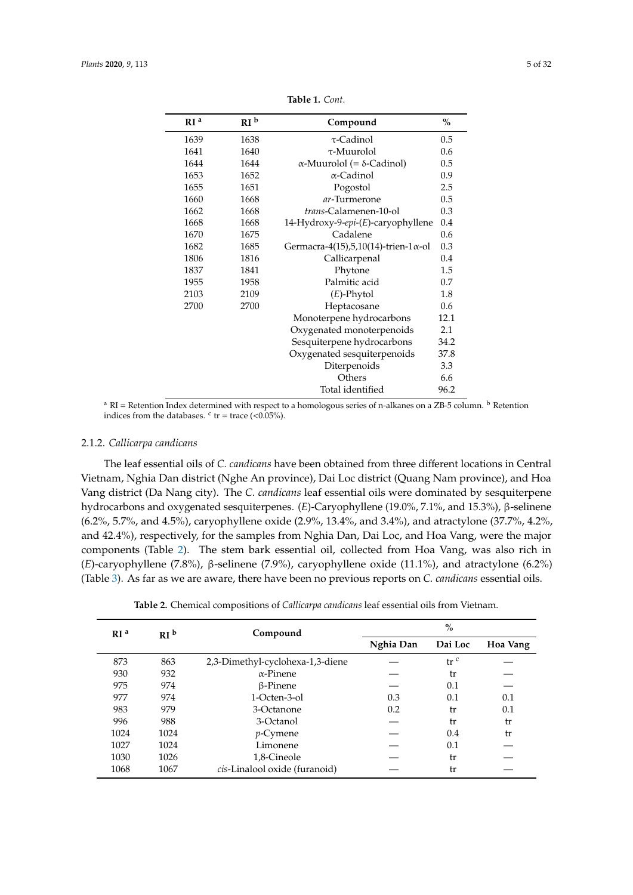<span id="page-4-0"></span>

| RI <sup>a</sup> | RI <sup>b</sup> | Compound                                     | $\%$ |
|-----------------|-----------------|----------------------------------------------|------|
| 1639            | 1638            | $\tau$ -Cadinol                              | 0.5  |
| 1641            | 1640            | $\tau$ -Muurolol                             | 0.6  |
| 1644            | 1644            | $\alpha$ -Muurolol (= $\delta$ -Cadinol)     | 0.5  |
| 1653            | 1652            | α-Cadinol                                    | 0.9  |
| 1655            | 1651            | Pogostol                                     | 2.5  |
| 1660            | 1668            | ar-Turmerone                                 | 0.5  |
| 1662            | 1668            | trans-Calamenen-10-ol                        | 0.3  |
| 1668            | 1668            | 14-Hydroxy-9-epi-(E)-caryophyllene           | 0.4  |
| 1670            | 1675            | Cadalene                                     | 0.6  |
| 1682            | 1685            | Germacra-4(15),5,10(14)-trien-1 $\alpha$ -ol | 0.3  |
| 1806            | 1816            | Callicarpenal                                | 0.4  |
| 1837            | 1841            | Phytone                                      | 1.5  |
| 1955            | 1958            | Palmitic acid                                | 0.7  |
| 2103            | 2109            | $(E)$ -Phytol                                | 1.8  |
| 2700            | 2700            | Heptacosane                                  | 0.6  |
|                 |                 | Monoterpene hydrocarbons                     | 12.1 |
|                 |                 | Oxygenated monoterpenoids                    | 2.1  |
|                 |                 | Sesquiterpene hydrocarbons                   | 34.2 |
|                 |                 | Oxygenated sesquiterpenoids                  | 37.8 |
|                 |                 | Diterpenoids                                 | 3.3  |
|                 |                 | Others                                       | 6.6  |
|                 |                 | Total identified                             | 96.2 |

**Table 1.** *Cont.*

<sup>a</sup> RI = Retention Index determined with respect to a homologous series of n-alkanes on a ZB-5 column. <sup>b</sup> Retention indices from the databases.  $\text{c tr} = \text{trace } (< 0.05\%)$ .

## 2.1.2. *Callicarpa candicans*

The leaf essential oils of *C. candicans* have been obtained from three different locations in Central Vietnam, Nghia Dan district (Nghe An province), Dai Loc district (Quang Nam province), and Hoa Vang district (Da Nang city). The *C. candicans* leaf essential oils were dominated by sesquiterpene hydrocarbons and oxygenated sesquiterpenes. (*E*)-Caryophyllene (19.0%, 7.1%, and 15.3%), β-selinene (6.2%, 5.7%, and 4.5%), caryophyllene oxide (2.9%, 13.4%, and 3.4%), and atractylone (37.7%, 4.2%, and 42.4%), respectively, for the samples from Nghia Dan, Dai Loc, and Hoa Vang, were the major components (Table [2\)](#page-6-0). The stem bark essential oil, collected from Hoa Vang, was also rich in (*E*)-caryophyllene (7.8%), β-selinene (7.9%), caryophyllene oxide (11.1%), and atractylone (6.2%) (Table [3\)](#page-7-0). As far as we are aware, there have been no previous reports on *C. candicans* essential oils.

|  |  | <b>Table 2.</b> Chemical compositions of <i>Callicarpa candicans</i> leaf essential oils from Vietnam. |  |  |  |  |  |
|--|--|--------------------------------------------------------------------------------------------------------|--|--|--|--|--|
|--|--|--------------------------------------------------------------------------------------------------------|--|--|--|--|--|

| RI <sup>a</sup> | RI <sup>b</sup> | Compound                         | $\%$      |                 |          |  |
|-----------------|-----------------|----------------------------------|-----------|-----------------|----------|--|
|                 |                 |                                  | Nghia Dan | Dai Loc         | Hoa Vang |  |
| 873             | 863             | 2,3-Dimethyl-cyclohexa-1,3-diene |           | tr <sup>c</sup> |          |  |
| 930             | 932             | $\alpha$ -Pinene                 |           | tr              |          |  |
| 975             | 974             | $\beta$ -Pinene                  |           | 0.1             |          |  |
| 977             | 974             | 1-Octen-3-ol                     | 0.3       | 0.1             | 0.1      |  |
| 983             | 979             | 3-Octanone                       | 0.2       | tr              | 0.1      |  |
| 996             | 988             | 3-Octanol                        |           | tr              | tr       |  |
| 1024            | 1024            | <i>p</i> -Cymene                 |           | 0.4             | tr       |  |
| 1027            | 1024            | Limonene                         |           | 0.1             |          |  |
| 1030            | 1026            | 1,8-Cineole                      |           | tr              |          |  |
| 1068            | 1067            | cis-Linalool oxide (furanoid)    |           | tr              |          |  |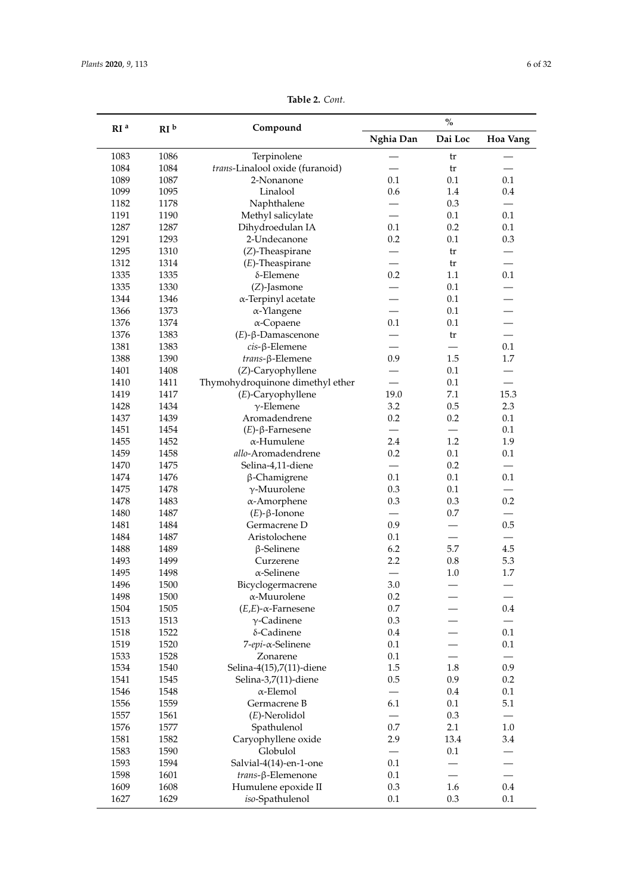|                 |                 |                                  |                          | $\%$    |                                 |
|-----------------|-----------------|----------------------------------|--------------------------|---------|---------------------------------|
| RI <sup>a</sup> | RI <sup>b</sup> | Compound                         | Nghia Dan                | Dai Loc | Hoa Vang                        |
| 1083            | 1086            | Terpinolene                      |                          | tr      |                                 |
| 1084            | 1084            | trans-Linalool oxide (furanoid)  |                          | tr      |                                 |
| 1089            | 1087            | 2-Nonanone                       | 0.1                      | 0.1     | 0.1                             |
| 1099            | 1095            | Linalool                         | 0.6                      | 1.4     | 0.4                             |
| 1182            | 1178            | Naphthalene                      |                          | 0.3     |                                 |
| 1191            | 1190            | Methyl salicylate                |                          | 0.1     | 0.1                             |
| 1287            | 1287            | Dihydroedulan IA                 | 0.1                      | 0.2     | 0.1                             |
| 1291            | 1293            | 2-Undecanone                     | 0.2                      | 0.1     | 0.3                             |
| 1295            | 1310            | $(Z)$ -Theaspirane               |                          | tr      |                                 |
| 1312            | 1314            | $(E)$ -Theaspirane               |                          | tr      |                                 |
| 1335            | 1335            | $\delta$ -Elemene                | 0.2                      | 1.1     | 0.1                             |
| 1335            | 1330            | (Z)-Jasmone                      |                          | 0.1     |                                 |
| 1344            | 1346            | $\alpha$ -Terpinyl acetate       |                          | 0.1     |                                 |
| 1366            | 1373            | $\alpha$ -Ylangene               |                          | 0.1     |                                 |
| 1376            | 1374            | $\alpha$ -Copaene                | 0.1                      | 0.1     |                                 |
| 1376            | 1383            | $(E)$ - $\beta$ -Damascenone     |                          | tr      |                                 |
| 1381            | 1383            | $cis$ - $\beta$ -Elemene         |                          |         | 0.1                             |
| 1388            | 1390            | trans-β-Elemene                  | 0.9                      | 1.5     | 1.7                             |
| 1401            | 1408            | (Z)-Caryophyllene                |                          | 0.1     |                                 |
| 1410            | 1411            | Thymohydroquinone dimethyl ether |                          | 0.1     |                                 |
| 1419            | 1417            | (E)-Caryophyllene                | 19.0                     | 7.1     | 15.3                            |
| 1428            | 1434            | $\gamma$ -Elemene                | 3.2                      | 0.5     | 2.3                             |
| 1437            | 1439            | Aromadendrene                    | 0.2                      | 0.2     | 0.1                             |
| 1451            | 1454            | $(E)$ - $\beta$ -Farnesene       |                          |         | 0.1                             |
| 1455            | 1452            | α-Humulene                       | 2.4                      | 1.2     | 1.9                             |
| 1459            | 1458            | allo-Aromadendrene               | 0.2                      | 0.1     | 0.1                             |
| 1470            | 1475            | Selina-4,11-diene                |                          | 0.2     |                                 |
| 1474            | 1476            |                                  | 0.1                      | 0.1     | 0.1                             |
| 1475            | 1478            | β-Chamigrene                     | 0.3                      | 0.1     | $\equiv$                        |
| 1478            |                 | $\gamma$ -Muurolene              | 0.3                      |         | 0.2                             |
|                 | 1483            | $\alpha$ -Amorphene              | $\equiv$                 | 0.3     | $\equiv$                        |
| 1480            | 1487            | $(E)$ - $\beta$ -Ionone          |                          | 0.7     |                                 |
| 1481            | 1484            | Germacrene D                     | 0.9                      |         | 0.5<br>$\overline{\phantom{0}}$ |
| 1484            | 1487            | Aristolochene                    | 0.1                      |         |                                 |
| 1488            | 1489            | $\beta$ -Selinene                | 6.2                      | 5.7     | 4.5                             |
| 1493            | 1499            | Curzerene                        | 2.2                      | 0.8     | 5.3                             |
| 1495            | 1498            | $\alpha$ -Selinene               |                          | 1.0     | 1.7                             |
| 1496            | 1500            | Bicyclogermacrene                | 3.0                      |         |                                 |
| 1498            | 1500            | $\alpha$ -Muurolene              | 0.2                      |         |                                 |
| 1504            | 1505            | $(E,E)$ - $\alpha$ -Farnesene    | $0.7\,$                  |         | 0.4                             |
| 1513            | 1513            | $\gamma$ -Cadinene               | 0.3                      |         |                                 |
| 1518            | 1522            | δ-Cadinene                       | 0.4                      |         | 0.1                             |
| 1519            | 1520            | 7-epi-α-Selinene                 | 0.1                      |         | 0.1                             |
| 1533            | 1528            | Zonarene                         | 0.1                      |         |                                 |
| 1534            | 1540            | Selina-4(15),7(11)-diene         | 1.5                      | 1.8     | 0.9                             |
| 1541            | 1545            | Selina-3,7(11)-diene             | 0.5                      | 0.9     | 0.2                             |
| 1546            | 1548            | $\alpha$ -Elemol                 | $\overline{\phantom{0}}$ | 0.4     | 0.1                             |
| 1556            | 1559            | Germacrene B                     | 6.1                      | 0.1     | 5.1                             |
| 1557            | 1561            | $(E)$ -Nerolidol                 |                          | 0.3     |                                 |
| 1576            | 1577            | Spathulenol                      | 0.7                      | 2.1     | 1.0                             |
| 1581            | 1582            | Caryophyllene oxide              | 2.9                      | 13.4    | 3.4                             |
| 1583            | 1590            | Globulol                         |                          | 0.1     |                                 |
| 1593            | 1594            | Salvial-4(14)-en-1-one           | 0.1                      |         |                                 |
| 1598            | 1601            | trans-β-Elemenone                | 0.1                      |         | $\overline{\phantom{0}}$        |
| 1609            | 1608            | Humulene epoxide II              | 0.3                      | 1.6     | 0.4                             |
| 1627            | 1629            | iso-Spathulenol                  | 0.1                      | 0.3     | 0.1                             |

**Table 2.** *Cont.*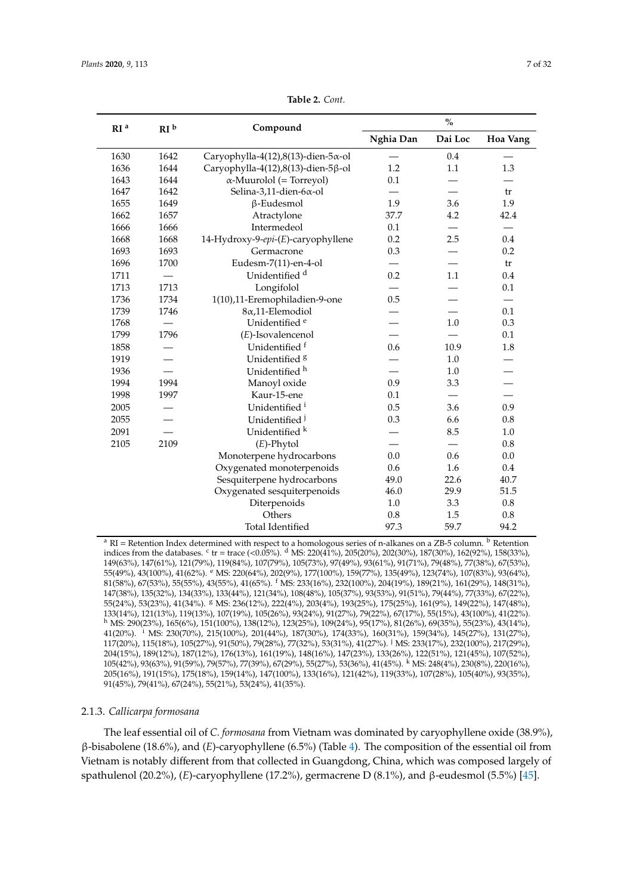<span id="page-6-0"></span>

| RI <sup>a</sup><br>RI <sup>b</sup> |      | Compound                           | $\mathbf{\mathsf{o}}_\text{/o}$ |         |          |  |
|------------------------------------|------|------------------------------------|---------------------------------|---------|----------|--|
|                                    |      |                                    | Nghia Dan                       | Dai Loc | Hoa Vang |  |
| 1630                               | 1642 | Caryophylla-4(12),8(13)-dien-5x-ol |                                 | 0.4     |          |  |
| 1636                               | 1644 | Caryophylla-4(12),8(13)-dien-5ß-ol | 1.2                             | 1.1     | 1.3      |  |
| 1643                               | 1644 | $\alpha$ -Muurolol (= Torreyol)    | 0.1                             |         |          |  |
| 1647                               | 1642 | Selina-3,11-dien-6α-ol             |                                 |         | tr       |  |
| 1655                               | 1649 | $\beta$ -Eudesmol                  | 1.9                             | 3.6     | 1.9      |  |
| 1662                               | 1657 | Atractylone                        | 37.7                            | 4.2     | 42.4     |  |
| 1666                               | 1666 | Intermedeol                        | 0.1                             |         |          |  |
| 1668                               | 1668 | 14-Hydroxy-9-epi-(E)-caryophyllene | 0.2                             | 2.5     | 0.4      |  |
| 1693                               | 1693 | Germacrone                         | 0.3                             |         | 0.2      |  |
| 1696                               | 1700 | Eudesm-7(11)-en-4-ol               |                                 |         | tr       |  |
| 1711                               |      | Unidentified <sup>d</sup>          | 0.2                             | 1.1     | 0.4      |  |
| 1713                               | 1713 | Longifolol                         |                                 |         | 0.1      |  |
| 1736                               | 1734 | 1(10),11-Eremophiladien-9-one      | 0.5                             |         |          |  |
| 1739                               | 1746 | 8α,11-Elemodiol                    |                                 |         | 0.1      |  |
| 1768                               |      | Unidentified <sup>e</sup>          |                                 | 1.0     | 0.3      |  |
| 1799                               | 1796 | (E)-Isovalencenol                  |                                 |         | 0.1      |  |
| 1858                               |      | Unidentified <sup>f</sup>          | 0.6                             | 10.9    | 1.8      |  |
| 1919                               |      | Unidentified <sup>8</sup>          |                                 | 1.0     |          |  |
| 1936                               |      | Unidentified <sup>h</sup>          |                                 | 1.0     |          |  |
| 1994                               | 1994 | Manoyl oxide                       | 0.9                             | 3.3     |          |  |
| 1998                               | 1997 | Kaur-15-ene                        | 0.1                             |         |          |  |
| 2005                               |      | Unidentified <sup>i</sup>          | 0.5                             | 3.6     | 0.9      |  |
| 2055                               |      | Unidentified <sup>j</sup>          | 0.3                             | 6.6     | 0.8      |  |
| 2091                               |      | Unidentified k                     |                                 | 8.5     | 1.0      |  |
| 2105                               | 2109 | $(E)$ -Phytol                      |                                 |         | 0.8      |  |
|                                    |      | Monoterpene hydrocarbons           | 0.0                             | 0.6     | 0.0      |  |
|                                    |      | Oxygenated monoterpenoids          | 0.6                             | 1.6     | 0.4      |  |
|                                    |      | Sesquiterpene hydrocarbons         | 49.0                            | 22.6    | 40.7     |  |
|                                    |      | Oxygenated sesquiterpenoids        | 46.0                            | 29.9    | 51.5     |  |
|                                    |      | Diterpenoids                       | $1.0$                           | 3.3     | 0.8      |  |
|                                    |      | Others                             | 0.8                             | 1.5     | 0.8      |  |
|                                    |      | <b>Total Identified</b>            | 97.3                            | 59.7    | 94.2     |  |

**Table 2.** *Cont.*

<sup>a</sup> RI = Retention Index determined with respect to a homologous series of n-alkanes on a ZB-5 column. <sup>b</sup> Retention indices from the databases. <sup>c</sup> tr = trace (<0.05%). <sup>d</sup> MS: 220(41%), 205(20%), 202(30%), 187(30%), 162(92%), 158(33%), 149(63%), 147(61%), 121(79%), 119(84%), 107(79%), 105(73%), 97(49%), 93(61%), 91(71%), 79(48%), 77(38%), 67(53%), 55(49%), 43(100%), 41(62%). <sup>e</sup> MS: 220(64%), 202(9%), 177(100%), 159(77%), 135(49%), 123(74%), 107(83%), 93(64%), 81(58%), 67(53%), 55(55%), 43(55%), 41(65%). <sup>f</sup> MS: 233(16%), 232(100%), 204(19%), 189(21%), 161(29%), 148(31%), 147(38%), 135(32%), 134(33%), 133(44%), 121(34%), 108(48%), 105(37%), 93(53%), 91(51%), 79(44%), 77(33%), 67(22%), 55(24%), 53(23%), 41(34%). <sup>g</sup> MS: 236(12%), 222(4%), 203(4%), 193(25%), 175(25%), 161(9%), 149(22%), 147(48%), 133(14%), 121(13%), 119(13%), 107(19%), 105(26%), 93(24%), 91(27%), 79(22%), 67(17%), 55(15%), 43(100%), 41(22%). <sup>h</sup> MS: 290(23%), 165(6%), 151(100%), 138(12%), 123(25%), 109(24%), 95(17%), 81(26%), 69(35%), 55(23%), 43(14%), 41(20%). <sup>i</sup> MS: 230(70%), 215(100%), 201(44%), 187(30%), 174(33%), 160(31%), 159(34%), 145(27%), 131(27%), 117(20%), 115(18%), 105(27%), 91(50%), 79(28%), 77(32%), 53(31%), 41(27%). <sup>j</sup> MS: 233(17%), 232(100%), 217(29%), 204(15%), 189(12%), 187(12%), 176(13%), 161(19%), 148(16%), 147(23%), 133(26%), 122(51%), 121(45%), 107(52%), 105(42%), 93(63%), 91(59%), 79(57%), 77(39%), 67(29%), 55(27%), 53(36%), 41(45%). <sup>k</sup> MS: 248(4%), 230(8%), 220(16%), 205(16%), 191(15%), 175(18%), 159(14%), 147(100%), 133(16%), 121(42%), 119(33%), 107(28%), 105(40%), 93(35%), 91(45%), 79(41%), 67(24%), 55(21%), 53(24%), 41(35%).

#### 2.1.3. *Callicarpa formosana*

The leaf essential oil of *C. formosana* from Vietnam was dominated by caryophyllene oxide (38.9%), β-bisabolene (18.6%), and (*E*)-caryophyllene (6.5%) (Table [4\)](#page-9-0). The composition of the essential oil from Vietnam is notably different from that collected in Guangdong, China, which was composed largely of spathulenol (20.2%), (*E*)-caryophyllene (17.2%), germacrene D (8.1%), and β-eudesmol (5.5%) [\[45\]](#page-30-5).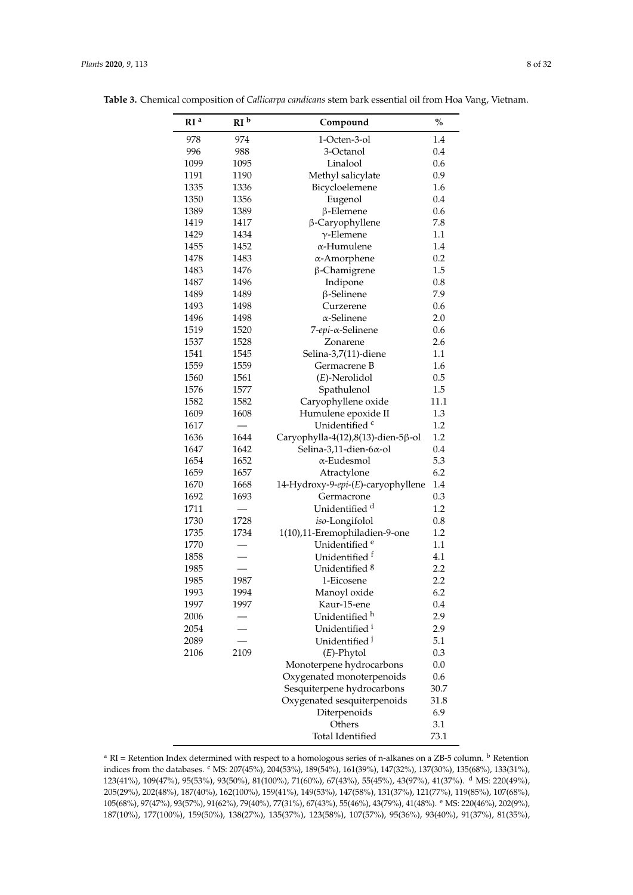| RI <sup>a</sup> | RI <sup>b</sup> | Compound                                                   | $\%$       |
|-----------------|-----------------|------------------------------------------------------------|------------|
| 978             | 974             | 1-Octen-3-ol                                               | 1.4        |
| 996             | 988             | 3-Octanol                                                  | 0.4        |
| 1099            | 1095            | Linalool                                                   | 0.6        |
| 1191            | 1190            | Methyl salicylate                                          | 0.9        |
| 1335            | 1336            | Bicycloelemene                                             | 1.6        |
| 1350            | 1356            | Eugenol                                                    | 0.4        |
| 1389            | 1389            | $\beta$ -Elemene                                           | 0.6        |
| 1419            | 1417            | β-Caryophyllene                                            | 7.8        |
| 1429            | 1434            | $\gamma$ -Elemene                                          | 1.1        |
| 1455            | 1452            | $\alpha$ -Humulene                                         | 1.4        |
| 1478            | 1483            | α-Amorphene                                                | 0.2        |
| 1483            | 1476            | β-Chamigrene                                               | 1.5        |
| 1487            | 1496            | Indipone                                                   | 0.8        |
| 1489            | 1489            | $\beta$ -Selinene                                          | 7.9        |
| 1493            | 1498            | Curzerene                                                  | 0.6        |
| 1496            | 1498            | $\alpha$ -Selinene                                         | 2.0        |
| 1519            | 1520            | 7-epi-α-Selinene                                           | 0.6        |
| 1537            | 1528            | Zonarene                                                   | 2.6        |
| 1541            | 1545            | Selina-3,7(11)-diene                                       | $1.1\,$    |
| 1559            | 1559            | Germacrene B                                               | 1.6        |
| 1560            | 1561            | $(E)$ -Nerolidol                                           | 0.5        |
| 1576            | 1577            | Spathulenol                                                | 1.5        |
| 1582            | 1582            | Caryophyllene oxide                                        | 11.1       |
| 1609            | 1608            | Humulene epoxide II                                        | 1.3        |
| 1617            |                 | Unidentified <sup>c</sup>                                  | $1.2\,$    |
| 1636            | 1644            | Caryophylla-4(12),8(13)-dien-5ß-ol                         | 1.2        |
| 1647            | 1642            | Selina-3,11-dien-6 $\alpha$ -ol                            | 0.4        |
| 1654            | 1652            | $\alpha$ -Eudesmol                                         | 5.3        |
| 1659            | 1657            | Atractylone                                                | 6.2        |
| 1670            | 1668            | 14-Hydroxy-9-epi-(E)-caryophyllene                         | 1.4        |
| 1692            | 1693            | Germacrone                                                 | 0.3        |
| 1711            |                 | Unidentified <sup>d</sup>                                  | 1.2        |
| 1730            | 1728            |                                                            | 0.8        |
| 1735            |                 | iso-Longifolol                                             |            |
| 1770            | 1734            | 1(10),11-Eremophiladien-9-one<br>Unidentified <sup>e</sup> | 1.2        |
|                 |                 |                                                            | 1.1<br>4.1 |
| 1858            |                 | Unidentified <sup>t</sup>                                  |            |
| 1985            |                 | Unidentified <sup>8</sup>                                  | 2.2        |
| 1985            | 1987            | 1-Eicosene                                                 | 2.2        |
| 1993            | 1994            | Manoyl oxide                                               | 6.2        |
| 1997            | 1997            | Kaur-15-ene                                                | 0.4        |
| 2006            |                 | Unidentified <sup>h</sup>                                  | 2.9        |
| 2054            |                 | Unidentified <sup>i</sup>                                  | 2.9        |
| 2089            |                 | Unidentified <sup>1</sup>                                  | 5.1        |
| 2106            | 2109            | $(E)$ -Phytol                                              | 0.3        |
|                 |                 | Monoterpene hydrocarbons                                   | 0.0        |
|                 |                 | Oxygenated monoterpenoids                                  | 0.6        |
|                 |                 | Sesquiterpene hydrocarbons                                 | 30.7       |
|                 |                 | Oxygenated sesquiterpenoids                                | 31.8       |
|                 |                 | Diterpenoids                                               | 6.9        |
|                 |                 | Others                                                     | 3.1        |
|                 |                 | Total Identified                                           | 73.1       |

<span id="page-7-0"></span>**Table 3.** Chemical composition of *Callicarpa candicans* stem bark essential oil from Hoa Vang, Vietnam.

 $a$  RI = Retention Index determined with respect to a homologous series of n-alkanes on a ZB-5 column.  $b$  Retention indices from the databases. <sup>c</sup> MS: 207(45%), 204(53%), 189(54%), 161(39%), 147(32%), 137(30%), 135(68%), 133(31%), 123(41%), 109(47%), 95(53%), 93(50%), 81(100%), 71(60%), 67(43%), 55(45%), 43(97%), 41(37%). <sup>d</sup> MS: 220(49%), 205(29%), 202(48%), 187(40%), 162(100%), 159(41%), 149(53%), 147(58%), 131(37%), 121(77%), 119(85%), 107(68%), 105(68%), 97(47%), 93(57%), 91(62%), 79(40%), 77(31%), 67(43%), 55(46%), 43(79%), 41(48%). <sup>e</sup> MS: 220(46%), 202(9%), 187(10%), 177(100%), 159(50%), 138(27%), 135(37%), 123(58%), 107(57%), 95(36%), 93(40%), 91(37%), 81(35%),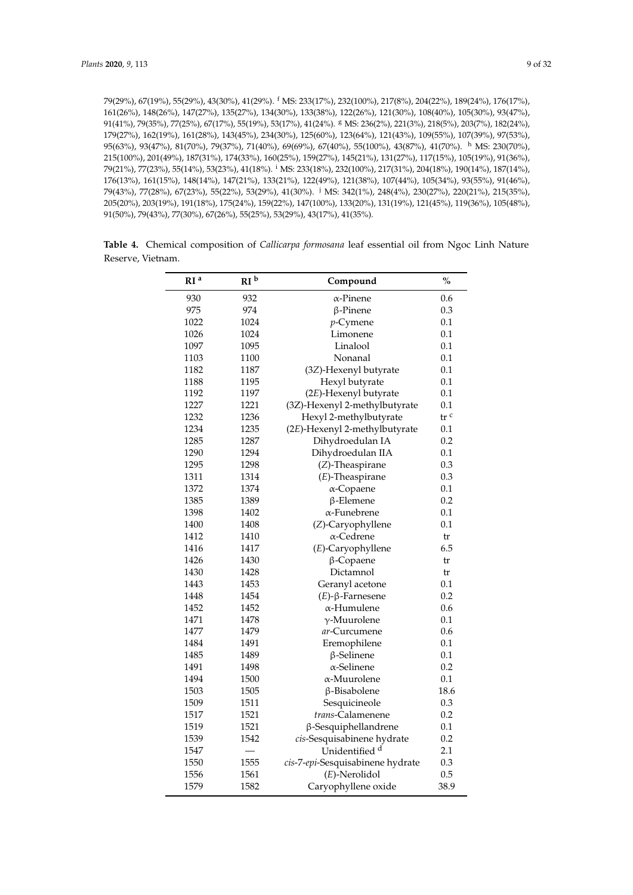79(29%), 67(19%), 55(29%), 43(30%), 41(29%). <sup>f</sup> MS: 233(17%), 232(100%), 217(8%), 204(22%), 189(24%), 176(17%), 161(26%), 148(26%), 147(27%), 135(27%), 134(30%), 133(38%), 122(26%), 121(30%), 108(40%), 105(30%), 93(47%), 91(41%), 79(35%), 77(25%), 67(17%), 55(19%), 53(17%), 41(24%). <sup>g</sup> MS: 236(2%), 221(3%), 218(5%), 203(7%), 182(24%), 179(27%), 162(19%), 161(28%), 143(45%), 234(30%), 125(60%), 123(64%), 121(43%), 109(55%), 107(39%), 97(53%), 95(63%), 93(47%), 81(70%), 79(37%), 71(40%), 69(69%), 67(40%), 55(100%), 43(87%), 41(70%). <sup>h</sup> MS: 230(70%), 215(100%), 201(49%), 187(31%), 174(33%), 160(25%), 159(27%), 145(21%), 131(27%), 117(15%), 105(19%), 91(36%), 79(21%), 77(23%), 55(14%), 53(23%), 41(18%). <sup>i</sup> MS: 233(18%), 232(100%), 217(31%), 204(18%), 190(14%), 187(14%), 176(13%), 161(15%), 148(14%), 147(21%), 133(21%), 122(49%), 121(38%), 107(44%), 105(34%), 93(55%), 91(46%), 79(43%), 77(28%), 67(23%), 55(22%), 53(29%), 41(30%). <sup>j</sup> MS: 342(1%), 248(4%), 230(27%), 220(21%), 215(35%), 205(20%), 203(19%), 191(18%), 175(24%), 159(22%), 147(100%), 133(20%), 131(19%), 121(45%), 119(36%), 105(48%), 91(50%), 79(43%), 77(30%), 67(26%), 55(25%), 53(29%), 43(17%), 41(35%).

**Table 4.** Chemical composition of *Callicarpa formosana* leaf essential oil from Ngoc Linh Nature Reserve, Vietnam.

| RI <sup>a</sup> | RI <sup>b</sup> | Compound                         | $\frac{0}{0}$     |
|-----------------|-----------------|----------------------------------|-------------------|
| 930             | 932             | α-Pinene                         | 0.6               |
| 975             | 974             | $\beta$ -Pinene                  | 0.3               |
| 1022            | 1024            | $p$ -Cymene                      | 0.1               |
| 1026            | 1024            | Limonene                         | 0.1               |
| 1097            | 1095            | Linalool                         | 0.1               |
| 1103            | 1100            | Nonanal                          | 0.1               |
| 1182            | 1187            | (3Z)-Hexenyl butyrate            | 0.1               |
| 1188            | 1195            | Hexyl butyrate                   | 0.1               |
| 1192            | 1197            | (2E)-Hexenyl butyrate            | 0.1               |
| 1227            | 1221            | (3Z)-Hexenyl 2-methylbutyrate    | 0.1               |
| 1232            | 1236            | Hexyl 2-methylbutyrate           | $tr$ <sup>c</sup> |
| 1234            | 1235            | (2E)-Hexenyl 2-methylbutyrate    | 0.1               |
| 1285            | 1287            | Dihydroedulan IA                 | 0.2               |
| 1290            | 1294            | Dihydroedulan IIA                | 0.1               |
| 1295            | 1298            | (Z)-Theaspirane                  | 0.3               |
| 1311            | 1314            | $(E)$ -Theaspirane               | 0.3               |
| 1372            | 1374            | $\alpha$ -Copaene                | 0.1               |
| 1385            | 1389            | $\beta$ -Elemene                 | 0.2               |
| 1398            | 1402            | $\alpha$ -Funebrene              | 0.1               |
| 1400            | 1408            | (Z)-Caryophyllene                | 0.1               |
| 1412            | 1410            | α-Cedrene                        | tr                |
| 1416            | 1417            | (E)-Caryophyllene                | 6.5               |
| 1426            | 1430            | β-Copaene                        | tr                |
| 1430            | 1428            | Dictamnol                        | tr                |
| 1443            | 1453            | Geranyl acetone                  | 0.1               |
| 1448            | 1454            | $(E)$ -β-Farnesene               | 0.2               |
| 1452            | 1452            | α-Humulene                       | 0.6               |
| 1471            | 1478            | $\gamma$ -Muurolene              | 0.1               |
| 1477            | 1479            | <i>ar</i> -Curcumene             | 0.6               |
| 1484            | 1491            | Eremophilene                     | 0.1               |
| 1485            | 1489            | $\beta$ -Selinene                | 0.1               |
| 1491            | 1498            | $\alpha$ -Selinene               | 0.2               |
| 1494            | 1500            | α-Muurolene                      | 0.1               |
| 1503            | 1505            | β-Bisabolene                     | 18.6              |
| 1509            | 1511            | Sesquicineole                    | 0.3               |
| 1517            | 1521            | trans-Calamenene                 | 0.2               |
| 1519            | 1521            | β-Sesquiphellandrene             | 0.1               |
| 1539            | 1542            | cis-Sesquisabinene hydrate       | 0.2               |
| 1547            |                 | Unidentified <sup>d</sup>        | 2.1               |
| 1550            | 1555            | cis-7-epi-Sesquisabinene hydrate | 0.3               |
| 1556            | 1561            | $(E)$ -Nerolidol                 | 0.5               |
| 1579            | 1582            | Caryophyllene oxide              | 38.9              |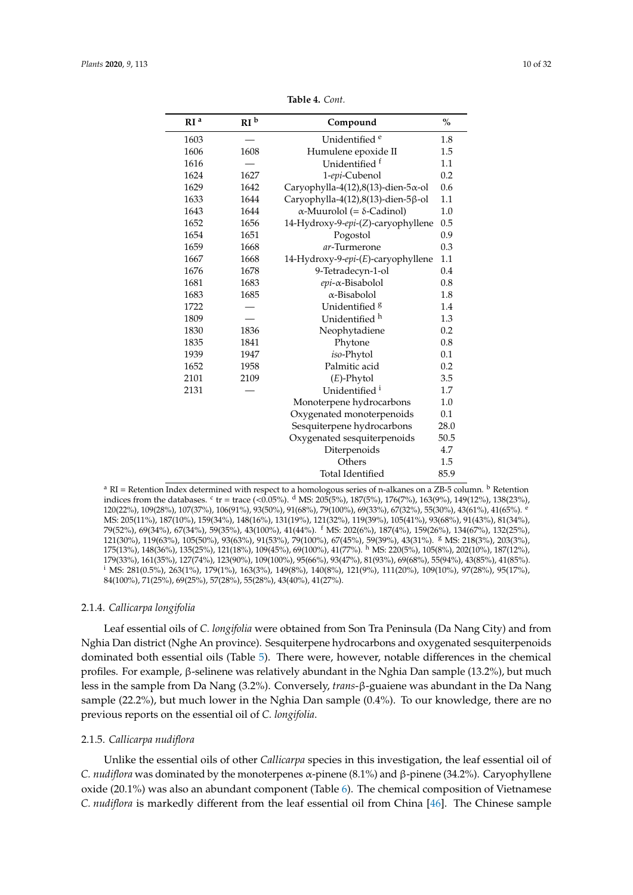<span id="page-9-0"></span>

| RI <sup>a</sup> | RI <sup>b</sup> | Compound                                 | $\frac{0}{0}$ |
|-----------------|-----------------|------------------------------------------|---------------|
| 1603            |                 | Unidentified <sup>e</sup>                | 1.8           |
| 1606            | 1608            | Humulene epoxide II                      | 1.5           |
| 1616            |                 | Unidentified f                           | 1.1           |
| 1624            | 1627            | 1-epi-Cubenol                            | 0.2           |
| 1629            | 1642            | Caryophylla-4(12),8(13)-dien-5x-ol       | 0.6           |
| 1633            | 1644            | Caryophylla-4(12),8(13)-dien-5ß-ol       | 1.1           |
| 1643            | 1644            | $\alpha$ -Muurolol (= $\delta$ -Cadinol) | 1.0           |
| 1652            | 1656            | 14-Hydroxy-9-epi-(Z)-caryophyllene       | 0.5           |
| 1654            | 1651            | Pogostol                                 | 0.9           |
| 1659            | 1668            | ar-Turmerone                             | 0.3           |
| 1667            | 1668            | 14-Hydroxy-9-epi-(E)-caryophyllene       | 1.1           |
| 1676            | 1678            | 9-Tetradecyn-1-ol                        | 0.4           |
| 1681            | 1683            | epi-a-Bisabolol                          | 0.8           |
| 1683            | 1685            | $\alpha$ -Bisabolol                      | 1.8           |
| 1722            |                 | Unidentified <sup>8</sup>                | 1.4           |
| 1809            |                 | Unidentified h                           | 1.3           |
| 1830            | 1836            | Neophytadiene                            | 0.2           |
| 1835            | 1841            | Phytone                                  | 0.8           |
| 1939            | 1947            | iso-Phytol                               | 0.1           |
| 1652            | 1958            | Palmitic acid                            | 0.2           |
| 2101            | 2109            | $(E)$ -Phytol                            | 3.5           |
| 2131            |                 | Unidentified <sup>i</sup>                | 1.7           |
|                 |                 | Monoterpene hydrocarbons                 | 1.0           |
|                 |                 | Oxygenated monoterpenoids                | 0.1           |
|                 |                 | Sesquiterpene hydrocarbons               | 28.0          |
|                 |                 | Oxygenated sesquiterpenoids              | 50.5          |
|                 |                 | Diterpenoids                             | 4.7           |
|                 |                 | Others                                   | 1.5           |
|                 |                 | <b>Total Identified</b>                  | 85.9          |

**Table 4.** *Cont.*

<sup>a</sup> RI = Retention Index determined with respect to a homologous series of n-alkanes on a ZB-5 column. <sup>b</sup> Retention indices from the databases.  $c$  tr = trace (<0.05%).  $d$  MS: 205(5%), 187(5%), 176(7%), 163(9%), 149(12%), 138(23%), 120(22%), 109(28%), 107(37%), 106(91%), 93(50%), 91(68%), 79(100%), 69(33%), 67(32%), 55(30%), 43(61%), 41(65%). <sup>e</sup> MS: 205(11%), 187(10%), 159(34%), 148(16%), 131(19%), 121(32%), 119(39%), 105(41%), 93(68%), 91(43%), 81(34%), 79(52%), 69(34%), 67(34%), 59(35%), 43(100%), 41(44%). <sup>f</sup> MS: 202(6%), 187(4%), 159(26%), 134(67%), 132(25%), 121(30%), 119(63%), 105(50%), 93(63%), 91(53%), 79(100%), 67(45%), 59(39%), 43(31%). <sup>g</sup> MS: 218(3%), 203(3%), 175(13%), 148(36%), 135(25%), 121(18%), 109(45%), 69(100%), 41(77%). <sup>h</sup> MS: 220(5%), 105(8%), 202(10%), 187(12%), 179(33%), 161(35%), 127(74%), 123(90%), 109(100%), 95(66%), 93(47%), 81(93%), 69(68%), 55(94%), 43(85%), 41(85%). <sup>i</sup> MS: 281(0.5%), 263(1%), 179(1%), 163(3%), 149(8%), 140(8%), 121(9%), 111(20%), 109(10%), 97(28%), 95(17%), 84(100%), 71(25%), 69(25%), 57(28%), 55(28%), 43(40%), 41(27%).

## 2.1.4. *Callicarpa longifolia*

Leaf essential oils of *C. longifolia* were obtained from Son Tra Peninsula (Da Nang City) and from Nghia Dan district (Nghe An province). Sesquiterpene hydrocarbons and oxygenated sesquiterpenoids dominated both essential oils (Table [5\)](#page-11-0). There were, however, notable differences in the chemical profiles. For example, β-selinene was relatively abundant in the Nghia Dan sample (13.2%), but much less in the sample from Da Nang (3.2%). Conversely, *trans*-β-guaiene was abundant in the Da Nang sample (22.2%), but much lower in the Nghia Dan sample (0.4%). To our knowledge, there are no previous reports on the essential oil of *C. longifolia*.

## 2.1.5. *Callicarpa nudiflora*

Unlike the essential oils of other *Callicarpa* species in this investigation, the leaf essential oil of *C. nudiflora* was dominated by the monoterpenes α-pinene (8.1%) and β-pinene (34.2%). Caryophyllene oxide (20.1%) was also an abundant component (Table [6\)](#page-13-0). The chemical composition of Vietnamese *C. nudiflora* is markedly different from the leaf essential oil from China [\[46\]](#page-30-6). The Chinese sample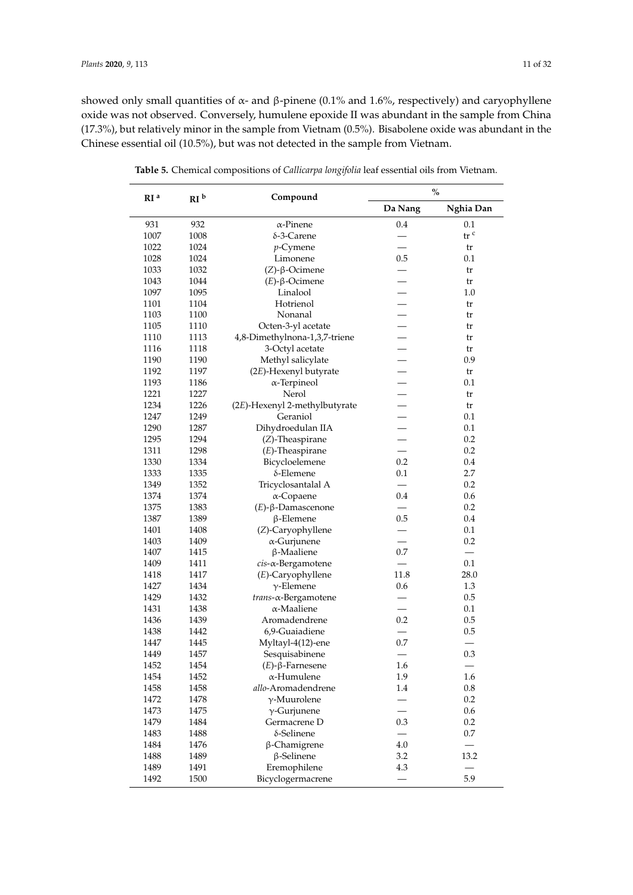showed only small quantities of  $\alpha$ - and β-pinene (0.1% and 1.6%, respectively) and caryophyllene oxide was not observed. Conversely, humulene epoxide II was abundant in the sample from China (17.3%), but relatively minor in the sample from Vietnam (0.5%). Bisabolene oxide was abundant in the Chinese essential oil (10.5%), but was not detected in the sample from Vietnam.

| RI <sup>a</sup><br>RI <sup>b</sup> |      | Compound                      |                          | $\frac{0}{0}$   |  |
|------------------------------------|------|-------------------------------|--------------------------|-----------------|--|
|                                    |      |                               | Da Nang                  | Nghia Dan       |  |
| 931                                | 932  | $\alpha$ -Pinene              | 0.4                      | 0.1             |  |
| 1007                               | 1008 | $\delta$ -3-Carene            |                          | tr <sup>c</sup> |  |
| 1022                               | 1024 | $p$ -Cymene                   |                          | tr              |  |
| 1028                               | 1024 | Limonene                      | 0.5                      | 0.1             |  |
| 1033                               | 1032 | $(Z)$ -β-Ocimene              |                          | tr              |  |
| 1043                               | 1044 | $(E)$ - $\beta$ -Ocimene      |                          | tr              |  |
| 1097                               | 1095 | Linalool                      |                          | 1.0             |  |
| 1101                               | 1104 | Hotrienol                     |                          | tr              |  |
| 1103                               | 1100 | Nonanal                       |                          | tr              |  |
| 1105                               | 1110 | Octen-3-yl acetate            |                          | tr              |  |
| 1110                               | 1113 | 4,8-Dimethylnona-1,3,7-triene |                          | tr              |  |
| 1116                               | 1118 | 3-Octyl acetate               |                          | tr              |  |
| 1190                               | 1190 | Methyl salicylate             |                          | 0.9             |  |
| 1192                               | 1197 | (2E)-Hexenyl butyrate         |                          | tr              |  |
| 1193                               | 1186 | $\alpha$ -Terpineol           |                          | 0.1             |  |
| 1221                               | 1227 | Nerol                         |                          | tr              |  |
| 1234                               | 1226 | (2E)-Hexenyl 2-methylbutyrate |                          | tr              |  |
| 1247                               | 1249 | Geraniol                      |                          | 0.1             |  |
| 1290                               | 1287 | Dihydroedulan IIA             |                          | 0.1             |  |
| 1295                               | 1294 | (Z)-Theaspirane               |                          | 0.2             |  |
| 1311                               | 1298 | $(E)$ -Theaspirane            |                          | 0.2             |  |
| 1330                               | 1334 | Bicycloelemene                | 0.2                      | 0.4             |  |
| 1333                               | 1335 | δ-Elemene                     | 0.1                      | 2.7             |  |
| 1349                               | 1352 | Tricyclosantalal A            |                          | 0.2             |  |
| 1374                               | 1374 | $\alpha$ -Copaene             | 0.4                      | 0.6             |  |
| 1375                               | 1383 | $(E)$ -β-Damascenone          |                          | 0.2             |  |
| 1387                               | 1389 | $\beta$ -Elemene              | 0.5                      | 0.4             |  |
| 1401                               | 1408 | (Z)-Caryophyllene             |                          | 0.1             |  |
| 1403                               | 1409 | $\alpha$ -Gurjunene           | $\overline{\phantom{0}}$ | 0.2             |  |
| 1407                               | 1415 | $\beta$ -Maaliene             | 0.7                      |                 |  |
| 1409                               | 1411 | cis-a-Bergamotene             |                          | 0.1             |  |
| 1418                               | 1417 | (E)-Caryophyllene             | 11.8                     | 28.0            |  |
| 1427                               | 1434 | $\gamma$ -Elemene             | 0.6                      | 1.3             |  |
| 1429                               | 1432 | trans-a-Bergamotene           |                          | 0.5             |  |
| 1431                               | 1438 | $\alpha$ -Maaliene            |                          | 0.1             |  |
| 1436                               | 1439 | Aromadendrene                 | 0.2                      | 0.5             |  |
| 1438                               | 1442 | 6,9-Guaiadiene                |                          | 0.5             |  |
| 1447                               | 1445 | Myltayl-4(12)-ene             | 0.7                      |                 |  |
| 1449                               | 1457 | Sesquisabinene                |                          | 0.3             |  |
| 1452                               | 1454 | $(E)$ -β-Farnesene            | 1.6                      | $\qquad \qquad$ |  |
| 1454                               | 1452 | $\alpha$ -Humulene            | 1.9                      | 1.6             |  |
| 1458                               | 1458 | allo-Aromadendrene            | 1.4                      | 0.8             |  |
| 1472                               | 1478 | $\gamma$ -Muurolene           |                          | 0.2             |  |
| 1473                               | 1475 | $\gamma$ -Gurjunene           |                          | 0.6             |  |
| 1479                               | 1484 | Germacrene D                  | 0.3                      | 0.2             |  |
| 1483                               | 1488 | δ-Selinene                    |                          | 0.7             |  |
| 1484                               | 1476 | β-Chamigrene                  | 4.0                      |                 |  |
| 1488                               |      |                               | 3.2                      | 13.2            |  |
|                                    | 1489 | $\beta$ -Selinene             | 4.3                      |                 |  |
| 1489                               | 1491 | Eremophilene                  |                          | 5.9             |  |
| 1492                               | 1500 | Bicyclogermacrene             |                          |                 |  |

**Table 5.** Chemical compositions of *Callicarpa longifolia* leaf essential oils from Vietnam.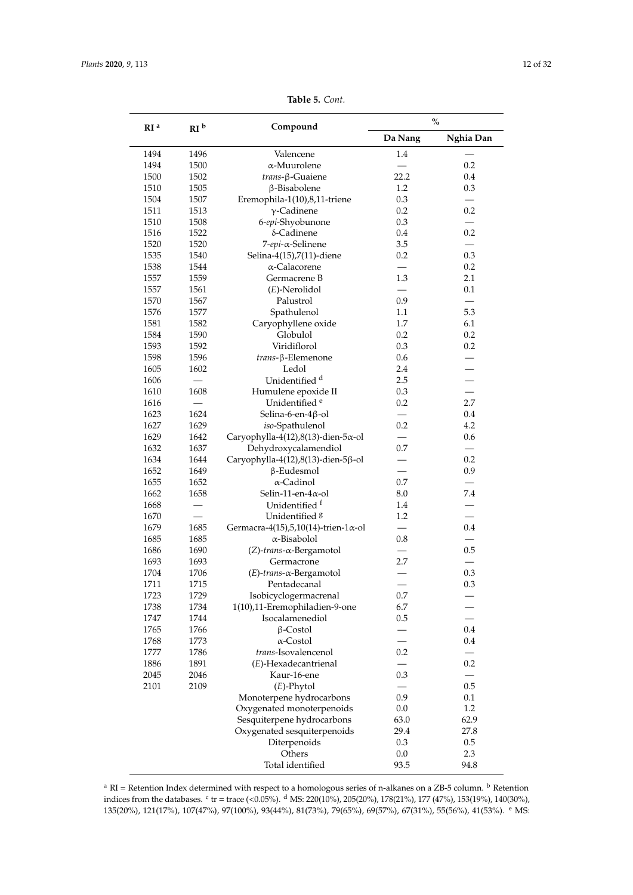<span id="page-11-0"></span>

|                 |                 |                                              | $\%$    |           |
|-----------------|-----------------|----------------------------------------------|---------|-----------|
| RI <sup>a</sup> | RI <sup>b</sup> | Compound                                     | Da Nang | Nghia Dan |
| 1494            | 1496            | Valencene                                    | 1.4     |           |
| 1494            | 1500            | $\alpha$ -Muurolene                          |         | $0.2\,$   |
| 1500            | 1502            | $trans-\beta-Guaiene$                        | 22.2    | 0.4       |
| 1510            | 1505            | β-Bisabolene                                 | 1.2     | 0.3       |
| 1504            | 1507            | Eremophila-1(10),8,11-triene                 | 0.3     |           |
| 1511            | 1513            | $\gamma$ -Cadinene                           | 0.2     | 0.2       |
| 1510            | 1508            | 6-epi-Shyobunone                             | 0.3     |           |
| 1516            | 1522            | δ-Cadinene                                   | 0.4     | 0.2       |
| 1520            | 1520            | 7-epi-α-Selinene                             | 3.5     |           |
| 1535            | 1540            | Selina-4(15),7(11)-diene                     | 0.2     | 0.3       |
| 1538            | 1544            | α-Calacorene                                 |         | 0.2       |
| 1557            | 1559            | Germacrene B                                 | 1.3     | 2.1       |
| 1557            | 1561            | $(E)$ -Nerolidol                             |         | 0.1       |
| 1570            | 1567            | Palustrol                                    | 0.9     |           |
| 1576            | 1577            | Spathulenol                                  | 1.1     | 5.3       |
| 1581            | 1582            | Caryophyllene oxide                          | 1.7     | 6.1       |
| 1584            | 1590            | Globulol                                     | 0.2     | 0.2       |
| 1593            | 1592            | Viridiflorol                                 | 0.3     | 0.2       |
| 1598            | 1596            | trans-β-Elemenone                            | 0.6     |           |
| 1605            | 1602            | Ledol                                        | 2.4     |           |
| 1606            |                 | Unidentified <sup>d</sup>                    | 2.5     |           |
| 1610            | 1608            | Humulene epoxide II                          | 0.3     |           |
| 1616            |                 | Unidentified <sup>e</sup>                    | 0.2     | 2.7       |
| 1623            | 1624            | Selina-6-en-4β-ol                            |         | 0.4       |
| 1627            | 1629            | iso-Spathulenol                              | 0.2     | 4.2       |
| 1629            | 1642            | Caryophylla-4(12),8(13)-dien-5x-ol           |         | 0.6       |
| 1632            | 1637            | Dehydroxycalamendiol                         | 0.7     |           |
| 1634            | 1644            | Caryophylla-4(12),8(13)-dien-5 $\beta$ -ol   |         | 0.2       |
| 1652            | 1649            | $\beta$ -Eudesmol                            |         | 0.9       |
| 1655            | 1652            | α-Cadinol                                    | 0.7     |           |
| 1662            | 1658            | Selin-11-en- $4\alpha$ -ol                   | 8.0     | 7.4       |
| 1668            |                 | Unidentified f                               | 1.4     |           |
| 1670            |                 | Unidentified <sup>8</sup>                    | 1.2     |           |
| 1679            | 1685            | Germacra-4(15),5,10(14)-trien-1 $\alpha$ -ol |         | 0.4       |
| 1685            | 1685            | α-Bisabolol                                  | 0.8     |           |
| 1686            | 1690            | (Z)-trans-α-Bergamotol                       |         | 0.5       |
| 1693            | 1693            | Germacrone                                   | 2.7     |           |
| 1704            | 1706            | $(E)$ -trans- $\alpha$ -Bergamotol           |         | 0.3       |
| 1711            | 1715            | Pentadecanal                                 |         | 0.3       |
| 1723            | 1729            | Isobicyclogermacrenal                        | 0.7     |           |
| 1738            | 1734            | 1(10),11-Eremophiladien-9-one                | 6.7     |           |
| 1747            | 1744            | Isocalamenediol                              | 0.5     |           |
| 1765            | 1766            | $\beta$ -Costol                              |         | 0.4       |
| 1768            | 1773            | $\alpha$ -Costol                             |         | 0.4       |
| 1777            | 1786            | trans-Isovalencenol                          | 0.2     |           |
| 1886            | 1891            | (E)-Hexadecantrienal                         |         | 0.2       |
| 2045            | 2046            | Kaur-16-ene                                  | 0.3     |           |
| 2101            | 2109            | $(E)$ -Phytol                                |         | 0.5       |
|                 |                 | Monoterpene hydrocarbons                     | 0.9     | 0.1       |
|                 |                 | Oxygenated monoterpenoids                    | 0.0     | 1.2       |
|                 |                 | Sesquiterpene hydrocarbons                   | 63.0    | 62.9      |
|                 |                 | Oxygenated sesquiterpenoids                  | 29.4    | 27.8      |
|                 |                 | Diterpenoids                                 | 0.3     | 0.5       |
|                 |                 | Others                                       | 0.0     | 2.3       |
|                 |                 | Total identified                             | 93.5    | 94.8      |

**Table 5.** *Cont.*

<sup>a</sup> RI = Retention Index determined with respect to a homologous series of n-alkanes on a ZB-5 column.  $\frac{b}{c}$  Retention indices from the databases. <sup>c</sup> tr = trace (<0.05%). <sup>d</sup> MS: 220(10%), 205(20%), 178(21%), 177 (47%), 153(19%), 140(30%), 135(20%), 121(17%), 107(47%), 97(100%), 93(44%), 81(73%), 79(65%), 69(57%), 67(31%), 55(56%), 41(53%). <sup>e</sup> MS: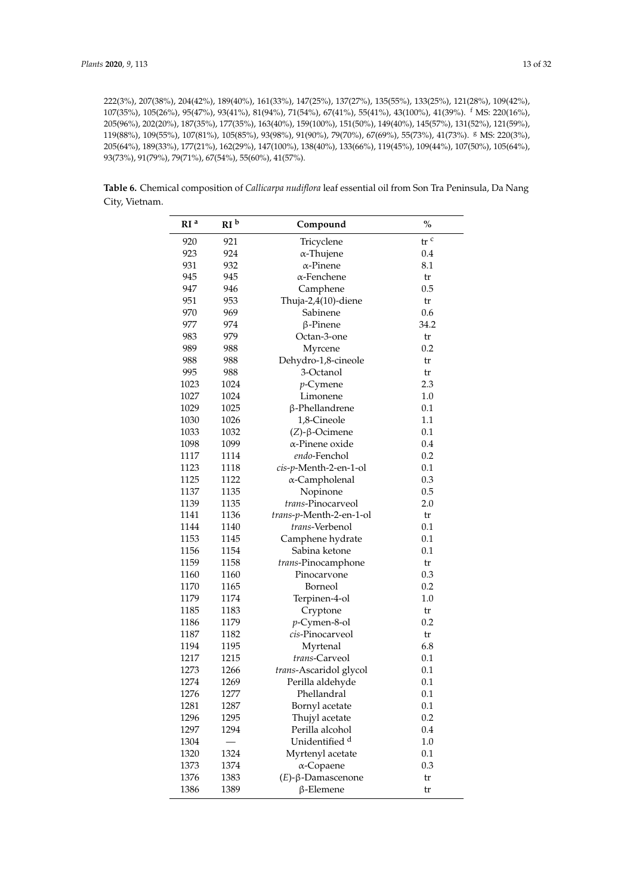222(3%), 207(38%), 204(42%), 189(40%), 161(33%), 147(25%), 137(27%), 135(55%), 133(25%), 121(28%), 109(42%), 107(35%), 105(26%), 95(47%), 93(41%), 81(94%), 71(54%), 67(41%), 55(41%), 43(100%), 41(39%). <sup>f</sup> MS: 220(16%), 205(96%), 202(20%), 187(35%), 177(35%), 163(40%), 159(100%), 151(50%), 149(40%), 145(57%), 131(52%), 121(59%), 119(88%), 109(55%), 107(81%), 105(85%), 93(98%), 91(90%), 79(70%), 67(69%), 55(73%), 41(73%). <sup>g</sup> MS: 220(3%), 205(64%), 189(33%), 177(21%), 162(29%), 147(100%), 138(40%), 133(66%), 119(45%), 109(44%), 107(50%), 105(64%), 93(73%), 91(79%), 79(71%), 67(54%), 55(60%), 41(57%).

**Table 6.** Chemical composition of *Callicarpa nudiflora* leaf essential oil from Son Tra Peninsula, Da Nang City, Vietnam.

| RI <sup>a</sup> | RI <sup>b</sup> | Compound                  | $\%$                                |
|-----------------|-----------------|---------------------------|-------------------------------------|
| 920             | 921             | Tricyclene                | $\operatorname{tr}$ $^{\mathrm{c}}$ |
| 923             | 924             | $\alpha$ -Thujene         | 0.4                                 |
| 931             | 932             | $\alpha$ -Pinene          | 8.1                                 |
| 945             | 945             | $\alpha$ -Fenchene        | tr                                  |
| 947             | 946             | Camphene                  | 0.5                                 |
| 951             | 953             | Thuja-2,4(10)-diene       | tr                                  |
| 970             | 969             | Sabinene                  | 0.6                                 |
| 977             | 974             | $\beta$ -Pinene           | 34.2                                |
| 983             | 979             | Octan-3-one               | tr                                  |
| 989             | 988             | Myrcene                   | 0.2                                 |
| 988             | 988             | Dehydro-1,8-cineole       | tr                                  |
| 995             | 988             | 3-Octanol                 | tr                                  |
| 1023            | 1024            | $p$ -Cymene               | 2.3                                 |
| 1027            | 1024            | Limonene                  | $1.0\,$                             |
| 1029            | 1025            | β-Phellandrene            | 0.1                                 |
| 1030            | 1026            | 1,8-Cineole               | 1.1                                 |
| 1033            | 1032            | $(Z)$ -β-Ocimene          | 0.1                                 |
| 1098            | 1099            | α-Pinene oxide            | 0.4                                 |
| 1117            | 1114            | endo-Fenchol              | 0.2                                 |
| 1123            | 1118            | cis-p-Menth-2-en-1-ol     | 0.1                                 |
| 1125            | 1122            | α-Campholenal             | 0.3                                 |
| 1137            | 1135            | Nopinone                  | 0.5                                 |
| 1139            | 1135            | trans-Pinocarveol         | 2.0                                 |
| 1141            | 1136            | trans-p-Menth-2-en-1-ol   | tr                                  |
| 1144            | 1140            | trans-Verbenol            | 0.1                                 |
| 1153            | 1145            | Camphene hydrate          | 0.1                                 |
| 1156            | 1154            | Sabina ketone             | 0.1                                 |
| 1159            | 1158            | trans-Pinocamphone        | tr                                  |
| 1160            | 1160            | Pinocarvone               | 0.3                                 |
| 1170            | 1165            | Borneol                   | 0.2                                 |
| 1179            | 1174            | Terpinen-4-ol             | $1.0\,$                             |
| 1185            | 1183            | Cryptone                  | tr                                  |
| 1186            | 1179            | p-Cymen-8-ol              | 0.2                                 |
| 1187            | 1182            | cis-Pinocarveol           | tr                                  |
| 1194            | 1195            | Myrtenal                  | 6.8                                 |
| 1217            | 1215            | <i>trans-Carveol</i>      | 0.1                                 |
| 1273            | 1266            | trans-Ascaridol glycol    | 0.1                                 |
| 1274            | 1269            | Perilla aldehyde          | 0.1                                 |
| 1276            | 1277            | Phellandral               | 0.1                                 |
| 1281            | 1287            | Bornyl acetate            | 0.1                                 |
| 1296            | 1295            | Thujyl acetate            | 0.2                                 |
| 1297            | 1294            | Perilla alcohol           | 0.4                                 |
| 1304            |                 | Unidentified <sup>d</sup> | 1.0                                 |
| 1320            | 1324            | Myrtenyl acetate          | 0.1                                 |
| 1373            | 1374            | α-Copaene                 | 0.3                                 |
| 1376            | 1383            | $(E)$ -β-Damascenone      | tr                                  |
| 1386            | 1389            | $\beta$ -Elemene          | tr                                  |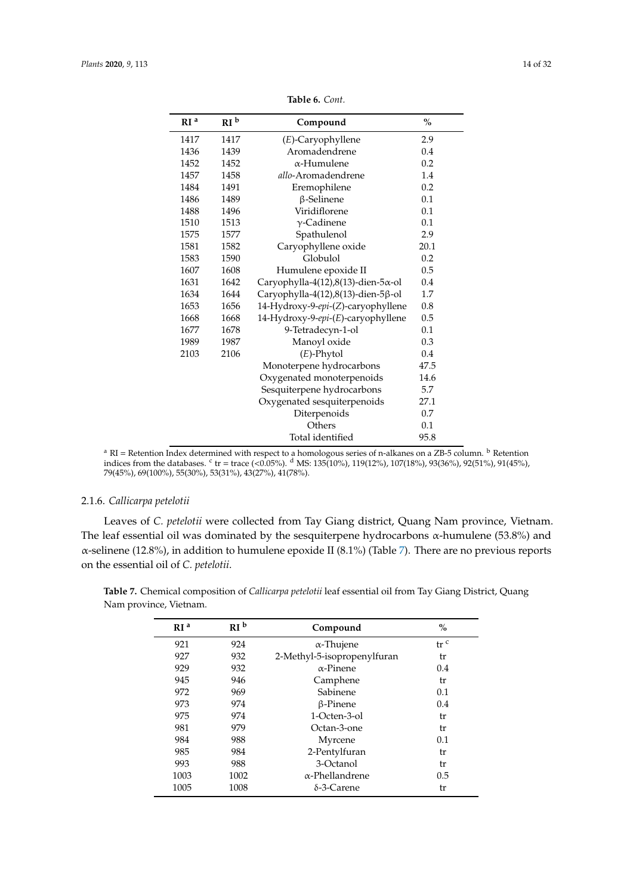<span id="page-13-0"></span>

| RI <sup>a</sup> | RI <sup>b</sup> | Compound                                   | $\%$ |
|-----------------|-----------------|--------------------------------------------|------|
| 1417            | 1417            | (E)-Caryophyllene                          | 2.9  |
| 1436            | 1439            | Aromadendrene                              | 0.4  |
| 1452            | 1452            | $\alpha$ -Humulene                         | 0.2  |
| 1457            | 1458            | allo-Aromadendrene                         | 1.4  |
| 1484            | 1491            | Eremophilene                               | 0.2  |
| 1486            | 1489            | $\beta$ -Selinene                          | 0.1  |
| 1488            | 1496            | Viridiflorene                              | 0.1  |
| 1510            | 1513            | $\gamma$ -Cadinene                         | 0.1  |
| 1575            | 1577            | Spathulenol                                | 2.9  |
| 1581            | 1582            | Caryophyllene oxide                        | 20.1 |
| 1583            | 1590            | Globulol                                   | 0.2  |
| 1607            | 1608            | Humulene epoxide II                        | 0.5  |
| 1631            | 1642            | Caryophylla-4(12),8(13)-dien-5x-ol         | 0.4  |
| 1634            | 1644            | Caryophylla-4(12),8(13)-dien-5 $\beta$ -ol | 1.7  |
| 1653            | 1656            | 14-Hydroxy-9-epi-(Z)-caryophyllene         | 0.8  |
| 1668            | 1668            | 14-Hydroxy-9-epi-(E)-caryophyllene         | 0.5  |
| 1677            | 1678            | 9-Tetradecyn-1-ol                          | 0.1  |
| 1989            | 1987            | Manoyl oxide                               | 0.3  |
| 2103            | 2106            | $(E)$ -Phytol                              | 0.4  |
|                 |                 | Monoterpene hydrocarbons                   | 47.5 |
|                 |                 | Oxygenated monoterpenoids                  | 14.6 |
|                 |                 | Sesquiterpene hydrocarbons                 | 5.7  |
|                 |                 | Oxygenated sesquiterpenoids                | 27.1 |
|                 |                 | Diterpenoids                               | 0.7  |
|                 |                 | Others                                     | 0.1  |
|                 |                 | Total identified                           | 95.8 |

**Table 6.** *Cont.*

<sup>a</sup> RI = Retention Index determined with respect to a homologous series of n-alkanes on a ZB-5 column. <sup>b</sup> Retention indices from the databases.  $c$  tr = trace (<0.05%).  $d$  MS: 135(10%), 119(12%), 107(18%), 93(36%), 92(51%), 91(45%), 79(45%), 69(100%), 55(30%), 53(31%), 43(27%), 41(78%).

## 2.1.6. *Callicarpa petelotii*

Leaves of *C. petelotii* were collected from Tay Giang district, Quang Nam province, Vietnam. The leaf essential oil was dominated by the sesquiterpene hydrocarbons  $\alpha$ -humulene (53.8%) and α-selinene (12.8%), in addition to humulene epoxide II (8.1%) (Table [7\)](#page-15-0). There are no previous reports on the essential oil of *C. petelotii*.

| RI <sup>a</sup> | RI <sup>b</sup> | Compound                    | $\%$            |
|-----------------|-----------------|-----------------------------|-----------------|
| 921             | 924             | $\alpha$ -Thujene           | tr <sup>c</sup> |
| 927             | 932             | 2-Methyl-5-isopropenylfuran | tr              |
| 929             | 932             | $\alpha$ -Pinene            | 0.4             |
| 945             | 946             | Camphene                    | tr              |
| 972             | 969             | Sabinene                    | 0.1             |
| 973             | 974             | $\beta$ -Pinene             | 0.4             |
| 975             | 974             | 1-Octen-3-ol                | tr              |
| 981             | 979             | Octan-3-one                 | tr              |
| 984             | 988             | Myrcene                     | 0.1             |
| 985             | 984             | 2-Pentylfuran               | tr              |
| 993             | 988             | 3-Octanol                   | tr              |
| 1003            | 1002            | $\alpha$ -Phellandrene      | 0.5             |
| 1005            | 1008            | $\delta$ -3-Carene          | tr              |
|                 |                 |                             |                 |

**Table 7.** Chemical composition of *Callicarpa petelotii* leaf essential oil from Tay Giang District, Quang Nam province, Vietnam.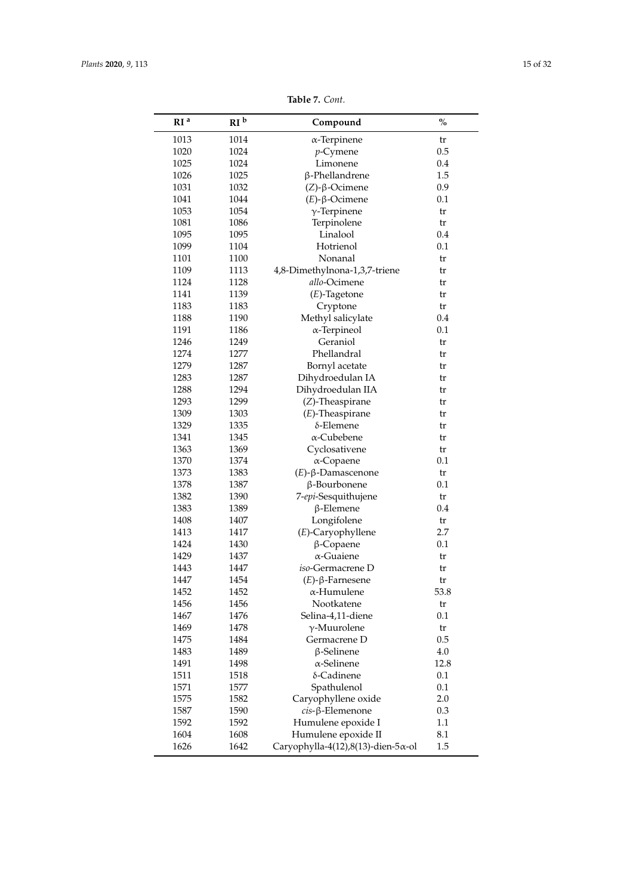| RI <sup>a</sup> | RI <sup>b</sup> | Compound                                    | $\%$ |
|-----------------|-----------------|---------------------------------------------|------|
| 1013            | 1014            | $\alpha$ -Terpinene                         | tr   |
| 1020            | 1024            | $p$ -Cymene                                 | 0.5  |
| 1025            | 1024            | Limonene                                    | 0.4  |
| 1026            | 1025            | β-Phellandrene                              | 1.5  |
| 1031            | 1032            | $(Z)$ -β-Ocimene                            | 0.9  |
| 1041            | 1044            | $(E)$ -β-Ocimene                            | 0.1  |
| 1053            | 1054            | $\gamma$ -Terpinene                         | tr   |
| 1081            | 1086            | Terpinolene                                 | tr   |
| 1095            | 1095            | Linalool                                    | 0.4  |
| 1099            | 1104            | Hotrienol                                   | 0.1  |
| 1101            | 1100            | Nonanal                                     | tr   |
| 1109            | 1113            | 4,8-Dimethylnona-1,3,7-triene               | tr   |
| 1124            | 1128            | allo-Ocimene                                | tr   |
| 1141            | 1139            | $(E)$ -Tagetone                             | tr   |
| 1183            | 1183            |                                             | tr   |
| 1188            | 1190            | Cryptone<br>Methyl salicylate               | 0.4  |
| 1191            | 1186            |                                             | 0.1  |
|                 |                 | $\alpha$ -Terpineol<br>Geraniol             |      |
| 1246            | 1249            |                                             | tr   |
| 1274            | 1277            | Phellandral                                 | tr   |
| 1279            | 1287            | Bornyl acetate                              | tr   |
| 1283            | 1287            | Dihydroedulan IA                            | tr   |
| 1288            | 1294            | Dihydroedulan IIA                           | tr   |
| 1293            | 1299            | (Z)-Theaspirane                             | tr   |
| 1309            | 1303            | $(E)$ -Theaspirane                          | tr   |
| 1329            | 1335            | δ-Elemene                                   | tr   |
| 1341            | 1345            | $\alpha$ -Cubebene                          | tr   |
| 1363            | 1369            | Cyclosativene                               | tr   |
| 1370            | 1374            | α-Copaene                                   | 0.1  |
| 1373            | 1383            | $(E)$ -β-Damascenone                        | tr   |
| 1378            | 1387            | β-Bourbonene                                | 0.1  |
| 1382            | 1390            | 7-epi-Sesquithujene                         | tr   |
| 1383            | 1389            | $\beta$ -Elemene                            | 0.4  |
| 1408            | 1407            | Longifolene                                 | tr   |
| 1413            | 1417            | (E)-Caryophyllene                           | 2.7  |
| 1424            | 1430            | $\beta$ -Copaene                            | 0.1  |
| 1429            | 1437            | α-Guaiene                                   | tr   |
| 1443            | 1447            | iso-Germacrene D                            | tr   |
| 1447            | 1454            | $(E)$ -β-Farnesene                          | tr   |
| 1452            | 1452            | α-Humulene                                  | 53.8 |
| 1456            | 1456            | Nootkatene                                  | tr   |
| 1467            | 1476            | Selina-4,11-diene                           | 0.1  |
| 1469            | 1478            | $\gamma$ -Muurolene                         | tr   |
| 1475            | 1484            | Germacrene D                                | 0.5  |
| 1483            | 1489            | $\beta$ -Selinene                           | 4.0  |
| 1491            | 1498            | $\alpha$ -Selinene                          | 12.8 |
| 1511            | 1518            | δ-Cadinene                                  | 0.1  |
| 1571            | 1577            | Spathulenol                                 | 0.1  |
| 1575            | 1582            | Caryophyllene oxide                         | 2.0  |
| 1587            | 1590            | cis-β-Elemenone                             | 0.3  |
| 1592            | 1592            |                                             | 1.1  |
|                 |                 | Humulene epoxide I                          |      |
| 1604            | 1608            | Humulene epoxide II                         | 8.1  |
| 1626            | 1642            | Caryophylla-4(12),8(13)-dien-5 $\alpha$ -ol | 1.5  |

**Table 7.** *Cont.*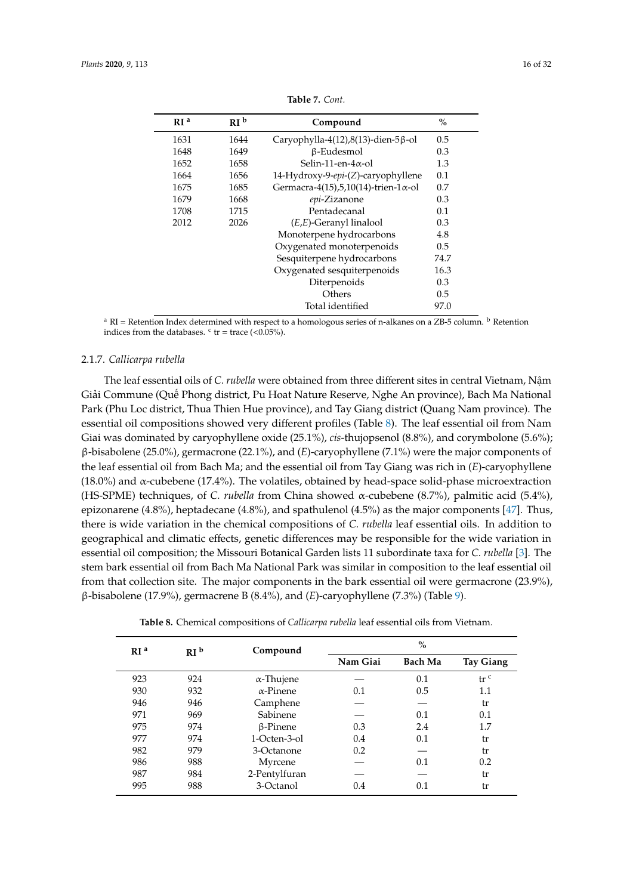<span id="page-15-0"></span>

| RI <sup>a</sup> | RI <sup>b</sup> | Compound                                     | $\%$          |
|-----------------|-----------------|----------------------------------------------|---------------|
| 1631            | 1644            | Caryophylla-4(12),8(13)-dien-5 $\beta$ -ol   | 0.5           |
| 1648            | 1649            | β-Eudesmol                                   | 0.3           |
| 1652            | 1658            | Selin-11-en- $4\alpha$ -ol                   | 1.3           |
| 1664            | 1656            | 14-Hydroxy-9-epi-(Z)-caryophyllene           | 0.1           |
| 1675            | 1685            | Germacra-4(15),5,10(14)-trien-1 $\alpha$ -ol | 0.7           |
| 1679            | 1668            | epi-Zizanone                                 | 0.3           |
| 1708            | 1715            | Pentadecanal                                 | 0.1           |
| 2012            | 2026            | $(E,E)$ -Geranyl linalool                    | 0.3           |
|                 |                 | Monoterpene hydrocarbons                     | 4.8           |
|                 |                 | Oxygenated monoterpenoids                    | 0.5           |
|                 |                 | Sesquiterpene hydrocarbons                   | 74.7          |
|                 |                 | Oxygenated sesquiterpenoids                  | 16.3          |
|                 |                 | Diterpenoids                                 | 0.3           |
|                 |                 | Others                                       | $0.5^{\circ}$ |
|                 |                 | Total identified                             | 97.0          |

**Table 7.** *Cont.*

<sup>a</sup> RI = Retention Index determined with respect to a homologous series of n-alkanes on a ZB-5 column. <sup>b</sup> Retention indices from the databases.  $\text{c tr} = \text{trace } (< 0.05\%)$ .

#### 2.1.7. *Callicarpa rubella*

The leaf essential oils of *C. rubella* were obtained from three different sites in central Vietnam, Nậm Giải Commune (Quế Phong district, Pu Hoat Nature Reserve, Nghe An province), Bach Ma National Park (Phu Loc district, Thua Thien Hue province), and Tay Giang district (Quang Nam province). The essential oil compositions showed very different profiles (Table [8\)](#page-18-0). The leaf essential oil from Nam Giai was dominated by caryophyllene oxide (25.1%), *cis*-thujopsenol (8.8%), and corymbolone (5.6%); β-bisabolene (25.0%), germacrone (22.1%), and (*E*)-caryophyllene (7.1%) were the major components of the leaf essential oil from Bach Ma; and the essential oil from Tay Giang was rich in (*E*)-caryophyllene (18.0%) and  $\alpha$ -cubebene (17.4%). The volatiles, obtained by head-space solid-phase microextraction (HS-SPME) techniques, of *C. rubella* from China showed α-cubebene (8.7%), palmitic acid (5.4%), epizonarene (4.8%), heptadecane (4.8%), and spathulenol (4.5%) as the major components [\[47\]](#page-30-7). Thus, there is wide variation in the chemical compositions of *C. rubella* leaf essential oils. In addition to geographical and climatic effects, genetic differences may be responsible for the wide variation in essential oil composition; the Missouri Botanical Garden lists 11 subordinate taxa for *C. rubella* [\[3\]](#page-28-2). The stem bark essential oil from Bach Ma National Park was similar in composition to the leaf essential oil from that collection site. The major components in the bark essential oil were germacrone (23.9%), β-bisabolene (17.9%), germacrene B (8.4%), and (*E*)-caryophyllene (7.3%) (Table [9\)](#page-20-0).

**Table 8.** Chemical compositions of *Callicarpa rubella* leaf essential oils from Vietnam.

|     |                   | $\%$                 |                |                  |
|-----|-------------------|----------------------|----------------|------------------|
|     |                   | Nam Giai             | <b>Bach Ma</b> | <b>Tay Giang</b> |
| 924 | $\alpha$ -Thujene |                      | 0.1            | tr <sup>c</sup>  |
| 932 | $\alpha$ -Pinene  | 0.1                  | 0.5            | 1.1              |
| 946 |                   |                      |                | tr               |
| 969 | Sabinene          |                      | 0.1            | 0.1              |
| 974 | $\beta$ -Pinene   | 0.3                  | 2.4            | 1.7              |
| 974 | 1-Octen-3-ol      | 0.4                  | 0.1            | tr               |
| 979 | 3-Octanone        | 0.2                  |                | tr               |
| 988 | Myrcene           |                      | 0.1            | 0.2              |
| 984 | 2-Pentylfuran     |                      |                | tr               |
| 988 | 3-Octanol         | 0.4                  | 0.1            | tr               |
|     | RI <sup>b</sup>   | Compound<br>Camphene |                |                  |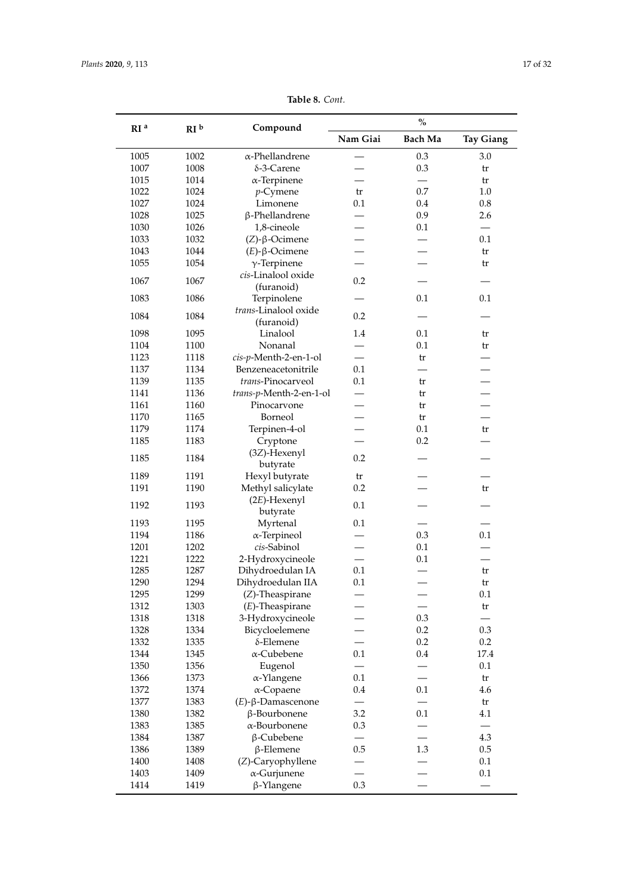| RI <sup>a</sup> | RI <sup>b</sup> | Compound                    | $\%$     |                |                  |
|-----------------|-----------------|-----------------------------|----------|----------------|------------------|
|                 |                 |                             | Nam Giai | <b>Bach Ma</b> | <b>Tay Giang</b> |
| 1005            | 1002            | $\alpha$ -Phellandrene      |          | 0.3            | 3.0              |
| 1007            | 1008            | δ-3-Carene                  |          | 0.3            | tr               |
| 1015            | 1014            | $\alpha$ -Terpinene         |          |                | tr               |
| 1022            | 1024            | $p$ -Cymene                 | tr       | 0.7            | 1.0              |
| 1027            | 1024            | Limonene                    | 0.1      | 0.4            | 0.8              |
| 1028            | 1025            | β-Phellandrene              |          | 0.9            | 2.6              |
| 1030            | 1026            | 1,8-cineole                 |          | 0.1            |                  |
| 1033            | 1032            | $(Z)$ -β-Ocimene            |          |                | 0.1              |
| 1043            | 1044            | $(E)$ -β-Ocimene            |          |                | tr               |
| 1055            | 1054            | $\gamma$ -Terpinene         |          |                | tr               |
|                 |                 | cis-Linalool oxide          |          |                |                  |
| 1067            | 1067            |                             | 0.2      |                |                  |
|                 |                 | (furanoid)                  |          |                |                  |
| 1083            | 1086            | Terpinolene                 |          | 0.1            | 0.1              |
| 1084            | 1084            | trans-Linalool oxide        | 0.2      |                |                  |
|                 |                 | (furanoid)                  |          |                |                  |
| 1098            | 1095            | Linalool                    | 1.4      | 0.1            | tr               |
| 1104            | 1100            | Nonanal                     |          | 0.1            | tr               |
| 1123            | 1118            | cis-p-Menth-2-en-1-ol       |          | tr             |                  |
| 1137            | 1134            | Benzeneacetonitrile         | 0.1      |                |                  |
| 1139            | 1135            | trans-Pinocarveol           | 0.1      | tr             |                  |
| 1141            | 1136            | trans-p-Menth-2-en-1-ol     |          | tr             |                  |
| 1161            | 1160            | Pinocarvone                 |          | tr             |                  |
| 1170            | 1165            | Borneol                     |          | tr             |                  |
| 1179            | 1174            | Terpinen-4-ol               |          | 0.1            | tr               |
| 1185            | 1183            | Cryptone                    |          | 0.2            |                  |
| 1185            | 1184            | (3Z)-Hexenyl<br>butyrate    | 0.2      |                |                  |
| 1189            | 1191            | Hexyl butyrate              | tr       |                |                  |
| 1191            | 1190            | Methyl salicylate           | 0.2      |                | tr               |
| 1192            | 1193            | $(2E)$ -Hexenyl<br>butyrate | 0.1      |                |                  |
| 1193            | 1195            |                             | 0.1      |                |                  |
|                 |                 | Myrtenal                    |          | 0.3            | 0.1              |
| 1194            | 1186            | $\alpha$ -Terpineol         |          |                |                  |
| 1201            | 1202            | cis-Sabinol                 |          | 0.1            |                  |
| 1221            | 1222            | 2-Hydroxycineole            |          | 0.1            |                  |
| 1285            | 1287            | Dihydroedulan IA            | 0.1      |                | tr               |
| 1290            | 1294            | Dihydroedulan IIA           | 0.1      |                | tr               |
| 1295            | 1299            | $(Z)$ -Theaspirane          |          |                | 0.1              |
| 1312            | 1303            | $(E)$ -Theaspirane          |          |                | tr               |
| 1318            | 1318            | 3-Hydroxycineole            |          | 0.3            |                  |
| 1328            | 1334            | Bicycloelemene              |          | 0.2            | 0.3              |
| 1332            | 1335            | δ-Elemene                   |          | 0.2            | 0.2              |
| 1344            | 1345            | $\alpha$ -Cubebene          | 0.1      | 0.4            | 17.4             |
| 1350            | 1356            | Eugenol                     |          |                | 0.1              |
| 1366            | 1373            | α-Ylangene                  | 0.1      |                | tr               |
| 1372            | 1374            | $\alpha$ -Copaene           | 0.4      | 0.1            | 4.6              |
| 1377            | 1383            | $(E)$ -β-Damascenone        |          |                | tr               |
| 1380            | 1382            | β-Bourbonene                | 3.2      | 0.1            | 4.1              |
| 1383            | 1385            | α-Bourbonene                | 0.3      |                |                  |
| 1384            | 1387            | β-Cubebene                  |          |                | 4.3              |
| 1386            | 1389            | $\beta$ -Elemene            | 0.5      | 1.3            | 0.5              |
| 1400            | 1408            | (Z)-Caryophyllene           |          |                | 0.1              |
| 1403            | 1409            |                             |          |                | 0.1              |
|                 |                 | $\alpha$ -Gurjunene         |          |                |                  |
| 1414            | 1419            | β-Ylangene                  | 0.3      |                |                  |

**Table 8.** *Cont.*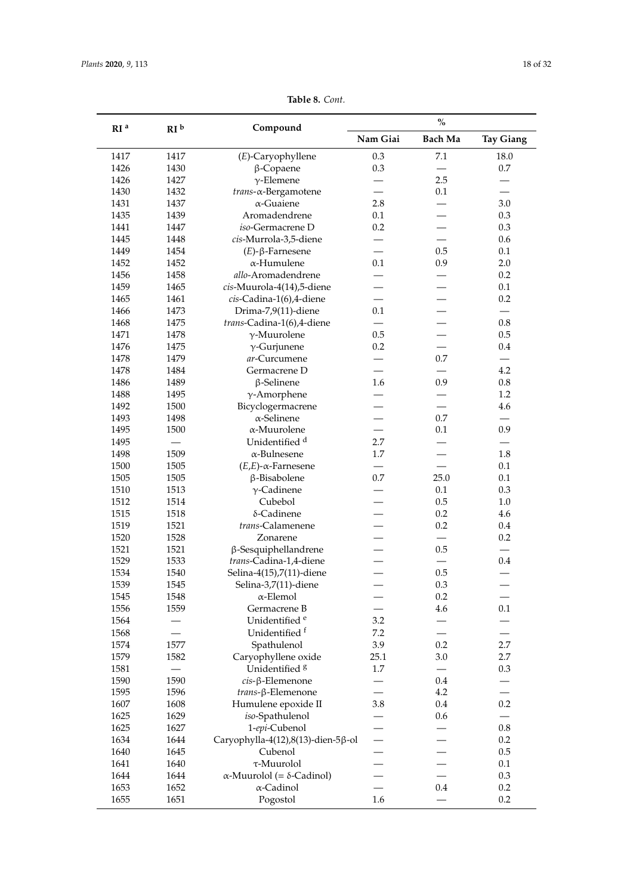|                 |                 |                                          | $\%$                     |                          |                          |
|-----------------|-----------------|------------------------------------------|--------------------------|--------------------------|--------------------------|
| RI <sup>a</sup> | RI <sup>b</sup> | Compound                                 | Nam Giai                 | <b>Bach Ma</b>           | <b>Tay Giang</b>         |
| 1417            | 1417            | (E)-Caryophyllene                        | 0.3                      | 7.1                      | 18.0                     |
| 1426            | 1430            | $\beta$ -Copaene                         | 0.3                      |                          | $0.7\,$                  |
| 1426            | 1427            | $\gamma$ -Elemene                        |                          | 2.5                      |                          |
| 1430            | 1432            | trans-a-Bergamotene                      |                          | 0.1                      |                          |
| 1431            | 1437            | $\alpha$ -Guaiene                        | 2.8                      |                          | 3.0                      |
| 1435            | 1439            | Aromadendrene                            | 0.1                      |                          | 0.3                      |
| 1441            | 1447            | iso-Germacrene D                         | 0.2                      |                          | 0.3                      |
| 1445            | 1448            | cis-Murrola-3,5-diene                    |                          |                          | 0.6                      |
| 1449            | 1454            | $(E)$ -β-Farnesene                       |                          | 0.5                      | 0.1                      |
| 1452            | 1452            | $\alpha$ -Humulene                       | 0.1                      | 0.9                      | 2.0                      |
| 1456            | 1458            | allo-Aromadendrene                       |                          |                          | 0.2                      |
| 1459            | 1465            | cis-Muurola-4(14),5-diene                |                          |                          | 0.1                      |
| 1465            | 1461            | cis-Cadina-1(6),4-diene                  |                          |                          | 0.2                      |
| 1466            | 1473            | Drima-7,9(11)-diene                      | 0.1                      |                          | $\overline{\phantom{0}}$ |
| 1468            | 1475            | trans-Cadina-1(6),4-diene                |                          |                          | $0.8\,$                  |
| 1471            | 1478            | $\gamma$ -Muurolene                      | 0.5                      |                          | 0.5                      |
| 1476            | 1475            | $\gamma$ -Gurjunene                      | 0.2                      |                          | 0.4                      |
| 1478            | 1479            | ar-Curcumene                             |                          | 0.7                      | $\overline{\phantom{0}}$ |
| 1478            | 1484            | Germacrene D                             |                          |                          | 4.2                      |
| 1486            | 1489            | $\beta$ -Selinene                        | 1.6                      | 0.9                      | $0.8\,$                  |
| 1488            | 1495            |                                          |                          |                          | 1.2                      |
| 1492            | 1500            | $\gamma$ -Amorphene                      |                          |                          | 4.6                      |
|                 |                 | Bicyclogermacrene                        |                          |                          |                          |
| 1493            | 1498            | $\alpha$ -Selinene                       |                          | 0.7                      |                          |
| 1495            | 1500            | $\alpha$ -Muurolene                      |                          | 0.1                      | 0.9                      |
| 1495            |                 | Unidentified <sup>d</sup>                | 2.7                      |                          |                          |
| 1498            | 1509            | $\alpha$ -Bulnesene                      | 1.7                      |                          | 1.8                      |
| 1500            | 1505            | $(E,E)$ - $\alpha$ -Farnesene            |                          |                          | 0.1                      |
| 1505            | 1505            | β-Bisabolene                             | 0.7                      | 25.0                     | 0.1                      |
| 1510            | 1513            | $\gamma$ -Cadinene                       |                          | 0.1                      | 0.3                      |
| 1512            | 1514            | Cubebol                                  |                          | 0.5                      | $1.0\,$                  |
| 1515            | 1518            | δ-Cadinene                               |                          | 0.2                      | 4.6                      |
| 1519            | 1521            | trans-Calamenene                         |                          | 0.2                      | 0.4                      |
| 1520            | 1528            | Zonarene                                 |                          |                          | 0.2                      |
| 1521            | 1521            | $\beta$ -Sesquiphellandrene              |                          | 0.5                      |                          |
| 1529            | 1533            | trans-Cadina-1,4-diene                   |                          |                          | 0.4                      |
| 1534            | 1540            | Selina-4(15),7(11)-diene                 |                          | 0.5                      |                          |
| 1539            | 1545            | Selina-3,7(11)-diene                     | $\overline{\phantom{0}}$ | $0.3\,$                  | —                        |
| 1545            | 1548            | $\alpha$ -Elemol                         |                          | 0.2                      |                          |
| 1556            | 1559            | Germacrene B                             |                          | 4.6                      | 0.1                      |
| 1564            |                 | Unidentified <sup>e</sup>                | 3.2                      |                          |                          |
| 1568            |                 | Unidentified <sup>f</sup>                | $7.2\,$                  | $\overline{\phantom{0}}$ | $\overline{\phantom{0}}$ |
| 1574            | 1577            | Spathulenol                              | 3.9                      | 0.2                      | 2.7                      |
| 1579            | 1582            | Caryophyllene oxide                      | 25.1                     | 3.0                      | 2.7                      |
| 1581            |                 | Unidentified <sup>8</sup>                | 1.7                      |                          | 0.3                      |
| 1590            | 1590            | cis-β-Elemenone                          |                          | 0.4                      |                          |
| 1595            | 1596            | trans-β-Elemenone                        |                          | 4.2                      |                          |
| 1607            | 1608            | Humulene epoxide II                      | 3.8                      | 0.4                      | 0.2                      |
| 1625            | 1629            | iso-Spathulenol                          |                          | 0.6                      |                          |
| 1625            | 1627            | 1-epi-Cubenol                            |                          |                          | $0.8\,$                  |
| 1634            | 1644            | Caryophylla-4(12),8(13)-dien-5β-ol       |                          |                          | 0.2                      |
| 1640            | 1645            | Cubenol                                  |                          |                          | 0.5                      |
| 1641            | 1640            | τ-Muurolol                               |                          |                          | 0.1                      |
| 1644            | 1644            | $\alpha$ -Muurolol (= $\delta$ -Cadinol) |                          |                          | 0.3                      |
| 1653            | 1652            | $\alpha$ -Cadinol                        |                          | 0.4                      | $0.2\,$                  |
| 1655            | 1651            | Pogostol                                 | 1.6                      |                          | $0.2\,$                  |
|                 |                 |                                          |                          |                          |                          |

**Table 8.** *Cont.*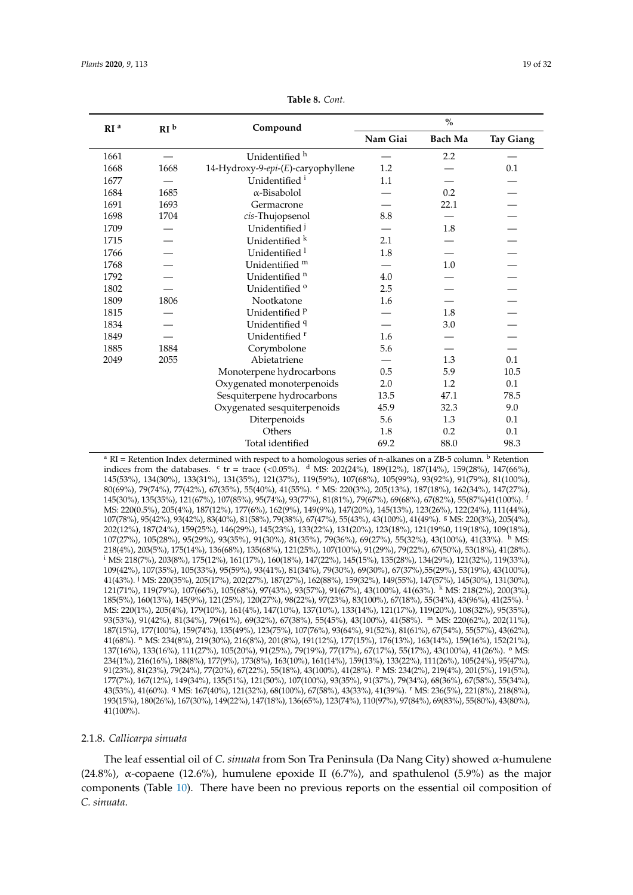<span id="page-18-0"></span>

| RI <sup>b</sup><br>RI <sup>a</sup> |      | Compound                           | $\frac{0}{0}$ |                |                  |
|------------------------------------|------|------------------------------------|---------------|----------------|------------------|
|                                    |      |                                    | Nam Giai      | <b>Bach Ma</b> | <b>Tay Giang</b> |
| 1661                               |      | Unidentified h                     |               | 2.2            |                  |
| 1668                               | 1668 | 14-Hydroxy-9-epi-(E)-caryophyllene | 1.2           |                | 0.1              |
| 1677                               |      | Unidentified <sup>i</sup>          | 1.1           |                |                  |
| 1684                               | 1685 | $\alpha$ -Bisabolol                |               | 0.2            |                  |
| 1691                               | 1693 | Germacrone                         |               | 22.1           |                  |
| 1698                               | 1704 | cis-Thujopsenol                    | 8.8           |                |                  |
| 1709                               |      | Unidentified <sup>j</sup>          |               | 1.8            |                  |
| 1715                               |      | Unidentified k                     | 2.1           |                |                  |
| 1766                               |      | Unidentified <sup>1</sup>          | 1.8           |                |                  |
| 1768                               |      | Unidentified m                     |               | 1.0            |                  |
| 1792                               |      | Unidentified <sup>n</sup>          | 4.0           |                |                  |
| 1802                               |      | Unidentified <sup>o</sup>          | 2.5           |                |                  |
| 1809                               | 1806 | Nootkatone                         | 1.6           |                |                  |
| 1815                               |      | Unidentified <sup>p</sup>          |               | 1.8            |                  |
| 1834                               |      | Unidentified 9                     |               | 3.0            |                  |
| 1849                               |      | Unidentified <sup>r</sup>          | 1.6           |                |                  |
| 1885                               | 1884 | Corymbolone                        | 5.6           |                |                  |
| 2049                               | 2055 | Abietatriene                       |               | 1.3            | 0.1              |
|                                    |      | Monoterpene hydrocarbons           | 0.5           | 5.9            | 10.5             |
|                                    |      | Oxygenated monoterpenoids          | 2.0           | 1.2            | 0.1              |
|                                    |      | Sesquiterpene hydrocarbons         | 13.5          | 47.1           | 78.5             |
|                                    |      | Oxygenated sesquiterpenoids        | 45.9          | 32.3           | 9.0              |
|                                    |      | Diterpenoids                       | 5.6           | 1.3            | 0.1              |
|                                    |      | Others                             | 1.8           | 0.2            | 0.1              |
|                                    |      | Total identified                   | 69.2          | 88.0           | 98.3             |

**Table 8.** *Cont.*

<sup>a</sup> RI = Retention Index determined with respect to a homologous series of n-alkanes on a ZB-5 column. <sup>b</sup> Retention indices from the databases.  $\epsilon$  tr = trace (<0.05%).  $\frac{d}{d}$  MS: 202(24%), 189(12%), 187(14%), 159(28%), 147(66%), 145(53%), 134(30%), 133(31%), 131(35%), 121(37%), 119(59%), 107(68%), 105(99%), 93(92%), 91(79%), 81(100%), 80(69%), 79(74%), 77(42%), 67(35%), 55(40%), 41(55%). <sup>e</sup> MS: 220(3%), 205(13%), 187(18%), 162(34%), 147(27%), 145(30%), 135(35%), 121(67%), 107(85%), 95(74%), 93(77%), 81(81%), 79(67%), 69(68%), 67(82%), 55(87%)41(100%). <sup>f</sup> MS: 220(0.5%), 205(4%), 187(12%), 177(6%), 162(9%), 149(9%), 147(20%), 145(13%), 123(26%), 122(24%), 111(44%), 107(78%), 95(42%), 93(42%), 83(40%), 81(58%), 79(38%), 67(47%), 55(43%), 43(100%), 41(49%). <sup>g</sup> MS: 220(3%), 205(4%), 202(12%), 187(24%), 159(25%), 146(29%), 145(23%), 133(22%), 131(20%), 123(18%), 121(19%0, 119(18%), 109(18%), 107(27%), 105(28%), 95(29%), 93(35%), 91(30%), 81(35%), 79(36%), 69(27%), 55(32%), 43(100%), 41(33%). <sup>h</sup> MS: 218(4%), 203(5%), 175(14%), 136(68%), 135(68%), 121(25%), 107(100%), 91(29%), 79(22%), 67(50%), 53(18%), 41(28%). <sup>i</sup> MS: 218(7%), 203(8%), 175(12%), 161(17%), 160(18%), 147(22%), 145(15%), 135(28%), 134(29%), 121(32%), 119(33%), 109(42%), 107(35%), 105(33%), 95(59%), 93(41%), 81(34%), 79(30%), 69(30%), 67(37%),55(29%), 53(19%), 43(100%), 41(43%). <sup>j</sup> MS: 220(35%), 205(17%), 202(27%), 187(27%), 162(88%), 159(32%), 149(55%), 147(57%), 145(30%), 131(30%), 121(71%), 119(79%), 107(66%), 105(68%), 97(43%), 93(57%), 91(67%), 43(100%), 41(63%). <sup>k</sup> MS: 218(2%), 200(3%), 185(5%), 160(13%), 145(9%), 121(25%), 120(27%), 98(22%), 97(23%), 83(100%), 67(18%), 55(34%), 43(96%), 41(25%). <sup>l</sup> MS: 220(1%), 205(4%), 179(10%), 161(4%), 147(10%), 137(10%), 133(14%), 121(17%), 119(20%), 108(32%), 95(35%), 93(53%), 91(42%), 81(34%), 79(61%), 69(32%), 67(38%), 55(45%), 43(100%), 41(58%). <sup>m</sup> MS: 220(62%), 202(11%), 187(15%), 177(100%), 159(74%), 135(49%), 123(75%), 107(76%), 93(64%), 91(52%), 81(61%), 67(54%), 55(57%), 43(62%), 41(68%). <sup>n</sup> MS: 234(8%), 219(30%), 216(8%), 201(8%), 191(12%), 177(15%), 176(13%), 163(14%), 159(16%), 152(21%), 137(16%), 133(16%), 111(27%), 105(20%), 91(25%), 79(19%), 77(17%), 67(17%), 55(17%), 43(100%), 41(26%). <sup>o</sup> MS: 234(1%), 216(16%), 188(8%), 177(9%), 173(8%), 163(10%), 161(14%), 159(13%), 133(22%), 111(26%), 105(24%), 95(47%), 91(23%), 81(23%), 79(24%), 77(20%), 67(22%), 55(18%), 43(100%), 41(28%). <sup>p</sup> MS: 234(2%), 219(4%), 201(5%), 191(5%), 177(7%), 167(12%), 149(34%), 135(51%), 121(50%), 107(100%), 93(35%), 91(37%), 79(34%), 68(36%), 67(58%), 55(34%), 43(53%), 41(60%). <sup>q</sup> MS: 167(40%), 121(32%), 68(100%), 67(58%), 43(33%), 41(39%). <sup>r</sup> MS: 236(5%), 221(8%), 218(8%), 193(15%), 180(26%), 167(30%), 149(22%), 147(18%), 136(65%), 123(74%), 110(97%), 97(84%), 69(83%), 55(80%), 43(80%), 41(100%).

### 2.1.8. *Callicarpa sinuata*

The leaf essential oil of *C. sinuata* from Son Tra Peninsula (Da Nang City) showed α-humulene (24.8%),  $\alpha$ -copaene (12.6%), humulene epoxide II (6.7%), and spathulenol (5.9%) as the major components (Table [10\)](#page-21-0). There have been no previous reports on the essential oil composition of *C. sinuata*.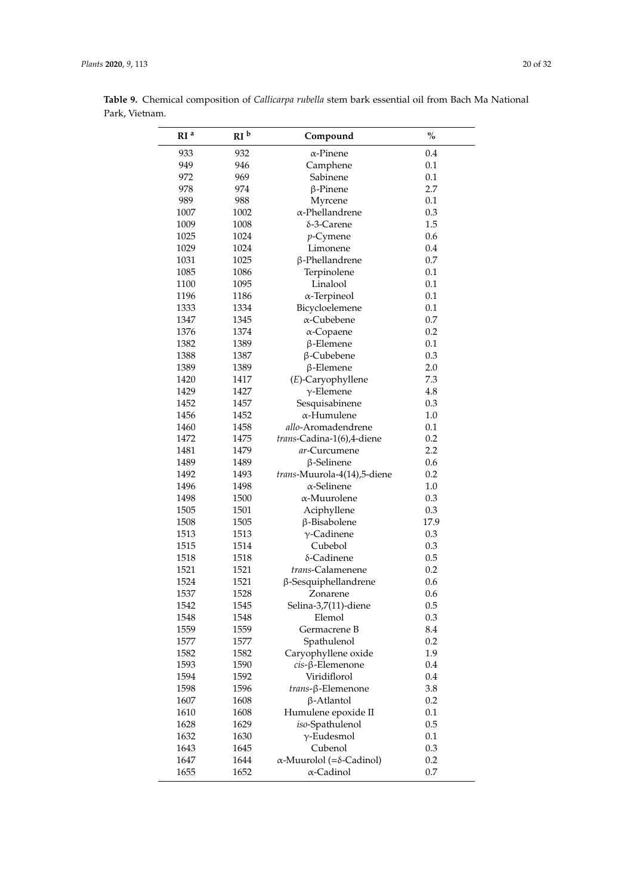| RI <sup>a</sup> | RI <sup>b</sup> | Compound                                 | $\frac{0}{0}$ |
|-----------------|-----------------|------------------------------------------|---------------|
| 933             | 932             | α-Pinene                                 | 0.4           |
| 949             | 946             | Camphene                                 | 0.1           |
| 972             | 969             | Sabinene                                 | 0.1           |
| 978             | 974             | $\beta$ -Pinene                          | 2.7           |
| 989             | 988             | Myrcene                                  | 0.1           |
| 1007            | 1002            | $\alpha$ -Phellandrene                   | 0.3           |
| 1009            | 1008            | δ-3-Carene                               | 1.5           |
| 1025            | 1024            | $p$ -Cymene                              | 0.6           |
| 1029            | 1024            | Limonene                                 | 0.4           |
| 1031            | 1025            | β-Phellandrene                           | 0.7           |
| 1085            | 1086            | Terpinolene                              | 0.1           |
| 1100            | 1095            | Linalool                                 | 0.1           |
| 1196            | 1186            | $\alpha$ -Terpineol                      | 0.1           |
| 1333            | 1334            | Bicycloelemene                           | 0.1           |
| 1347            | 1345            | $\alpha$ -Cubebene                       | 0.7           |
| 1376            | 1374            | $\alpha$ -Copaene                        | 0.2           |
| 1382            | 1389            | $\beta$ -Elemene                         | 0.1           |
| 1388            | 1387            | $\beta$ -Cubebene                        | 0.3           |
| 1389            | 1389            | $\beta$ -Elemene                         | 2.0           |
| 1420            | 1417            | (E)-Caryophyllene                        | 7.3           |
| 1429            | 1427            | $\gamma$ -Elemene                        | 4.8           |
| 1452            | 1457            | Sesquisabinene                           | 0.3           |
| 1456            | 1452            | $\alpha$ -Humulene                       | 1.0           |
| 1460            | 1458            | allo-Aromadendrene                       | 0.1           |
| 1472            | 1475            | trans-Cadina-1(6),4-diene                | 0.2           |
| 1481            | 1479            | ar-Curcumene                             | 2.2           |
| 1489            | 1489            | $\beta$ -Selinene                        | 0.6           |
| 1492            | 1493            | trans-Muurola-4(14),5-diene              | 0.2           |
| 1496            | 1498            | α-Selinene                               | 1.0           |
| 1498            | 1500            | α-Muurolene                              | 0.3           |
| 1505            | 1501            | Aciphyllene                              | 0.3           |
| 1508            | 1505            | β-Bisabolene                             | 17.9          |
| 1513            | 1513            | $\gamma$ -Cadinene                       | 0.3           |
| 1515            | 1514            | Cubebol                                  | 0.3           |
| 1518            | 1518            | δ-Cadinene                               | 0.5           |
| 1521            | 1521            | trans-Calamenene                         | 0.2           |
| 1524            | 1521            | $\beta$ -Sesquiphellandrene              | 0.6           |
| 1537            | 1528            | Zonarene                                 | 0.6           |
| 1542            | 1545            | Selina-3,7(11)-diene                     | 0.5           |
| 1548            | 1548            | Elemol                                   | 0.3           |
| 1559            | 1559            | Germacrene B                             | 8.4           |
| 1577            | 1577            | Spathulenol                              | 0.2           |
| 1582            | 1582            | Caryophyllene oxide                      | 1.9           |
| 1593            | 1590            | $cis$ - $\beta$ -Elemenone               | 0.4           |
| 1594            | 1592            | Viridiflorol                             | 0.4           |
| 1598            | 1596            | trans-β-Elemenone                        | 3.8           |
| 1607            | 1608            | $\beta$ -Atlantol                        | 0.2           |
| 1610            | 1608            | Humulene epoxide II                      | 0.1           |
| 1628            | 1629            | iso-Spathulenol                          | 0.5           |
| 1632            | 1630            | $\gamma$ -Eudesmol                       | 0.1           |
| 1643            | 1645            | Cubenol                                  | 0.3           |
| 1647            | 1644            | $\alpha$ -Muurolol (= $\delta$ -Cadinol) | 0.2           |
| 1655            | 1652            | $\alpha$ -Cadinol                        | 0.7           |
|                 |                 |                                          |               |

**Table 9.** Chemical composition of *Callicarpa rubella* stem bark essential oil from Bach Ma National Park, Vietnam.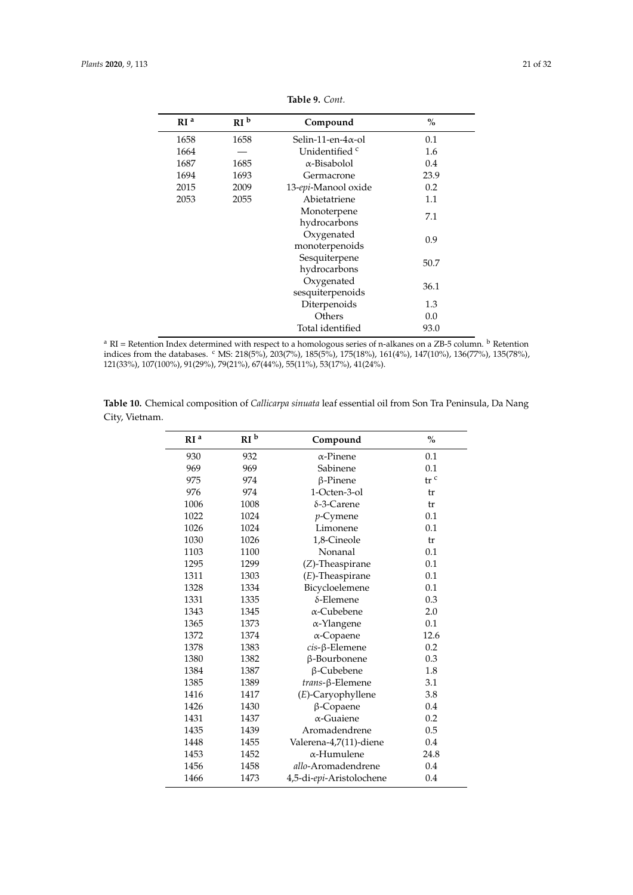<span id="page-20-0"></span>

| RI <sup>a</sup> | RI <sup>b</sup> | Compound                   | $\%$ |
|-----------------|-----------------|----------------------------|------|
| 1658            | 1658            | Selin-11-en- $4\alpha$ -ol | 0.1  |
| 1664            |                 | Unidentified c             | 1.6  |
| 1687            | 1685            | $\alpha$ -Bisabolol        | 0.4  |
| 1694            | 1693            | Germacrone                 | 23.9 |
| 2015            | 2009            | 13-epi-Manool oxide        | 0.2  |
| 2053            | 2055            | Abietatriene               | 1.1  |
|                 |                 | Monoterpene                | 7.1  |
|                 |                 | hydrocarbons               |      |
|                 |                 | Oxygenated                 | 0.9  |
|                 |                 | monoterpenoids             |      |
|                 |                 | Sesquiterpene              | 50.7 |
|                 |                 | hydrocarbons               |      |
|                 |                 | Oxygenated                 | 36.1 |
|                 |                 | sesquiterpenoids           |      |
|                 |                 | Diterpenoids               | 1.3  |
|                 |                 | Others                     | 0.0  |
|                 |                 | Total identified           | 93.0 |

**Table 9.** *Cont.*

 $^{\rm a}$  RI = Retention Index determined with respect to a homologous series of n-alkanes on a ZB-5 column.  $^{\rm b}$  Retention indices from the databases. <sup>c</sup> MS: 218(5%), 203(7%), 185(5%), 175(18%), 161(4%), 147(10%), 136(77%), 135(78%), 121(33%), 107(100%), 91(29%), 79(21%), 67(44%), 55(11%), 53(17%), 41(24%).

|                | nrh. |                                                                                                                |  |
|----------------|------|----------------------------------------------------------------------------------------------------------------|--|
| City, Vietnam. |      |                                                                                                                |  |
|                |      | Table 10. Chemical composition of <i>Callicarpa sinuata</i> leaf essential oil from Son Tra Peninsula, Da Nang |  |

| RI <sup>a</sup> | RI <sup>b</sup> | Compound                 | $\%$            |  |
|-----------------|-----------------|--------------------------|-----------------|--|
| 930             | 932             | α-Pinene                 | 0.1             |  |
| 969             | 969             | Sabinene                 | 0.1             |  |
| 975             | 974             | $\beta$ -Pinene          | tr <sup>c</sup> |  |
| 976             | 974             | 1-Octen-3-ol             | tr              |  |
| 1006            | 1008            | δ-3-Carene               | tr              |  |
| 1022            | 1024            | $p$ -Cymene              | 0.1             |  |
| 1026            | 1024            | Limonene                 | 0.1             |  |
| 1030            | 1026            | 1,8-Cineole              | tr              |  |
| 1103            | 1100            | Nonanal                  | 0.1             |  |
| 1295            | 1299            | (Z)-Theaspirane          | 0.1             |  |
| 1311            | 1303            | $(E)$ -Theaspirane       | 0.1             |  |
| 1328            | 1334            | Bicycloelemene           | 0.1             |  |
| 1331            | 1335            | $\delta$ -Elemene        | 0.3             |  |
| 1343            | 1345            | α-Cubebene               | 2.0             |  |
| 1365            | 1373            | α-Ylangene               | 0.1             |  |
| 1372            | 1374            | $\alpha$ -Copaene        | 12.6            |  |
| 1378            | 1383            | $cis$ - $\beta$ -Elemene | 0.2             |  |
| 1380            | 1382            | β-Bourbonene             | 0.3             |  |
| 1384            | 1387            | β-Cubebene               | 1.8             |  |
| 1385            | 1389            | trans-β-Elemene          | 3.1             |  |
| 1416            | 1417            | (E)-Caryophyllene        | 3.8             |  |
| 1426            | 1430            | β-Copaene                | 0.4             |  |
| 1431            | 1437            | $\alpha$ -Guaiene        | 0.2             |  |
| 1435            | 1439            | Aromadendrene            | 0.5             |  |
| 1448            | 1455            | Valerena-4,7(11)-diene   | 0.4             |  |
| 1453            | 1452            | $\alpha$ -Humulene       | 24.8            |  |
| 1456            | 1458            | allo-Aromadendrene       | 0.4             |  |
| 1466            | 1473            | 4,5-di-epi-Aristolochene | 0.4             |  |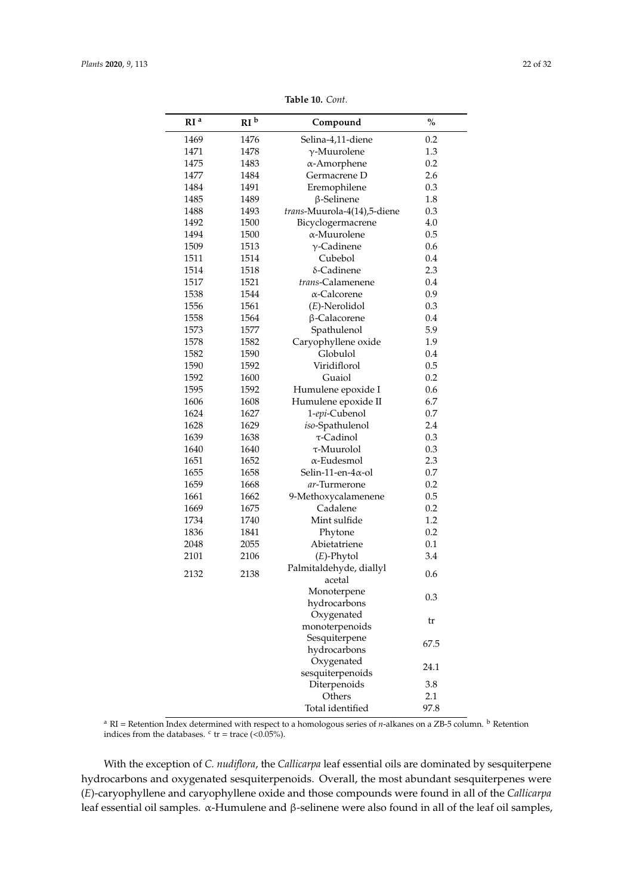<span id="page-21-0"></span>

| RI <sup>a</sup> | RI <sup>b</sup> | Compound                                 | $\frac{0}{0}$ |
|-----------------|-----------------|------------------------------------------|---------------|
| 1469            | 1476            | Selina-4,11-diene                        | 0.2           |
| 1471            | 1478            | $\gamma$ -Muurolene                      | 1.3           |
| 1475            | 1483            | α-Amorphene                              | 0.2           |
| 1477            | 1484            | Germacrene D                             | 2.6           |
| 1484            | 1491            | Eremophilene                             | 0.3           |
| 1485            | 1489            | $\beta$ -Selinene                        | 1.8           |
| 1488            | 1493            | trans-Muurola-4(14),5-diene              | 0.3           |
| 1492            | 1500            | Bicyclogermacrene                        | 4.0           |
| 1494            | 1500            | α-Muurolene                              | 0.5           |
| 1509            | 1513            | $\gamma$ -Cadinene                       | 0.6           |
| 1511            | 1514            | Cubebol                                  | 0.4           |
| 1514            | 1518            | δ-Cadinene                               | 2.3           |
| 1517            | 1521            | trans-Calamenene                         | 0.4           |
| 1538            | 1544            | α-Calcorene                              | 0.9           |
| 1556            | 1561            | $(E)$ -Nerolidol                         | 0.3           |
| 1558            | 1564            | β-Calacorene                             | 0.4           |
| 1573            | 1577            | Spathulenol                              | 5.9           |
| 1578            | 1582            | Caryophyllene oxide                      | 1.9           |
| 1582            | 1590            | Globulol                                 | 0.4           |
| 1590            | 1592            | Viridiflorol                             | 0.5           |
| 1592            | 1600            | Guaiol                                   | 0.2           |
| 1595            | 1592            | Humulene epoxide I                       | 0.6           |
| 1606            | 1608            | Humulene epoxide II                      | 6.7           |
| 1624            | 1627            | 1-epi-Cubenol                            | 0.7           |
| 1628            | 1629            | iso-Spathulenol                          | 2.4           |
| 1639            | 1638            | $\tau$ -Cadinol                          | 0.3           |
| 1640            | 1640            | τ-Muurolol                               | 0.3           |
| 1651            | 1652            | α-Eudesmol                               | 2.3           |
| 1655            | 1658            | Selin-11-en- $4\alpha$ -ol               | 0.7           |
| 1659            | 1668            | <i>ar</i> -Turmerone                     | 0.2           |
| 1661            | 1662            | 9-Methoxycalamenene                      | 0.5           |
| 1669            | 1675            | Cadalene                                 | 0.2           |
| 1734            | 1740            | Mint sulfide                             | 1.2           |
| 1836            | 1841            | Phytone                                  | 0.2           |
| 2048            | 2055            | Abietatriene                             | 0.1           |
| 2101            | 2106            | $(E)$ -Phytol<br>Palmitaldehyde, diallyl | 3.4           |
| 2132            | 2138            | acetal                                   | 0.6           |
|                 |                 | Monoterpene<br>hydrocarbons              | 0.3           |
|                 |                 | Oxygenated<br>monoterpenoids             | tr            |
|                 |                 | Sesquiterpene                            |               |
|                 |                 | hydrocarbons                             | 67.5          |
|                 |                 | Oxygenated                               | 24.1          |
|                 |                 | sesquiterpenoids                         |               |
|                 |                 | Diterpenoids                             | 3.8           |
|                 |                 | Others                                   | 2.1           |
|                 |                 | Total identified                         | 97.8          |

**Table 10.** *Cont.*

<sup>a</sup> RI = Retention Index determined with respect to a homologous series of *n-*alkanes on a ZB-5 column. <sup>b</sup> Retention indices from the databases.  $\text{c tr} = \text{trace } (< 0.05\%)$ .

With the exception of *C. nudiflora*, the *Callicarpa* leaf essential oils are dominated by sesquiterpene hydrocarbons and oxygenated sesquiterpenoids. Overall, the most abundant sesquiterpenes were (*E*)-caryophyllene and caryophyllene oxide and those compounds were found in all of the *Callicarpa* leaf essential oil samples. α-Humulene and β-selinene were also found in all of the leaf oil samples,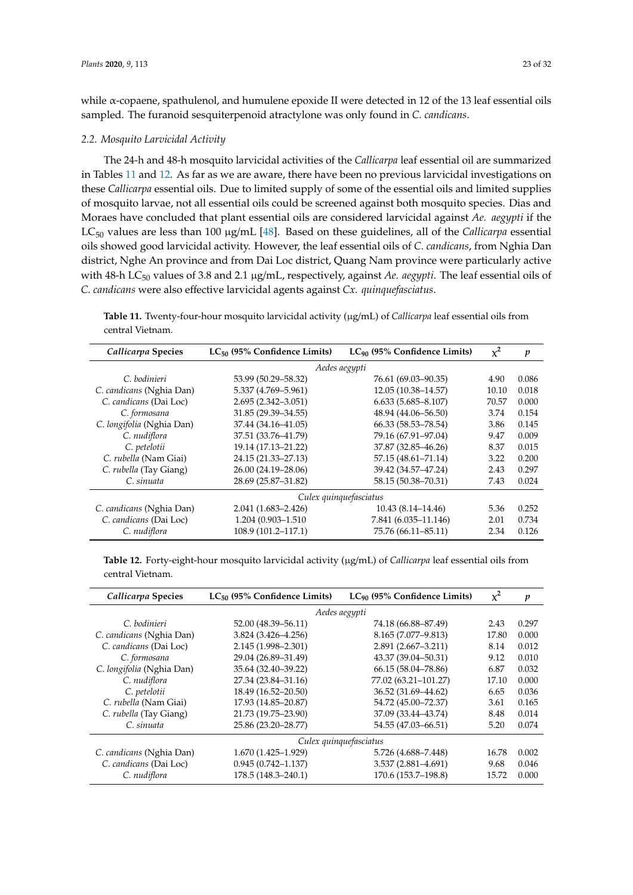while α-copaene, spathulenol, and humulene epoxide II were detected in 12 of the 13 leaf essential oils sampled. The furanoid sesquiterpenoid atractylone was only found in *C. candicans*.

#### *2.2. Mosquito Larvicidal Activity*

The 24-h and 48-h mosquito larvicidal activities of the *Callicarpa* leaf essential oil are summarized in Tables [11](#page-22-0) and [12.](#page-22-1) As far as we are aware, there have been no previous larvicidal investigations on these *Callicarpa* essential oils. Due to limited supply of some of the essential oils and limited supplies of mosquito larvae, not all essential oils could be screened against both mosquito species. Dias and Moraes have concluded that plant essential oils are considered larvicidal against *Ae. aegypti* if the LC<sup>50</sup> values are less than 100 µg/mL [\[48\]](#page-30-8). Based on these guidelines, all of the *Callicarpa* essential oils showed good larvicidal activity. However, the leaf essential oils of *C. candicans*, from Nghia Dan district, Nghe An province and from Dai Loc district, Quang Nam province were particularly active with 48-h LC<sup>50</sup> values of 3.8 and 2.1 µg/mL, respectively, against *Ae. aegypti*. The leaf essential oils of *C. candicans* were also effective larvicidal agents against *Cx. quinquefasciatus*.

<span id="page-22-0"></span>**Table 11.** Twenty-four-hour mosquito larvicidal activity (µg/mL) of *Callicarpa* leaf essential oils from central Vietnam.

| Callicarpa Species        | $LC_{50}$ (95% Confidence Limits) | $LC_{90}$ (95% Confidence Limits) | $\chi^2$ | $\boldsymbol{p}$ |
|---------------------------|-----------------------------------|-----------------------------------|----------|------------------|
|                           | Aedes aegypti                     |                                   |          |                  |
| C. bodinieri              | 53.99 (50.29–58.32)               | 76.61 (69.03–90.35)               | 4.90     | 0.086            |
| C. candicans (Nghia Dan)  | 5.337 (4.769-5.961)               | 12.05 (10.38-14.57)               | 10.10    | 0.018            |
| C. candicans (Dai Loc)    | $2.695(2.342 - 3.051)$            | $6.633(5.685 - 8.107)$            | 70.57    | 0.000            |
| C. formosana              | 31.85 (29.39-34.55)               | 48.94 (44.06–56.50)               | 3.74     | 0.154            |
| C. longifolia (Nghia Dan) | 37.44 (34.16-41.05)               | 66.33 (58.53-78.54)               | 3.86     | 0.145            |
| C. nudiflora              | 37.51 (33.76-41.79)               | 79.16 (67.91-97.04)               | 9.47     | 0.009            |
| C. petelotii              | 19.14 (17.13-21.22)               | 37.87 (32.85-46.26)               | 8.37     | 0.015            |
| C. rubella (Nam Giai)     | 24.15 (21.33-27.13)               | 57.15 (48.61-71.14)               | 3.22     | 0.200            |
| C. rubella (Tay Giang)    | 26.00 (24.19-28.06)               | 39.42 (34.57-47.24)               | 2.43     | 0.297            |
| C. sinuata                | 28.69 (25.87-31.82)               | 58.15 (50.38–70.31)               | 7.43     | 0.024            |
|                           |                                   | Culex quinquefasciatus            |          |                  |
| C. candicans (Nghia Dan)  | 2.041 (1.683-2.426)               | $10.43(8.14 - 14.46)$             | 5.36     | 0.252            |
| C. candicans (Dai Loc)    | 1.204 (0.903-1.510)               | 7.841 (6.035-11.146)              | 2.01     | 0.734            |
| C. nudiflora              | 108.9 (101.2-117.1)               | 75.76 (66.11-85.11)               | 2.34     | 0.126            |

<span id="page-22-1"></span>**Table 12.** Forty-eight-hour mosquito larvicidal activity (µg/mL) of *Callicarpa* leaf essential oils from central Vietnam.

| Callicarpa Species        | $LC_{50}$ (95% Confidence Limits) | $LC_{90}$ (95% Confidence Limits) | $\chi^2$ | $\boldsymbol{p}$ |
|---------------------------|-----------------------------------|-----------------------------------|----------|------------------|
|                           | Aedes aegypti                     |                                   |          |                  |
| C. bodinieri              | 52.00 (48.39 - 56.11)             | 74.18 (66.88–87.49)               | 2.43     | 0.297            |
| C. candicans (Nghia Dan)  | $3.824(3.426 - 4.256)$            | 8.165 (7.077-9.813)               | 17.80    | 0.000            |
| C. candicans (Dai Loc)    | $2.145(1.998 - 2.301)$            | $2.891(2.667-3.211)$              | 8.14     | 0.012            |
| C. formosana              | 29.04 (26.89-31.49)               | 43.37 (39.04-50.31)               | 9.12     | 0.010            |
| C. longifolia (Nghia Dan) | 35.64 (32.40-39.22)               | 66.15 (58.04–78.86)               | 6.87     | 0.032            |
| C. nudiflora              | 27.34 (23.84-31.16)               | 77.02 (63.21-101.27)              | 17.10    | 0.000            |
| C. petelotii              | 18.49 (16.52-20.50)               | 36.52 (31.69-44.62)               | 6.65     | 0.036            |
| C. rubella (Nam Giai)     | 17.93 (14.85-20.87)               | 54.72 (45.00-72.37)               | 3.61     | 0.165            |
| C. rubella (Tay Giang)    | 21.73 (19.75-23.90)               | 37.09 (33.44-43.74)               | 8.48     | 0.014            |
| C. sinuata                | 25.86 (23.20-28.77)               | 54.55 (47.03-66.51)               | 5.20     | 0.074            |
|                           |                                   | Culex quinquefasciatus            |          |                  |
| C. candicans (Nghia Dan)  | $1.670(1.425-1.929)$              | 5.726 (4.688–7.448)               | 16.78    | 0.002            |
| C. candicans (Dai Loc)    | $0.945(0.742 - 1.137)$            | 3.537 (2.881-4.691)               | 9.68     | 0.046            |
| C. nudiflora              | 178.5 (148.3-240.1)               | 170.6 (153.7-198.8)               | 15.72    | 0.000            |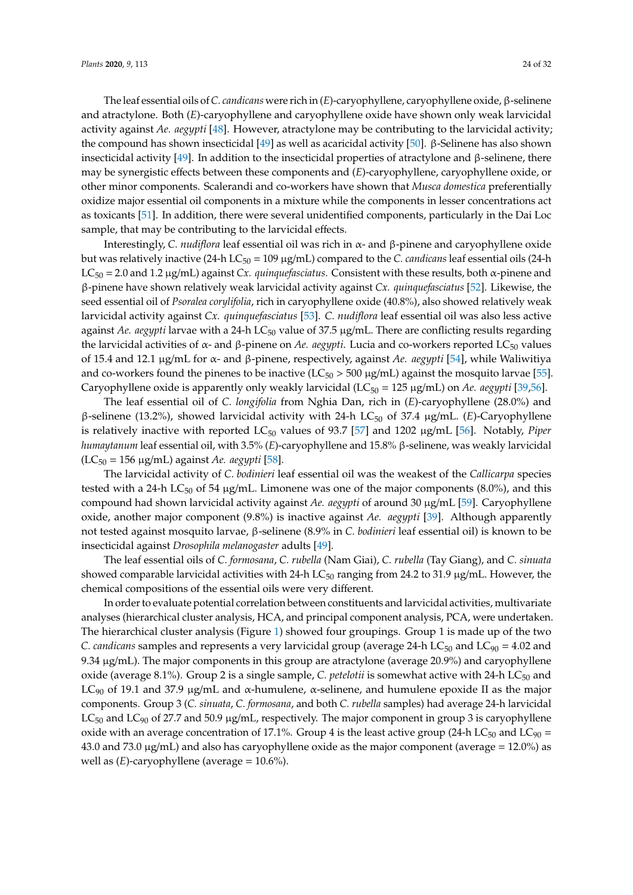The leaf essential oils of*C. candicans* were rich in (*E*)-caryophyllene, caryophyllene oxide, β-selinene and atractylone. Both (*E*)-caryophyllene and caryophyllene oxide have shown only weak larvicidal activity against *Ae. aegypti* [\[48\]](#page-30-8). However, atractylone may be contributing to the larvicidal activity; the compound has shown insecticidal  $[49]$  as well as acaricidal activity  $[50]$ . β-Selinene has also shown insecticidal activity [\[49\]](#page-30-9). In addition to the insecticidal properties of atractylone and β-selinene, there may be synergistic effects between these components and (*E*)-caryophyllene, caryophyllene oxide, or other minor components. Scalerandi and co-workers have shown that *Musca domestica* preferentially oxidize major essential oil components in a mixture while the components in lesser concentrations act as toxicants [\[51\]](#page-30-11). In addition, there were several unidentified components, particularly in the Dai Loc sample, that may be contributing to the larvicidal effects.

Interestingly, *C. nudiflora* leaf essential oil was rich in α- and β-pinene and caryophyllene oxide but was relatively inactive (24-h  $LC_{50} = 109 \mu g/mL$ ) compared to the *C. candicans* leaf essential oils (24-h LC<sup>50</sup> = 2.0 and 1.2 µg/mL) against *Cx. quinquefasciatus*. Consistent with these results, both α-pinene and β-pinene have shown relatively weak larvicidal activity against *Cx. quinquefasciatus* [\[52\]](#page-30-12). Likewise, the seed essential oil of *Psoralea corylifolia*, rich in caryophyllene oxide (40.8%), also showed relatively weak larvicidal activity against *Cx. quinquefasciatus* [\[53\]](#page-30-13). *C. nudiflora* leaf essential oil was also less active against *Ae. aegypti* larvae with a 24-h LC<sub>50</sub> value of 37.5 µg/mL. There are conflicting results regarding the larvicidal activities of α- and β-pinene on *Ae. aegypti*. Lucia and co-workers reported LC<sub>50</sub> values of 15.4 and 12.1 µg/mL for α- and β-pinene, respectively, against *Ae. aegypti* [\[54\]](#page-30-14), while Waliwitiya and co-workers found the pinenes to be inactive ( $LC_{50} > 500 \mu g/mL$ ) against the mosquito larvae [\[55\]](#page-30-15). Caryophyllene oxide is apparently only weakly larvicidal (LC<sub>50</sub> = 125 µg/mL) on *Ae. aegypti* [\[39](#page-30-2)[,56\]](#page-30-16).

The leaf essential oil of *C. longifolia* from Nghia Dan, rich in (*E*)-caryophyllene (28.0%) and β-selinene (13.2%), showed larvicidal activity with 24-h LC<sup>50</sup> of 37.4 µg/mL. (*E*)-Caryophyllene is relatively inactive with reported LC<sup>50</sup> values of 93.7 [\[57\]](#page-30-17) and 1202 µg/mL [\[56\]](#page-30-16). Notably, *Piper humaytanum* leaf essential oil, with 3.5% (*E*)-caryophyllene and 15.8% β-selinene, was weakly larvicidal (LC<sup>50</sup> = 156 µg/mL) against *Ae. aegypti* [\[58\]](#page-30-18).

The larvicidal activity of *C. bodinieri* leaf essential oil was the weakest of the *Callicarpa* species tested with a 24-h LC<sub>50</sub> of 54  $\mu$ g/mL. Limonene was one of the major components (8.0%), and this compound had shown larvicidal activity against *Ae. aegypti* of around 30 µg/mL [\[59\]](#page-31-0). Caryophyllene oxide, another major component (9.8%) is inactive against *Ae. aegypti* [\[39\]](#page-30-2). Although apparently not tested against mosquito larvae, β-selinene (8.9% in *C. bodinieri* leaf essential oil) is known to be insecticidal against *Drosophila melanogaster* adults [\[49\]](#page-30-9).

The leaf essential oils of *C. formosana*, *C. rubella* (Nam Giai), *C. rubella* (Tay Giang), and *C. sinuata* showed comparable larvicidal activities with 24-h  $LC_{50}$  ranging from 24.2 to 31.9  $\mu$ g/mL. However, the chemical compositions of the essential oils were very different.

In order to evaluate potential correlation between constituents and larvicidal activities, multivariate analyses (hierarchical cluster analysis, HCA, and principal component analysis, PCA, were undertaken. The hierarchical cluster analysis (Figure [1\)](#page-24-0) showed four groupings. Group 1 is made up of the two *C. candicans* samples and represents a very larvicidal group (average 24-h LC<sub>50</sub> and LC<sub>90</sub> = 4.02 and 9.34 µg/mL). The major components in this group are atractylone (average 20.9%) and caryophyllene oxide (average 8.1%). Group 2 is a single sample, *C. petelotii* is somewhat active with 24-h LC<sub>50</sub> and LC<sub>90</sub> of 19.1 and 37.9 μg/mL and α-humulene, α-selinene, and humulene epoxide II as the major components. Group 3 (*C. sinuata*, *C. formosana*, and both *C. rubella* samples) had average 24-h larvicidal  $LC_{50}$  and  $LC_{90}$  of 27.7 and 50.9 µg/mL, respectively. The major component in group 3 is caryophyllene oxide with an average concentration of 17.1%. Group 4 is the least active group (24-h LC<sub>50</sub> and LC<sub>90</sub> = 43.0 and 73.0  $\mu$ g/mL) and also has caryophyllene oxide as the major component (average = 12.0%) as well as (*E*)-caryophyllene (average = 10.6%).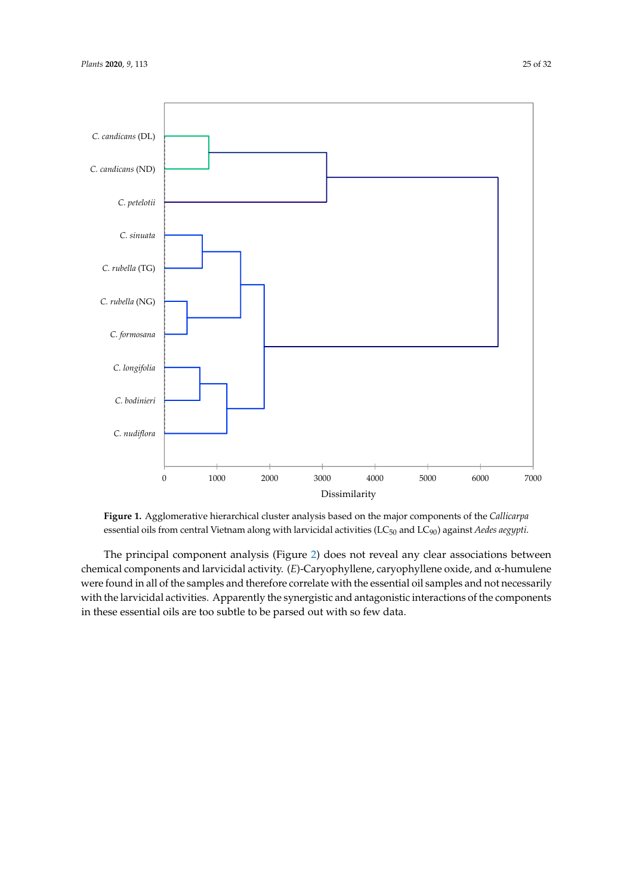<span id="page-24-0"></span>

Figure 1. Agglomerative hierarchical cluster analysis based on the major components of the Callicarpa essential oils from central Vietnam along with larvicidal activities (LC50 and LC90) against *Aedes*  essential oils from central Vietnam along with larvicidal activities (LC<sup>50</sup> and LC90) against *Aedes aegypti*.

The principal component analysis (Figure [2\)](#page-25-0) does not reveal any clear associations between chemical components and larvicidal activity. (*E*)-Caryophyllene, caryophyllene oxide, and α-humulene were found in all of the samples and therefore correlate with the essential oil samples and not necessarily with the larvicidal activities. Apparently the synergistic and antagonistic interactions of the components in these essential oils are too subtle to be parsed out with so few data.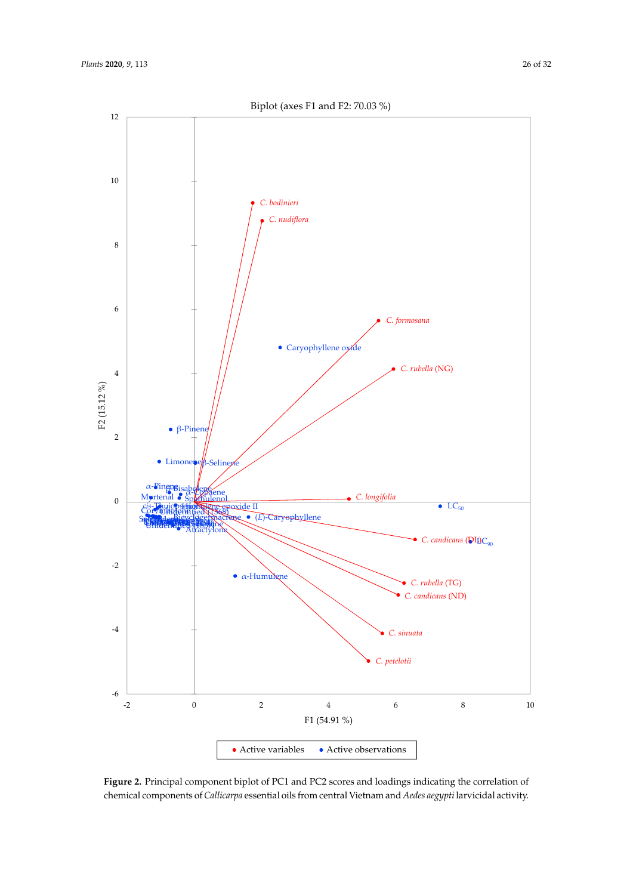<span id="page-25-0"></span>12







**Figure 2.** Principal component biplot of PC1 and PC2 scores and loadings indicating the correlation **Figure 2.** Principal component biplot of PC1 and PC2 scores and loadings indicating the correlation of chemical components of Callicarpa essential oils from central Vietnam and Aedes aegypti larvicidal activity.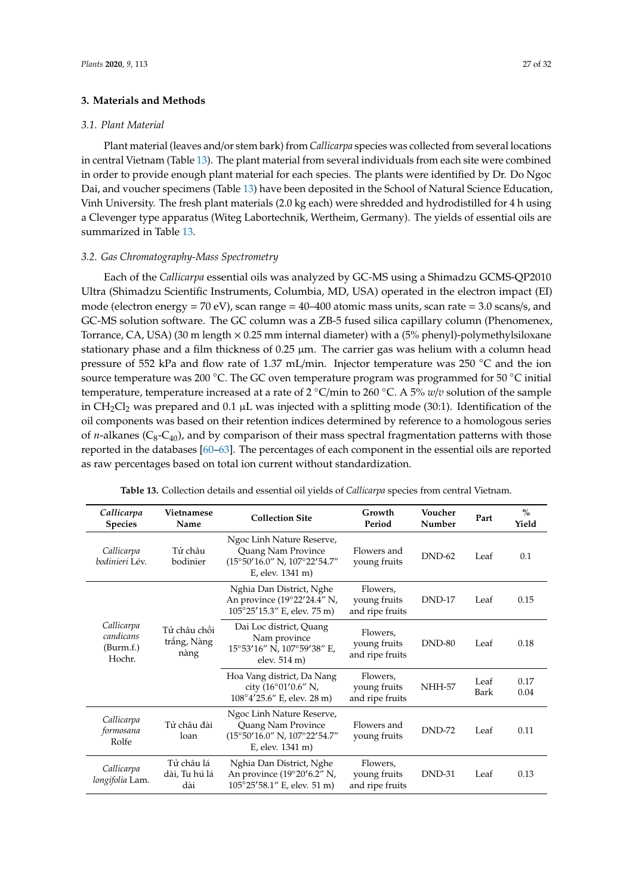## **3. Materials and Methods**

#### *3.1. Plant Material*

Plant material (leaves and/or stem bark) from *Callicarpa* species was collected from several locations in central Vietnam (Table [13\)](#page-27-0). The plant material from several individuals from each site were combined in order to provide enough plant material for each species. The plants were identified by Dr. Do Ngoc Dai, and voucher specimens (Table [13\)](#page-27-0) have been deposited in the School of Natural Science Education, Vinh University. The fresh plant materials (2.0 kg each) were shredded and hydrodistilled for 4 h using a Clevenger type apparatus (Witeg Labortechnik, Wertheim, Germany). The yields of essential oils are summarized in Table [13.](#page-27-0)

## *3.2. Gas Chromatography-Mass Spectrometry*

Each of the *Callicarpa* essential oils was analyzed by GC-MS using a Shimadzu GCMS-QP2010 Ultra (Shimadzu Scientific Instruments, Columbia, MD, USA) operated in the electron impact (EI) mode (electron energy =  $70 \text{ eV}$ ), scan range =  $40-400$  atomic mass units, scan rate =  $3.0$  scans/s, and GC-MS solution software. The GC column was a ZB-5 fused silica capillary column (Phenomenex, Torrance, CA, USA) (30 m length  $\times$  0.25 mm internal diameter) with a (5% phenyl)-polymethylsiloxane stationary phase and a film thickness of 0.25  $\mu$ m. The carrier gas was helium with a column head pressure of 552 kPa and flow rate of 1.37 mL/min. Injector temperature was 250 ◦C and the ion source temperature was 200 °C. The GC oven temperature program was programmed for 50 °C initial temperature, temperature increased at a rate of 2 ◦C/min to 260 ◦C. A 5% *w*/*v* solution of the sample in  $CH_2Cl_2$  was prepared and 0.1 µL was injected with a splitting mode (30:1). Identification of the oil components was based on their retention indices determined by reference to a homologous series of  $n$ -alkanes ( $C_8$ - $C_{40}$ ), and by comparison of their mass spectral fragmentation patterns with those reported in the databases [\[60–](#page-31-1)[63\]](#page-31-2). The percentages of each component in the essential oils are reported as raw percentages based on total ion current without standardization.

| Table 13. Collection details and essential oil yields of Callicarpa species from central Vietnam. |  |
|---------------------------------------------------------------------------------------------------|--|
|---------------------------------------------------------------------------------------------------|--|

| Callicarpa<br><b>Species</b>                   | Vietnamese<br>Name                  | <b>Collection Site</b>                                                                                                  | Growth<br>Period                            | Voucher<br>Number | Part         | $\%$<br>Yield |
|------------------------------------------------|-------------------------------------|-------------------------------------------------------------------------------------------------------------------------|---------------------------------------------|-------------------|--------------|---------------|
| Callicarpa<br>bodinieri Lév.                   | Tử châu<br>bodinier                 | Ngoc Linh Nature Reserve,<br>Quang Nam Province<br>$(15^{\circ}50'16.0''$ N, $107^{\circ}22'54.7''$<br>E, elev. 1341 m) | Flowers and<br>young fruits                 | $DND-62$          | Leaf         | 0.1           |
|                                                |                                     | Nghia Dan District, Nghe<br>An province (19°22'24.4" N,<br>105°25'15.3" E, elev. 75 m)                                  | Flowers,<br>young fruits<br>and ripe fruits | DND-17            | Leaf         | 0.15          |
| Callicarpa<br>candicans<br>(Burm.f.)<br>Hochr. | Tử châu chồi<br>trắng, Nàng<br>nàng | Dai Loc district, Quang<br>Nam province<br>15°53'16" N, 107°59'38" E,<br>elev. 514 m)                                   | Flowers,<br>young fruits<br>and ripe fruits | <b>DND-80</b>     | Leaf         | 0.18          |
|                                                |                                     | Hoa Vang district, Da Nang<br>city (16°01'0.6" N,<br>$108^{\circ}4'25.6''$ E, elev. 28 m)                               | Flowers,<br>young fruits<br>and ripe fruits | <b>NHH-57</b>     | Leaf<br>Bark | 0.17<br>0.04  |
| Callicarpa<br>formosana<br>Rolfe               | Tử châu đài<br>loan                 | Ngoc Linh Nature Reserve,<br>Quang Nam Province<br>$(15^{\circ}50'16.0''$ N, $107^{\circ}22'54.7''$<br>E, elev. 1341 m) | Flowers and<br>young fruits                 | <b>DND-72</b>     | Leaf         | 0.11          |
| Callicarpa<br>longifolia Lam.                  | Tử châu lá<br>dài, Tu hú lá<br>dài  | Nghia Dan District, Nghe<br>An province $(19^{\circ}20'6.2''$ N,<br>105°25'58.1" E, elev. 51 m)                         | Flowers,<br>young fruits<br>and ripe fruits | <b>DND-31</b>     | Leaf         | 0.13          |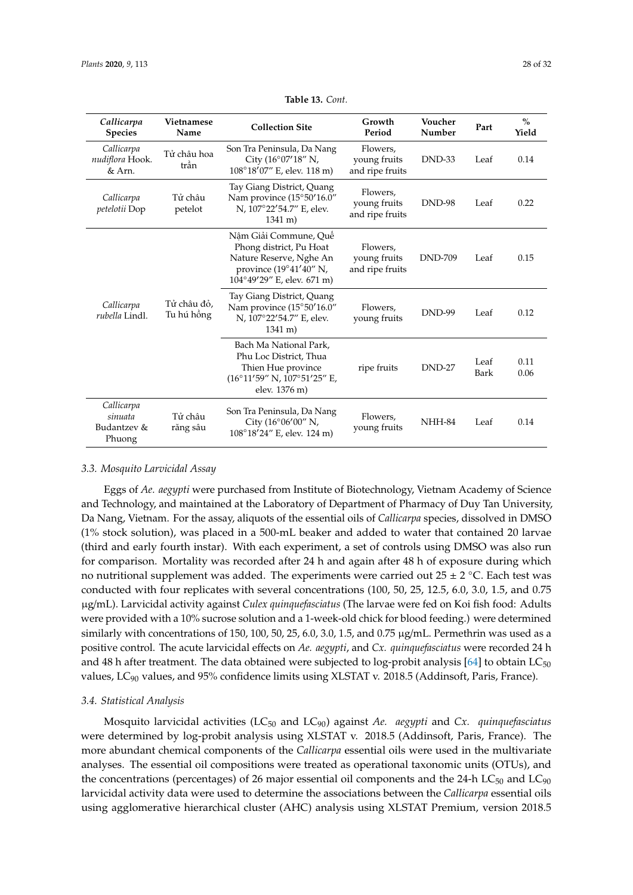<span id="page-27-0"></span>

| Callicarpa<br><b>Species</b>                   | Vietnamese<br>Name        | <b>Collection Site</b>                                                                                                              | Growth<br>Period                            | Voucher<br>Number | Part         | $\frac{0}{0}$<br>Yield |
|------------------------------------------------|---------------------------|-------------------------------------------------------------------------------------------------------------------------------------|---------------------------------------------|-------------------|--------------|------------------------|
| Callicarpa<br>nudiflora Hook.<br>& Arn.        | Tử châu hoa<br>trần       | Son Tra Peninsula, Da Nang<br>City (16°07'18" N,<br>108°18'07" E, elev. 118 m)                                                      | Flowers,<br>young fruits<br>and ripe fruits | DND-33            | Leaf         | 0.14                   |
| Callicarpa<br>petelotii Dop                    | Tử châu<br>petelot        | Tay Giang District, Quang<br>Nam province (15°50'16.0"<br>N, 107°22'54.7" E, elev.<br>$1341 \text{ m}$ )                            | Flowers,<br>young fruits<br>and ripe fruits | <b>DND-98</b>     | Leaf         | 0.22                   |
| Callicarpa<br>rubella Lindl.                   |                           | Nâm Giải Commune, Quê<br>Phong district, Pu Hoat<br>Nature Reserve, Nghe An<br>province (19°41'40" N,<br>104°49'29" E, elev. 671 m) | Flowers,<br>young fruits<br>and ripe fruits | <b>DND-709</b>    | Leaf         | 0.15                   |
|                                                | Tử châu đỏ.<br>Tu hú hồng | Tay Giang District, Quang<br>Nam province (15°50'16.0"<br>N, 107°22′54.7″ E, elev.<br>$1341 \text{ m}$ )                            | Flowers,<br>young fruits                    | <b>DND-99</b>     | Leaf         | 0.12                   |
|                                                |                           | Bach Ma National Park,<br>Phu Loc District, Thua<br>Thien Hue province<br>(16°11'59" N, 107°51'25" E,<br>elev. 1376 m)              | ripe fruits                                 | DND-27            | Leaf<br>Bark | 0.11<br>0.06           |
| Callicarpa<br>sinuata<br>Budantzev &<br>Phuong | Tử châu<br>răng sâu       | Son Tra Peninsula, Da Nang<br>City (16°06'00" N,<br>$108^{\circ}18'24''$ E, elev. 124 m)                                            | Flowers,<br>young fruits                    | NHH-84            | Leaf         | 0.14                   |

**Table 13.** *Cont.*

## *3.3. Mosquito Larvicidal Assay*

Eggs of *Ae. aegypti* were purchased from Institute of Biotechnology, Vietnam Academy of Science and Technology, and maintained at the Laboratory of Department of Pharmacy of Duy Tan University, Da Nang, Vietnam. For the assay, aliquots of the essential oils of *Callicarpa* species, dissolved in DMSO (1% stock solution), was placed in a 500-mL beaker and added to water that contained 20 larvae (third and early fourth instar). With each experiment, a set of controls using DMSO was also run for comparison. Mortality was recorded after 24 h and again after 48 h of exposure during which no nutritional supplement was added. The experiments were carried out 25 ± 2 °C. Each test was conducted with four replicates with several concentrations (100, 50, 25, 12.5, 6.0, 3.0, 1.5, and 0.75 µg/mL). Larvicidal activity against *Culex quinquefasciatus* (The larvae were fed on Koi fish food: Adults were provided with a 10% sucrose solution and a 1-week-old chick for blood feeding.) were determined similarly with concentrations of 150, 100, 50, 25, 6.0, 3.0, 1.5, and 0.75  $\mu$ g/mL. Permethrin was used as a positive control. The acute larvicidal effects on *Ae. aegypti*, and *Cx. quinquefasciatus* were recorded 24 h and 48 h after treatment. The data obtained were subjected to log-probit analysis  $[64]$  to obtain LC<sub>50</sub> values,  $LC_{90}$  values, and 95% confidence limits using XLSTAT v. 2018.5 (Addinsoft, Paris, France).

## *3.4. Statistical Analysis*

Mosquito larvicidal activities (LC<sub>50</sub> and LC<sub>90</sub>) against *Ae. aegypti* and *Cx. quinquefasciatus* were determined by log-probit analysis using XLSTAT v. 2018.5 (Addinsoft, Paris, France). The more abundant chemical components of the *Callicarpa* essential oils were used in the multivariate analyses. The essential oil compositions were treated as operational taxonomic units (OTUs), and the concentrations (percentages) of 26 major essential oil components and the 24-h  $LC_{50}$  and  $LC_{90}$ larvicidal activity data were used to determine the associations between the *Callicarpa* essential oils using agglomerative hierarchical cluster (AHC) analysis using XLSTAT Premium, version 2018.5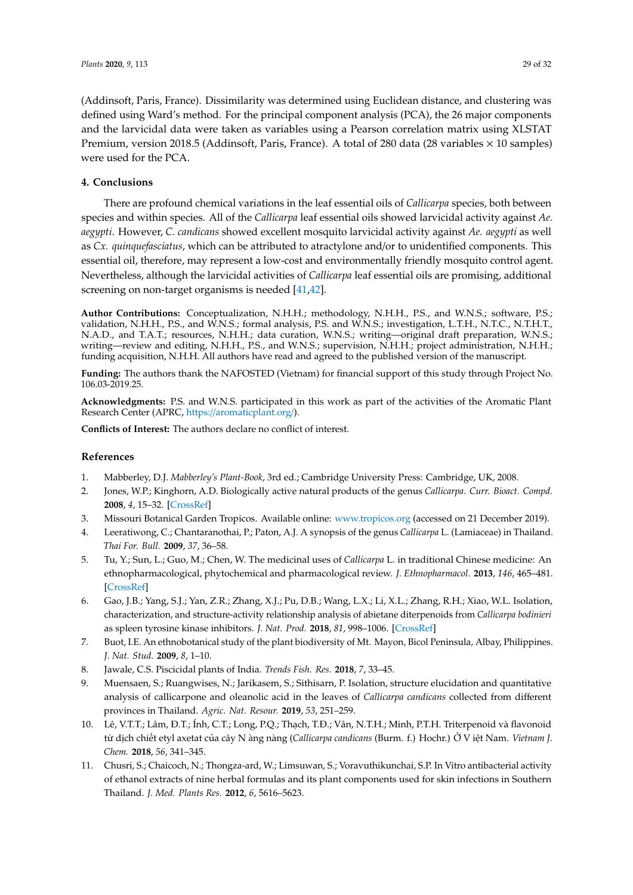(Addinsoft, Paris, France). Dissimilarity was determined using Euclidean distance, and clustering was defined using Ward's method. For the principal component analysis (PCA), the 26 major components and the larvicidal data were taken as variables using a Pearson correlation matrix using XLSTAT Premium, version 2018.5 (Addinsoft, Paris, France). A total of 280 data (28 variables  $\times$  10 samples) were used for the PCA.

# **4. Conclusions**

There are profound chemical variations in the leaf essential oils of *Callicarpa* species, both between species and within species. All of the *Callicarpa* leaf essential oils showed larvicidal activity against *Ae. aegypti*. However, *C. candicans* showed excellent mosquito larvicidal activity against *Ae. aegypti* as well as *Cx. quinquefasciatus*, which can be attributed to atractylone and/or to unidentified components. This essential oil, therefore, may represent a low-cost and environmentally friendly mosquito control agent. Nevertheless, although the larvicidal activities of *Callicarpa* leaf essential oils are promising, additional screening on non-target organisms is needed [\[41](#page-30-19)[,42\]](#page-30-20).

**Author Contributions:** Conceptualization, N.H.H.; methodology, N.H.H., P.S., and W.N.S.; software, P.S.; validation, N.H.H., P.S., and W.N.S.; formal analysis, P.S. and W.N.S.; investigation, L.T.H., N.T.C., N.T.H.T., N.A.D., and T.A.T.; resources, N.H.H.; data curation, W.N.S.; writing—original draft preparation, W.N.S.; writing—review and editing, N.H.H., P.S., and W.N.S.; supervision, N.H.H.; project administration, N.H.H.; funding acquisition, N.H.H. All authors have read and agreed to the published version of the manuscript.

**Funding:** The authors thank the NAFOSTED (Vietnam) for financial support of this study through Project No. 106.03-2019.25.

**Acknowledgments:** P.S. and W.N.S. participated in this work as part of the activities of the Aromatic Plant Research Center (APRC, https://[aromaticplant.org](https://aromaticplant.org/)/).

**Conflicts of Interest:** The authors declare no conflict of interest.

## **References**

- <span id="page-28-0"></span>1. Mabberley, D.J. *Mabberley's Plant-Book*, 3rd ed.; Cambridge University Press: Cambridge, UK, 2008.
- <span id="page-28-1"></span>2. Jones, W.P.; Kinghorn, A.D. Biologically active natural products of the genus *Callicarpa*. *Curr. Bioact. Compd.* **2008**, *4*, 15–32. [\[CrossRef\]](http://dx.doi.org/10.2174/157340708784533393)
- <span id="page-28-2"></span>3. Missouri Botanical Garden Tropicos. Available online: <www.tropicos.org> (accessed on 21 December 2019).
- <span id="page-28-3"></span>4. Leeratiwong, C.; Chantaranothai, P.; Paton, A.J. A synopsis of the genus *Callicarpa* L. (Lamiaceae) in Thailand. *Thai For. Bull.* **2009**, *37*, 36–58.
- <span id="page-28-4"></span>5. Tu, Y.; Sun, L.; Guo, M.; Chen, W. The medicinal uses of *Callicarpa* L. in traditional Chinese medicine: An ethnopharmacological, phytochemical and pharmacological review. *J. Ethnopharmacol.* **2013**, *146*, 465–481. [\[CrossRef\]](http://dx.doi.org/10.1016/j.jep.2012.12.051)
- <span id="page-28-5"></span>6. Gao, J.B.; Yang, S.J.; Yan, Z.R.; Zhang, X.J.; Pu, D.B.; Wang, L.X.; Li, X.L.; Zhang, R.H.; Xiao, W.L. Isolation, characterization, and structure-activity relationship analysis of abietane diterpenoids from *Callicarpa bodinieri* as spleen tyrosine kinase inhibitors. *J. Nat. Prod.* **2018**, *81*, 998–1006. [\[CrossRef\]](http://dx.doi.org/10.1021/acs.jnatprod.7b01082)
- <span id="page-28-6"></span>7. Buot, I.E. An ethnobotanical study of the plant biodiversity of Mt. Mayon, Bicol Peninsula, Albay, Philippines. *J. Nat. Stud.* **2009**, *8*, 1–10.
- <span id="page-28-7"></span>8. Jawale, C.S. Piscicidal plants of India. *Trends Fish. Res.* **2018**, *7*, 33–45.
- <span id="page-28-8"></span>9. Muensaen, S.; Ruangwises, N.; Jarikasem, S.; Sithisarn, P. Isolation, structure elucidation and quantitative analysis of callicarpone and oleanolic acid in the leaves of *Callicarpa candicans* collected from different provinces in Thailand. *Agric. Nat. Resour.* **2019**, *53*, 251–259.
- <span id="page-28-9"></span>10. Lê, V.T.T.; Lâm, Đ.T.; Ính, C.T.; Long, P.Q.; Thạch, T.Đ.; Vân, N.T.H.; Minh, P.T.H. Triterpenoid và flavonoid từ dịch chiết etyl axetat của cây N àng nàng (*Callicarpa candicans* (Burm. f.) Hochr.) Ở V iệt Nam. *Vietnam J. Chem.* **2018**, *56*, 341–345.
- <span id="page-28-10"></span>11. Chusri, S.; Chaicoch, N.; Thongza-ard, W.; Limsuwan, S.; Voravuthikunchai, S.P. In Vitro antibacterial activity of ethanol extracts of nine herbal formulas and its plant components used for skin infections in Southern Thailand. *J. Med. Plants Res.* **2012**, *6*, 5616–5623.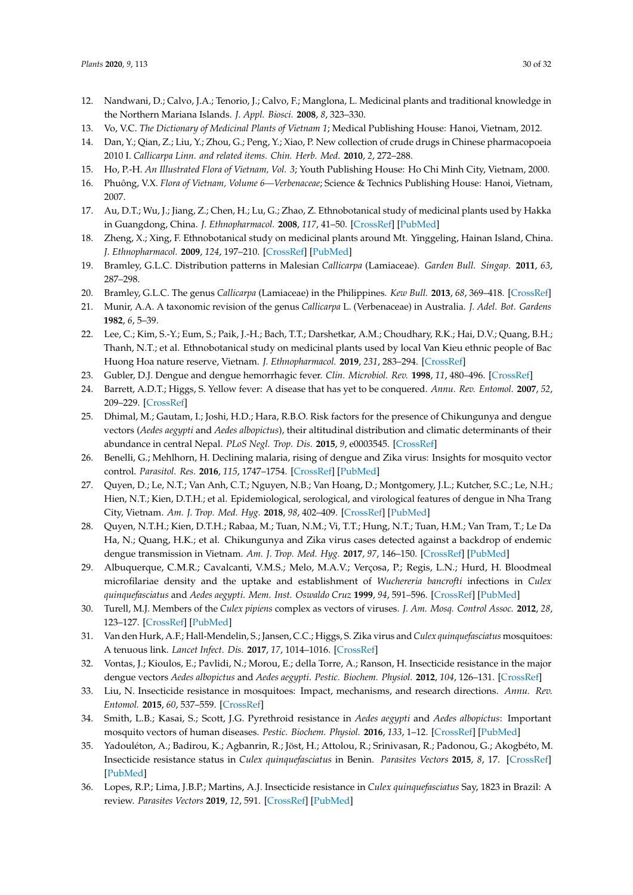- <span id="page-29-0"></span>12. Nandwani, D.; Calvo, J.A.; Tenorio, J.; Calvo, F.; Manglona, L. Medicinal plants and traditional knowledge in the Northern Mariana Islands. *J. Appl. Biosci.* **2008**, *8*, 323–330.
- <span id="page-29-1"></span>13. Vo, V.C. *The Dictionary of Medicinal Plants of Vietnam 1*; Medical Publishing House: Hanoi, Vietnam, 2012.
- <span id="page-29-2"></span>14. Dan, Y.; Qian, Z.; Liu, Y.; Zhou, G.; Peng, Y.; Xiao, P. New collection of crude drugs in Chinese pharmacopoeia 2010 I. *Callicarpa Linn. and related items. Chin. Herb. Med.* **2010**, *2*, 272–288.
- <span id="page-29-3"></span>15. Ho, P.-H. *An Illustrated Flora of Vietnam, Vol. 3*; Youth Publishing House: Ho Chi Minh City, Vietnam, 2000.
- <span id="page-29-4"></span>16. Phuông, V.X. *Flora of Vietnam, Volume 6—Verbenaceae*; Science & Technics Publishing House: Hanoi, Vietnam, 2007.
- <span id="page-29-5"></span>17. Au, D.T.; Wu, J.; Jiang, Z.; Chen, H.; Lu, G.; Zhao, Z. Ethnobotanical study of medicinal plants used by Hakka in Guangdong, China. *J. Ethnopharmacol.* **2008**, *117*, 41–50. [\[CrossRef\]](http://dx.doi.org/10.1016/j.jep.2008.01.016) [\[PubMed\]](http://www.ncbi.nlm.nih.gov/pubmed/18313871)
- <span id="page-29-6"></span>18. Zheng, X.; Xing, F. Ethnobotanical study on medicinal plants around Mt. Yinggeling, Hainan Island, China. *J. Ethnopharmacol.* **2009**, *124*, 197–210. [\[CrossRef\]](http://dx.doi.org/10.1016/j.jep.2009.04.042) [\[PubMed\]](http://www.ncbi.nlm.nih.gov/pubmed/19409476)
- <span id="page-29-7"></span>19. Bramley, G.L.C. Distribution patterns in Malesian *Callicarpa* (Lamiaceae). *Garden Bull. Singap.* **2011**, *63*, 287–298.
- 20. Bramley, G.L.C. The genus *Callicarpa* (Lamiaceae) in the Philippines. *Kew Bull.* **2013**, *68*, 369–418. [\[CrossRef\]](http://dx.doi.org/10.1007/s12225-013-9456-y)
- <span id="page-29-8"></span>21. Munir, A.A. A taxonomic revision of the genus *Callicarpa* L. (Verbenaceae) in Australia. *J. Adel. Bot. Gardens* **1982**, *6*, 5–39.
- <span id="page-29-9"></span>22. Lee, C.; Kim, S.-Y.; Eum, S.; Paik, J.-H.; Bach, T.T.; Darshetkar, A.M.; Choudhary, R.K.; Hai, D.V.; Quang, B.H.; Thanh, N.T.; et al. Ethnobotanical study on medicinal plants used by local Van Kieu ethnic people of Bac Huong Hoa nature reserve, Vietnam. *J. Ethnopharmacol.* **2019**, *231*, 283–294. [\[CrossRef\]](http://dx.doi.org/10.1016/j.jep.2018.11.006)
- <span id="page-29-10"></span>23. Gubler, D.J. Dengue and dengue hemorrhagic fever. *Clin. Microbiol. Rev.* **1998**, *11*, 480–496. [\[CrossRef\]](http://dx.doi.org/10.1128/CMR.11.3.480)
- <span id="page-29-11"></span>24. Barrett, A.D.T.; Higgs, S. Yellow fever: A disease that has yet to be conquered. *Annu. Rev. Entomol.* **2007**, *52*, 209–229. [\[CrossRef\]](http://dx.doi.org/10.1146/annurev.ento.52.110405.091454)
- <span id="page-29-12"></span>25. Dhimal, M.; Gautam, I.; Joshi, H.D.; Hara, R.B.O. Risk factors for the presence of Chikungunya and dengue vectors (*Aedes aegypti* and *Aedes albopictus*), their altitudinal distribution and climatic determinants of their abundance in central Nepal. *PLoS Negl. Trop. Dis.* **2015**, *9*, e0003545. [\[CrossRef\]](http://dx.doi.org/10.1371/journal.pntd.0003545)
- <span id="page-29-13"></span>26. Benelli, G.; Mehlhorn, H. Declining malaria, rising of dengue and Zika virus: Insights for mosquito vector control. *Parasitol. Res.* **2016**, *115*, 1747–1754. [\[CrossRef\]](http://dx.doi.org/10.1007/s00436-016-4971-z) [\[PubMed\]](http://www.ncbi.nlm.nih.gov/pubmed/26932263)
- <span id="page-29-14"></span>27. Quyen, D.; Le, N.T.; Van Anh, C.T.; Nguyen, N.B.; Van Hoang, D.; Montgomery, J.L.; Kutcher, S.C.; Le, N.H.; Hien, N.T.; Kien, D.T.H.; et al. Epidemiological, serological, and virological features of dengue in Nha Trang City, Vietnam. *Am. J. Trop. Med. Hyg.* **2018**, *98*, 402–409. [\[CrossRef\]](http://dx.doi.org/10.4269/ajtmh.17-0630) [\[PubMed\]](http://www.ncbi.nlm.nih.gov/pubmed/29313471)
- <span id="page-29-15"></span>28. Quyen, N.T.H.; Kien, D.T.H.; Rabaa, M.; Tuan, N.M.; Vi, T.T.; Hung, N.T.; Tuan, H.M.; Van Tram, T.; Le Da Ha, N.; Quang, H.K.; et al. Chikungunya and Zika virus cases detected against a backdrop of endemic dengue transmission in Vietnam. *Am. J. Trop. Med. Hyg.* **2017**, *97*, 146–150. [\[CrossRef\]](http://dx.doi.org/10.4269/ajtmh.16-0979) [\[PubMed\]](http://www.ncbi.nlm.nih.gov/pubmed/28719300)
- <span id="page-29-16"></span>29. Albuquerque, C.M.R.; Cavalcanti, V.M.S.; Melo, M.A.V.; Verçosa, P.; Regis, L.N.; Hurd, H. Bloodmeal microfilariae density and the uptake and establishment of *Wuchereria bancrofti* infections in *Culex quinquefasciatus* and *Aedes aegypti*. *Mem. Inst. Oswaldo Cruz* **1999**, *94*, 591–596. [\[CrossRef\]](http://dx.doi.org/10.1590/S0074-02761999000500005) [\[PubMed\]](http://www.ncbi.nlm.nih.gov/pubmed/10464399)
- <span id="page-29-17"></span>30. Turell, M.J. Members of the *Culex pipiens* complex as vectors of viruses. *J. Am. Mosq. Control Assoc.* **2012**, *28*, 123–127. [\[CrossRef\]](http://dx.doi.org/10.2987/8756-971X-28.4.123) [\[PubMed\]](http://www.ncbi.nlm.nih.gov/pubmed/23401952)
- <span id="page-29-18"></span>31. Van den Hurk, A.F.; Hall-Mendelin, S.; Jansen, C.C.; Higgs, S. Zika virus and *Culex quinquefasciatus* mosquitoes: A tenuous link. *Lancet Infect. Dis.* **2017**, *17*, 1014–1016. [\[CrossRef\]](http://dx.doi.org/10.1016/S1473-3099(17)30518-2)
- <span id="page-29-19"></span>32. Vontas, J.; Kioulos, E.; Pavlidi, N.; Morou, E.; della Torre, A.; Ranson, H. Insecticide resistance in the major dengue vectors *Aedes albopictus* and *Aedes aegypti*. *Pestic. Biochem. Physiol.* **2012**, *104*, 126–131. [\[CrossRef\]](http://dx.doi.org/10.1016/j.pestbp.2012.05.008)
- 33. Liu, N. Insecticide resistance in mosquitoes: Impact, mechanisms, and research directions. *Annu. Rev. Entomol.* **2015**, *60*, 537–559. [\[CrossRef\]](http://dx.doi.org/10.1146/annurev-ento-010814-020828)
- 34. Smith, L.B.; Kasai, S.; Scott, J.G. Pyrethroid resistance in *Aedes aegypti* and *Aedes albopictus*: Important mosquito vectors of human diseases. *Pestic. Biochem. Physiol.* **2016**, *133*, 1–12. [\[CrossRef\]](http://dx.doi.org/10.1016/j.pestbp.2016.03.005) [\[PubMed\]](http://www.ncbi.nlm.nih.gov/pubmed/27742355)
- 35. Yadouléton, A.; Badirou, K.; Agbanrin, R.; Jöst, H.; Attolou, R.; Srinivasan, R.; Padonou, G.; Akogbéto, M. Insecticide resistance status in *Culex quinquefasciatus* in Benin. *Parasites Vectors* **2015**, *8*, 17. [\[CrossRef\]](http://dx.doi.org/10.1186/s13071-015-0638-3) [\[PubMed\]](http://www.ncbi.nlm.nih.gov/pubmed/25582308)
- <span id="page-29-20"></span>36. Lopes, R.P.; Lima, J.B.P.; Martins, A.J. Insecticide resistance in *Culex quinquefasciatus* Say, 1823 in Brazil: A review. *Parasites Vectors* **2019**, *12*, 591. [\[CrossRef\]](http://dx.doi.org/10.1186/s13071-019-3850-8) [\[PubMed\]](http://www.ncbi.nlm.nih.gov/pubmed/31852489)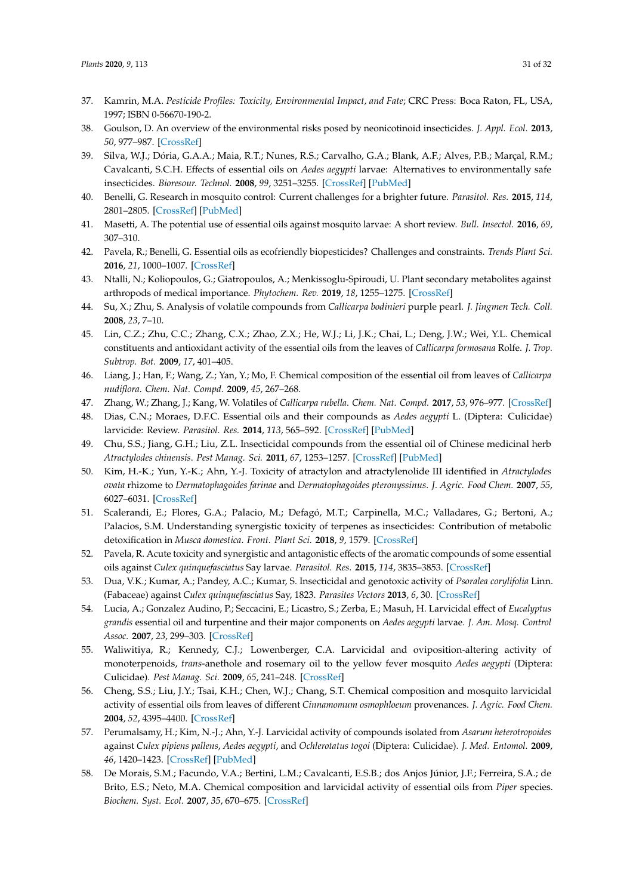- <span id="page-30-0"></span>37. Kamrin, M.A. *Pesticide Profiles: Toxicity, Environmental Impact, and Fate*; CRC Press: Boca Raton, FL, USA, 1997; ISBN 0-56670-190-2.
- <span id="page-30-1"></span>38. Goulson, D. An overview of the environmental risks posed by neonicotinoid insecticides. *J. Appl. Ecol.* **2013**, *50*, 977–987. [\[CrossRef\]](http://dx.doi.org/10.1111/1365-2664.12111)
- <span id="page-30-2"></span>39. Silva, W.J.; Dória, G.A.A.; Maia, R.T.; Nunes, R.S.; Carvalho, G.A.; Blank, A.F.; Alves, P.B.; Marçal, R.M.; Cavalcanti, S.C.H. Effects of essential oils on *Aedes aegypti* larvae: Alternatives to environmentally safe insecticides. *Bioresour. Technol.* **2008**, *99*, 3251–3255. [\[CrossRef\]](http://dx.doi.org/10.1016/j.biortech.2007.05.064) [\[PubMed\]](http://www.ncbi.nlm.nih.gov/pubmed/17662602)
- 40. Benelli, G. Research in mosquito control: Current challenges for a brighter future. *Parasitol. Res.* **2015**, *114*, 2801–2805. [\[CrossRef\]](http://dx.doi.org/10.1007/s00436-015-4586-9) [\[PubMed\]](http://www.ncbi.nlm.nih.gov/pubmed/26093499)
- <span id="page-30-19"></span>41. Masetti, A. The potential use of essential oils against mosquito larvae: A short review. *Bull. Insectol.* **2016**, *69*, 307–310.
- <span id="page-30-20"></span>42. Pavela, R.; Benelli, G. Essential oils as ecofriendly biopesticides? Challenges and constraints. *Trends Plant Sci.* **2016**, *21*, 1000–1007. [\[CrossRef\]](http://dx.doi.org/10.1016/j.tplants.2016.10.005)
- <span id="page-30-3"></span>43. Ntalli, N.; Koliopoulos, G.; Giatropoulos, A.; Menkissoglu-Spiroudi, U. Plant secondary metabolites against arthropods of medical importance. *Phytochem. Rev.* **2019**, *18*, 1255–1275. [\[CrossRef\]](http://dx.doi.org/10.1007/s11101-019-09647-7)
- <span id="page-30-4"></span>44. Su, X.; Zhu, S. Analysis of volatile compounds from *Callicarpa bodinieri* purple pearl. *J. Jingmen Tech. Coll.* **2008**, *23*, 7–10.
- <span id="page-30-5"></span>45. Lin, C.Z.; Zhu, C.C.; Zhang, C.X.; Zhao, Z.X.; He, W.J.; Li, J.K.; Chai, L.; Deng, J.W.; Wei, Y.L. Chemical constituents and antioxidant activity of the essential oils from the leaves of *Callicarpa formosana* Rolfe. *J. Trop. Subtrop. Bot.* **2009**, *17*, 401–405.
- <span id="page-30-6"></span>46. Liang, J.; Han, F.; Wang, Z.; Yan, Y.; Mo, F. Chemical composition of the essential oil from leaves of *Callicarpa nudiflora*. *Chem. Nat. Compd.* **2009**, *45*, 267–268.
- <span id="page-30-7"></span>47. Zhang, W.; Zhang, J.; Kang, W. Volatiles of *Callicarpa rubella*. *Chem. Nat. Compd.* **2017**, *53*, 976–977. [\[CrossRef\]](http://dx.doi.org/10.1007/s10600-017-2175-0)
- <span id="page-30-8"></span>48. Dias, C.N.; Moraes, D.F.C. Essential oils and their compounds as *Aedes aegypti* L. (Diptera: Culicidae) larvicide: Review. *Parasitol. Res.* **2014**, *113*, 565–592. [\[CrossRef\]](http://dx.doi.org/10.1007/s00436-013-3687-6) [\[PubMed\]](http://www.ncbi.nlm.nih.gov/pubmed/24265058)
- <span id="page-30-9"></span>49. Chu, S.S.; Jiang, G.H.; Liu, Z.L. Insecticidal compounds from the essential oil of Chinese medicinal herb *Atractylodes chinensis*. *Pest Manag. Sci.* **2011**, *67*, 1253–1257. [\[CrossRef\]](http://dx.doi.org/10.1002/ps.2180) [\[PubMed\]](http://www.ncbi.nlm.nih.gov/pubmed/21520395)
- <span id="page-30-10"></span>50. Kim, H.-K.; Yun, Y.-K.; Ahn, Y.-J. Toxicity of atractylon and atractylenolide III identified in *Atractylodes ovata* rhizome to *Dermatophagoides farinae* and *Dermatophagoides pteronyssinus*. *J. Agric. Food Chem.* **2007**, *55*, 6027–6031. [\[CrossRef\]](http://dx.doi.org/10.1021/jf0708802)
- <span id="page-30-11"></span>51. Scalerandi, E.; Flores, G.A.; Palacio, M.; Defagó, M.T.; Carpinella, M.C.; Valladares, G.; Bertoni, A.; Palacios, S.M. Understanding synergistic toxicity of terpenes as insecticides: Contribution of metabolic detoxification in *Musca domestica*. *Front. Plant Sci.* **2018**, *9*, 1579. [\[CrossRef\]](http://dx.doi.org/10.3389/fpls.2018.01579)
- <span id="page-30-12"></span>52. Pavela, R. Acute toxicity and synergistic and antagonistic effects of the aromatic compounds of some essential oils against *Culex quinquefasciatus* Say larvae. *Parasitol. Res.* **2015**, *114*, 3835–3853. [\[CrossRef\]](http://dx.doi.org/10.1007/s00436-015-4614-9)
- <span id="page-30-13"></span>53. Dua, V.K.; Kumar, A.; Pandey, A.C.; Kumar, S. Insecticidal and genotoxic activity of *Psoralea corylifolia* Linn. (Fabaceae) against *Culex quinquefasciatus* Say, 1823. *Parasites Vectors* **2013**, *6*, 30. [\[CrossRef\]](http://dx.doi.org/10.1186/1756-3305-6-30)
- <span id="page-30-14"></span>54. Lucia, A.; Gonzalez Audino, P.; Seccacini, E.; Licastro, S.; Zerba, E.; Masuh, H. Larvicidal effect of *Eucalyptus grandis* essential oil and turpentine and their major components on *Aedes aegypti* larvae. *J. Am. Mosq. Control Assoc.* **2007**, *23*, 299–303. [\[CrossRef\]](http://dx.doi.org/10.2987/8756-971X(2007)23[299:LEOEGE]2.0.CO;2)
- <span id="page-30-15"></span>55. Waliwitiya, R.; Kennedy, C.J.; Lowenberger, C.A. Larvicidal and oviposition-altering activity of monoterpenoids, *trans*-anethole and rosemary oil to the yellow fever mosquito *Aedes aegypti* (Diptera: Culicidae). *Pest Manag. Sci.* **2009**, *65*, 241–248. [\[CrossRef\]](http://dx.doi.org/10.1002/ps.1675)
- <span id="page-30-16"></span>56. Cheng, S.S.; Liu, J.Y.; Tsai, K.H.; Chen, W.J.; Chang, S.T. Chemical composition and mosquito larvicidal activity of essential oils from leaves of different *Cinnamomum osmophloeum* provenances. *J. Agric. Food Chem.* **2004**, *52*, 4395–4400. [\[CrossRef\]](http://dx.doi.org/10.1021/jf0497152)
- <span id="page-30-17"></span>57. Perumalsamy, H.; Kim, N.-J.; Ahn, Y.-J. Larvicidal activity of compounds isolated from *Asarum heterotropoides* against *Culex pipiens pallens*, *Aedes aegypti*, and *Ochlerotatus togoi* (Diptera: Culicidae). *J. Med. Entomol.* **2009**, *46*, 1420–1423. [\[CrossRef\]](http://dx.doi.org/10.1603/033.046.0624) [\[PubMed\]](http://www.ncbi.nlm.nih.gov/pubmed/19960690)
- <span id="page-30-18"></span>58. De Morais, S.M.; Facundo, V.A.; Bertini, L.M.; Cavalcanti, E.S.B.; dos Anjos Júnior, J.F.; Ferreira, S.A.; de Brito, E.S.; Neto, M.A. Chemical composition and larvicidal activity of essential oils from *Piper* species. *Biochem. Syst. Ecol.* **2007**, *35*, 670–675. [\[CrossRef\]](http://dx.doi.org/10.1016/j.bse.2007.05.002)